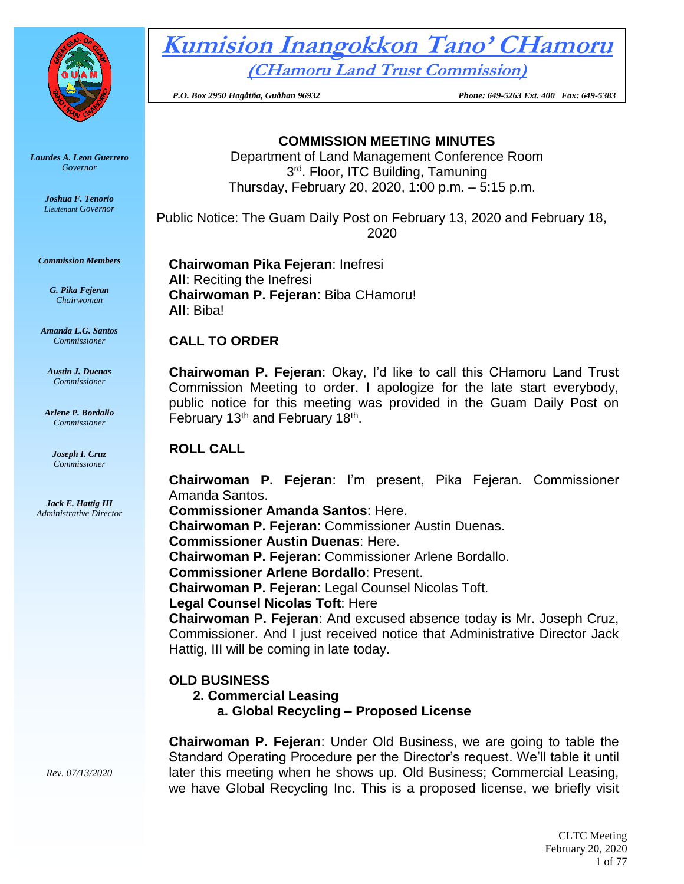

*Lourdes A. Leon Guerrero Governor* 

> *Joshua F. Tenorio Lieutenant Governor*

**Kumision Inangokkon Tano' CHamoru (CHamoru Land Trust Commission)**

 *P.O. Box 2950 Hagåtña, Guåhan 96932 Phone: 649-5263 Ext. 400 Fax: 649-5383*

# **COMMISSION MEETING MINUTES**

Department of Land Management Conference Room 3<sup>rd</sup>. Floor, ITC Building, Tamuning Thursday, February 20, 2020, 1:00 p.m. – 5:15 p.m.

Public Notice: The Guam Daily Post on February 13, 2020 and February 18, 2020

*Commission Members*

*G. Pika Fejeran Chairwoman*

*Amanda L.G. Santos Commissioner*

*Austin J. Duenas Commissioner*

*Arlene P. Bordallo Commissioner*

*Joseph I. Cruz Commissioner*

*Jack E. Hattig III Administrative Director*

### **Chairwoman Pika Fejeran**: Inefresi **All**: Reciting the Inefresi **Chairwoman P. Fejeran**: Biba CHamoru! **All**: Biba!

**CALL TO ORDER**

**Chairwoman P. Fejeran**: Okay, I'd like to call this CHamoru Land Trust Commission Meeting to order. I apologize for the late start everybody, public notice for this meeting was provided in the Guam Daily Post on February 13<sup>th</sup> and February 18<sup>th</sup>.

# **ROLL CALL**

**Chairwoman P. Fejeran**: I'm present, Pika Fejeran. Commissioner Amanda Santos.

**Commissioner Amanda Santos**: Here.

**Chairwoman P. Fejeran**: Commissioner Austin Duenas.

**Commissioner Austin Duenas**: Here.

**Chairwoman P. Fejeran**: Commissioner Arlene Bordallo.

**Commissioner Arlene Bordallo**: Present.

**Chairwoman P. Fejeran**: Legal Counsel Nicolas Toft.

**Legal Counsel Nicolas Toft**: Here

**Chairwoman P. Fejeran**: And excused absence today is Mr. Joseph Cruz, Commissioner. And I just received notice that Administrative Director Jack Hattig, III will be coming in late today.

# **OLD BUSINESS**

**2. Commercial Leasing**

**a. Global Recycling – Proposed License**

**Chairwoman P. Fejeran**: Under Old Business, we are going to table the Standard Operating Procedure per the Director's request. We'll table it until later this meeting when he shows up. Old Business; Commercial Leasing, we have Global Recycling Inc. This is a proposed license, we briefly visit

> CLTC Meeting February 20, 2020 1 of 77

*Rev. 07/13/2020*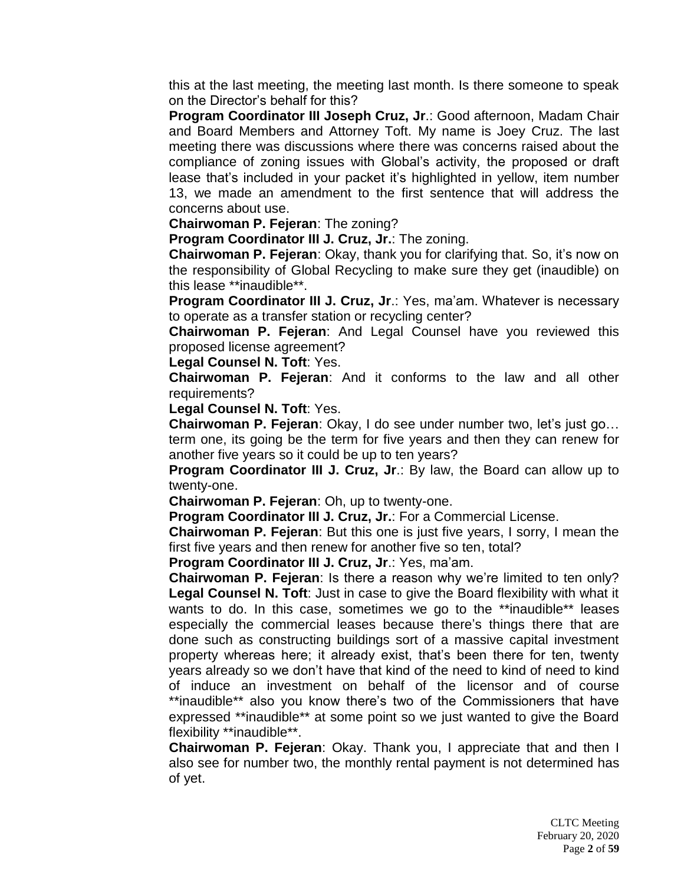this at the last meeting, the meeting last month. Is there someone to speak on the Director's behalf for this?

**Program Coordinator III Joseph Cruz, Jr**.: Good afternoon, Madam Chair and Board Members and Attorney Toft. My name is Joey Cruz. The last meeting there was discussions where there was concerns raised about the compliance of zoning issues with Global's activity, the proposed or draft lease that's included in your packet it's highlighted in yellow, item number 13, we made an amendment to the first sentence that will address the concerns about use.

**Chairwoman P. Fejeran**: The zoning?

**Program Coordinator III J. Cruz, Jr.**: The zoning.

**Chairwoman P. Fejeran**: Okay, thank you for clarifying that. So, it's now on the responsibility of Global Recycling to make sure they get (inaudible) on this lease \*\*inaudible\*\*.

**Program Coordinator III J. Cruz, Jr**.: Yes, ma'am. Whatever is necessary to operate as a transfer station or recycling center?

**Chairwoman P. Fejeran**: And Legal Counsel have you reviewed this proposed license agreement?

**Legal Counsel N. Toft**: Yes.

**Chairwoman P. Fejeran**: And it conforms to the law and all other requirements?

**Legal Counsel N. Toft**: Yes.

**Chairwoman P. Fejeran**: Okay, I do see under number two, let's just go…

term one, its going be the term for five years and then they can renew for another five years so it could be up to ten years?

**Program Coordinator III J. Cruz, Jr**.: By law, the Board can allow up to twenty-one.

**Chairwoman P. Fejeran**: Oh, up to twenty-one.

**Program Coordinator III J. Cruz, Jr.**: For a Commercial License.

**Chairwoman P. Fejeran**: But this one is just five years, I sorry, I mean the first five years and then renew for another five so ten, total?

**Program Coordinator III J. Cruz, Jr**.: Yes, ma'am.

**Chairwoman P. Fejeran**: Is there a reason why we're limited to ten only? **Legal Counsel N. Toft**: Just in case to give the Board flexibility with what it wants to do. In this case, sometimes we go to the \*\*inaudible\*\* leases especially the commercial leases because there's things there that are done such as constructing buildings sort of a massive capital investment property whereas here; it already exist, that's been there for ten, twenty years already so we don't have that kind of the need to kind of need to kind of induce an investment on behalf of the licensor and of course \*\*inaudible\*\* also you know there's two of the Commissioners that have expressed \*\*inaudible\*\* at some point so we just wanted to give the Board flexibility \*\*inaudible\*\*.

**Chairwoman P. Fejeran**: Okay. Thank you, I appreciate that and then I also see for number two, the monthly rental payment is not determined has of yet.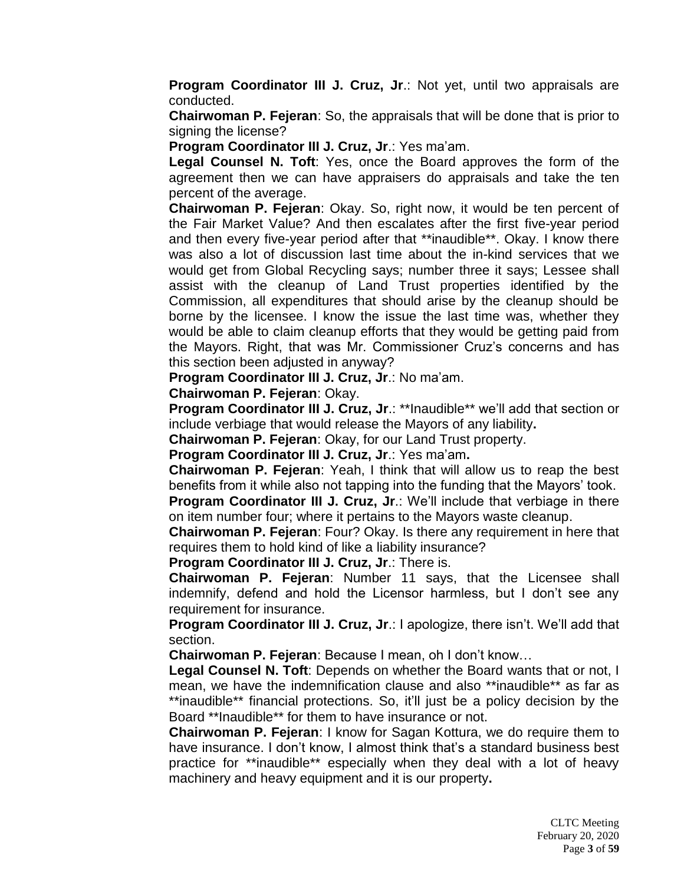**Program Coordinator III J. Cruz, Jr**.: Not yet, until two appraisals are conducted.

**Chairwoman P. Fejeran**: So, the appraisals that will be done that is prior to signing the license?

**Program Coordinator III J. Cruz, Jr**.: Yes ma'am.

**Legal Counsel N. Toft**: Yes, once the Board approves the form of the agreement then we can have appraisers do appraisals and take the ten percent of the average.

**Chairwoman P. Fejeran**: Okay. So, right now, it would be ten percent of the Fair Market Value? And then escalates after the first five-year period and then every five-year period after that \*\*inaudible\*\*. Okay. I know there was also a lot of discussion last time about the in-kind services that we would get from Global Recycling says; number three it says; Lessee shall assist with the cleanup of Land Trust properties identified by the Commission, all expenditures that should arise by the cleanup should be borne by the licensee. I know the issue the last time was, whether they would be able to claim cleanup efforts that they would be getting paid from the Mayors. Right, that was Mr. Commissioner Cruz's concerns and has this section been adjusted in anyway?

**Program Coordinator III J. Cruz, Jr**.: No ma'am.

**Chairwoman P. Fejeran**: Okay.

**Program Coordinator III J. Cruz, Jr**.: \*\*Inaudible\*\* we'll add that section or include verbiage that would release the Mayors of any liability**.**

**Chairwoman P. Fejeran**: Okay, for our Land Trust property.

**Program Coordinator III J. Cruz, Jr**.: Yes ma'am**.**

**Chairwoman P. Fejeran**: Yeah, I think that will allow us to reap the best benefits from it while also not tapping into the funding that the Mayors' took.

**Program Coordinator III J. Cruz, Jr**.: We'll include that verbiage in there on item number four; where it pertains to the Mayors waste cleanup.

**Chairwoman P. Fejeran**: Four? Okay. Is there any requirement in here that requires them to hold kind of like a liability insurance?

**Program Coordinator III J. Cruz, Jr**.: There is.

**Chairwoman P. Fejeran**: Number 11 says, that the Licensee shall indemnify, defend and hold the Licensor harmless, but I don't see any requirement for insurance.

**Program Coordinator III J. Cruz, Jr**.: I apologize, there isn't. We'll add that section.

**Chairwoman P. Fejeran**: Because I mean, oh I don't know…

**Legal Counsel N. Toft**: Depends on whether the Board wants that or not, I mean, we have the indemnification clause and also \*\*inaudible\*\* as far as \*\*inaudible\*\* financial protections. So, it'll just be a policy decision by the Board \*\*Inaudible\*\* for them to have insurance or not.

**Chairwoman P. Fejeran**: I know for Sagan Kottura, we do require them to have insurance. I don't know, I almost think that's a standard business best practice for \*\*inaudible\*\* especially when they deal with a lot of heavy machinery and heavy equipment and it is our property**.**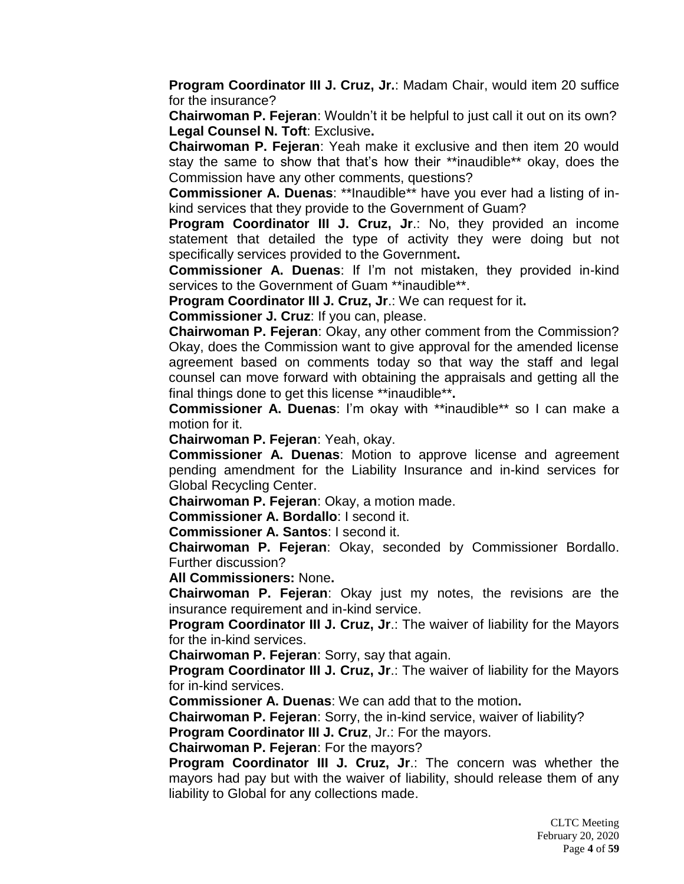**Program Coordinator III J. Cruz, Jr.**: Madam Chair, would item 20 suffice for the insurance?

**Chairwoman P. Fejeran**: Wouldn't it be helpful to just call it out on its own? **Legal Counsel N. Toft**: Exclusive**.**

**Chairwoman P. Fejeran**: Yeah make it exclusive and then item 20 would stay the same to show that that's how their \*\*inaudible\*\* okay, does the Commission have any other comments, questions?

**Commissioner A. Duenas**: \*\*Inaudible\*\* have you ever had a listing of inkind services that they provide to the Government of Guam?

**Program Coordinator III J. Cruz, Jr**.: No, they provided an income statement that detailed the type of activity they were doing but not specifically services provided to the Government**.**

**Commissioner A. Duenas**: If I'm not mistaken, they provided in-kind services to the Government of Guam \*\*inaudible\*\*.

**Program Coordinator III J. Cruz, Jr**.: We can request for it**.**

**Commissioner J. Cruz**: If you can, please.

**Chairwoman P. Fejeran**: Okay, any other comment from the Commission? Okay, does the Commission want to give approval for the amended license agreement based on comments today so that way the staff and legal counsel can move forward with obtaining the appraisals and getting all the final things done to get this license \*\*inaudible\*\***.**

**Commissioner A. Duenas**: I'm okay with \*\*inaudible\*\* so I can make a motion for it.

**Chairwoman P. Fejeran**: Yeah, okay.

**Commissioner A. Duenas**: Motion to approve license and agreement pending amendment for the Liability Insurance and in-kind services for Global Recycling Center.

**Chairwoman P. Fejeran**: Okay, a motion made.

**Commissioner A. Bordallo**: I second it.

**Commissioner A. Santos**: I second it.

**Chairwoman P. Fejeran**: Okay, seconded by Commissioner Bordallo. Further discussion?

**All Commissioners:** None**.**

**Chairwoman P. Fejeran**: Okay just my notes, the revisions are the insurance requirement and in-kind service.

**Program Coordinator III J. Cruz, Jr**.: The waiver of liability for the Mayors for the in-kind services.

**Chairwoman P. Fejeran**: Sorry, say that again.

**Program Coordinator III J. Cruz, Jr**.: The waiver of liability for the Mayors for in-kind services.

**Commissioner A. Duenas**: We can add that to the motion**.**

**Chairwoman P. Fejeran**: Sorry, the in-kind service, waiver of liability?

**Program Coordinator III J. Cruz**, Jr.: For the mayors.

**Chairwoman P. Fejeran**: For the mayors?

**Program Coordinator III J. Cruz, Jr**.: The concern was whether the mayors had pay but with the waiver of liability, should release them of any liability to Global for any collections made.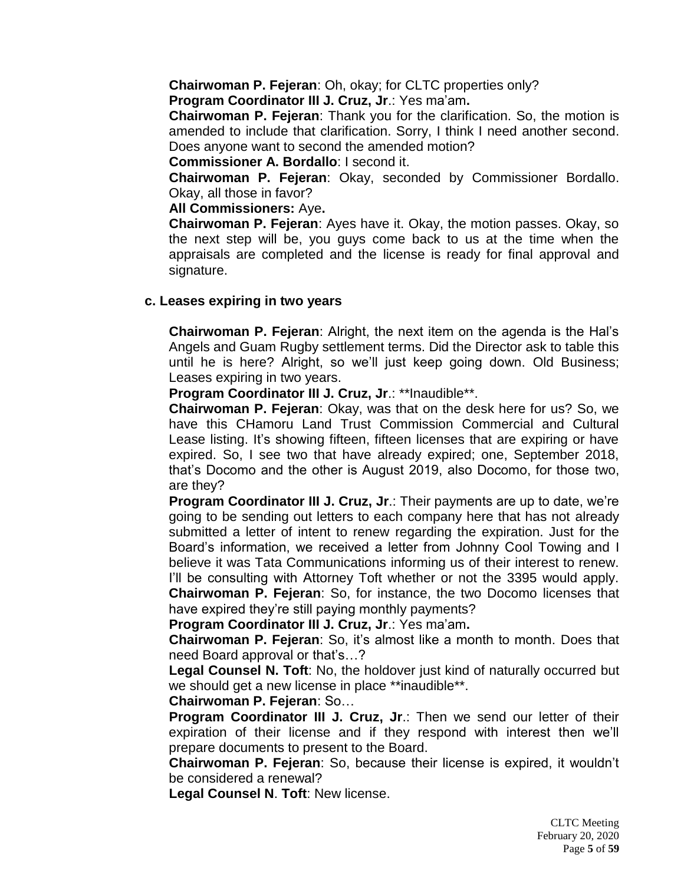**Chairwoman P. Fejeran**: Oh, okay; for CLTC properties only?

**Program Coordinator III J. Cruz, Jr**.: Yes ma'am**.**

**Chairwoman P. Fejeran**: Thank you for the clarification. So, the motion is amended to include that clarification. Sorry, I think I need another second. Does anyone want to second the amended motion?

**Commissioner A. Bordallo**: I second it.

**Chairwoman P. Fejeran**: Okay, seconded by Commissioner Bordallo. Okay, all those in favor?

**All Commissioners:** Aye**.**

**Chairwoman P. Fejeran**: Ayes have it. Okay, the motion passes. Okay, so the next step will be, you guys come back to us at the time when the appraisals are completed and the license is ready for final approval and signature.

#### **c. Leases expiring in two years**

**Chairwoman P. Fejeran**: Alright, the next item on the agenda is the Hal's Angels and Guam Rugby settlement terms. Did the Director ask to table this until he is here? Alright, so we'll just keep going down. Old Business; Leases expiring in two years.

**Program Coordinator III J. Cruz, Jr**.: \*\*Inaudible\*\*.

**Chairwoman P. Fejeran**: Okay, was that on the desk here for us? So, we have this CHamoru Land Trust Commission Commercial and Cultural Lease listing. It's showing fifteen, fifteen licenses that are expiring or have expired. So, I see two that have already expired; one, September 2018, that's Docomo and the other is August 2019, also Docomo, for those two, are they?

**Program Coordinator III J. Cruz, Jr**.: Their payments are up to date, we're going to be sending out letters to each company here that has not already submitted a letter of intent to renew regarding the expiration. Just for the Board's information, we received a letter from Johnny Cool Towing and I believe it was Tata Communications informing us of their interest to renew.

I'll be consulting with Attorney Toft whether or not the 3395 would apply. **Chairwoman P. Fejeran**: So, for instance, the two Docomo licenses that have expired they're still paying monthly payments?

**Program Coordinator III J. Cruz, Jr**.: Yes ma'am**.**

**Chairwoman P. Fejeran**: So, it's almost like a month to month. Does that need Board approval or that's…?

**Legal Counsel N. Toft**: No, the holdover just kind of naturally occurred but we should get a new license in place \*\*inaudible\*\*.

**Chairwoman P. Fejeran**: So…

**Program Coordinator III J. Cruz, Jr**.: Then we send our letter of their expiration of their license and if they respond with interest then we'll prepare documents to present to the Board.

**Chairwoman P. Fejeran**: So, because their license is expired, it wouldn't be considered a renewal?

**Legal Counsel N**. **Toft**: New license.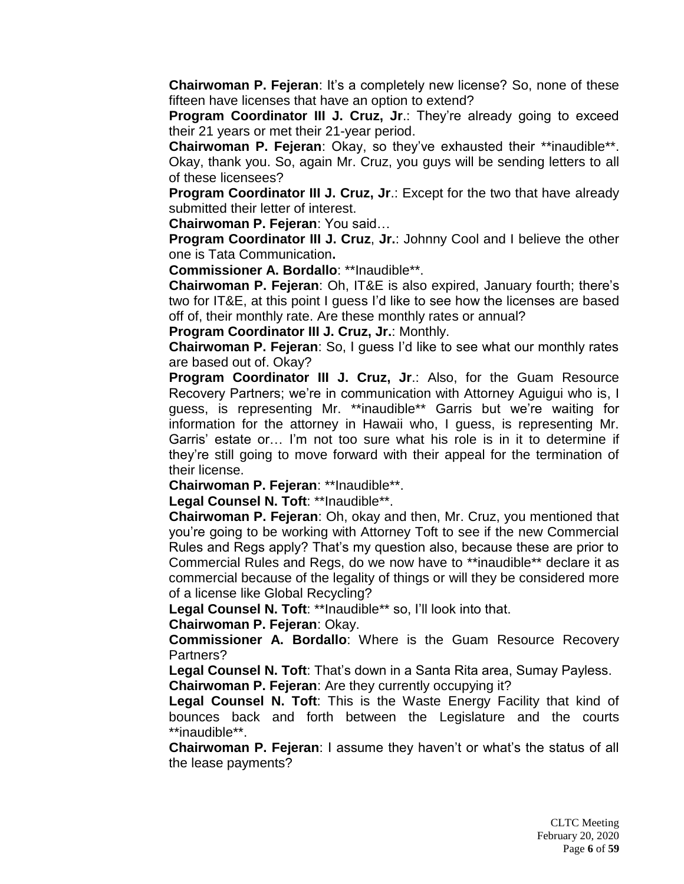**Chairwoman P. Fejeran**: It's a completely new license? So, none of these fifteen have licenses that have an option to extend?

**Program Coordinator III J. Cruz, Jr**.: They're already going to exceed their 21 years or met their 21-year period.

**Chairwoman P. Fejeran**: Okay, so they've exhausted their \*\*inaudible\*\*. Okay, thank you. So, again Mr. Cruz, you guys will be sending letters to all of these licensees?

**Program Coordinator III J. Cruz, Jr**.: Except for the two that have already submitted their letter of interest.

**Chairwoman P. Fejeran**: You said…

**Program Coordinator III J. Cruz**, **Jr.**: Johnny Cool and I believe the other one is Tata Communication**.**

**Commissioner A. Bordallo**: \*\*Inaudible\*\*.

**Chairwoman P. Fejeran**: Oh, IT&E is also expired, January fourth; there's two for IT&E, at this point I guess I'd like to see how the licenses are based off of, their monthly rate. Are these monthly rates or annual?

**Program Coordinator III J. Cruz, Jr.**: Monthly.

**Chairwoman P. Fejeran**: So, I guess I'd like to see what our monthly rates are based out of. Okay?

**Program Coordinator III J. Cruz, Jr**.: Also, for the Guam Resource Recovery Partners; we're in communication with Attorney Aguigui who is, I guess, is representing Mr. \*\*inaudible\*\* Garris but we're waiting for information for the attorney in Hawaii who, I guess, is representing Mr. Garris' estate or… I'm not too sure what his role is in it to determine if they're still going to move forward with their appeal for the termination of their license.

**Chairwoman P. Fejeran**: \*\*Inaudible\*\*.

**Legal Counsel N. Toft**: \*\*Inaudible\*\*.

**Chairwoman P. Fejeran**: Oh, okay and then, Mr. Cruz, you mentioned that you're going to be working with Attorney Toft to see if the new Commercial Rules and Regs apply? That's my question also, because these are prior to Commercial Rules and Regs, do we now have to \*\*inaudible\*\* declare it as commercial because of the legality of things or will they be considered more of a license like Global Recycling?

**Legal Counsel N. Toft**: \*\*Inaudible\*\* so, I'll look into that.

**Chairwoman P. Fejeran**: Okay.

**Commissioner A. Bordallo**: Where is the Guam Resource Recovery Partners?

**Legal Counsel N. Toft**: That's down in a Santa Rita area, Sumay Payless.

**Chairwoman P. Fejeran**: Are they currently occupying it?

**Legal Counsel N. Toft**: This is the Waste Energy Facility that kind of bounces back and forth between the Legislature and the courts \*\*inaudible\*\*.

**Chairwoman P. Fejeran**: I assume they haven't or what's the status of all the lease payments?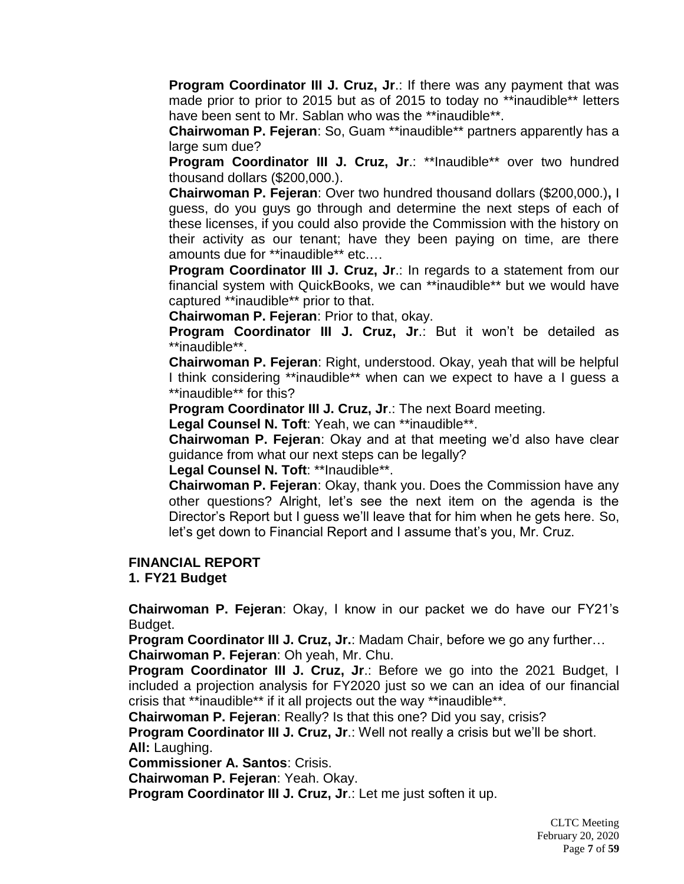**Program Coordinator III J. Cruz, Jr**.: If there was any payment that was made prior to prior to 2015 but as of 2015 to today no \*\*inaudible\*\* letters have been sent to Mr. Sablan who was the \*\*inaudible\*\*.

**Chairwoman P. Fejeran**: So, Guam \*\*inaudible\*\* partners apparently has a large sum due?

**Program Coordinator III J. Cruz, Jr**.: \*\*Inaudible\*\* over two hundred thousand dollars (\$200,000.).

**Chairwoman P. Fejeran**: Over two hundred thousand dollars (\$200,000.)**,** I guess, do you guys go through and determine the next steps of each of these licenses, if you could also provide the Commission with the history on their activity as our tenant; have they been paying on time, are there amounts due for \*\*inaudible\*\* etc.…

**Program Coordinator III J. Cruz, Jr**.: In regards to a statement from our financial system with QuickBooks, we can \*\*inaudible\*\* but we would have captured \*\*inaudible\*\* prior to that.

**Chairwoman P. Fejeran**: Prior to that, okay.

**Program Coordinator III J. Cruz, Jr**.: But it won't be detailed as \*\*inaudible\*\*.

**Chairwoman P. Fejeran**: Right, understood. Okay, yeah that will be helpful I think considering \*\*inaudible\*\* when can we expect to have a I guess a \*\*inaudible\*\* for this?

**Program Coordinator III J. Cruz, Jr**.: The next Board meeting.

**Legal Counsel N. Toft**: Yeah, we can \*\*inaudible\*\*.

**Chairwoman P. Fejeran**: Okay and at that meeting we'd also have clear guidance from what our next steps can be legally?

**Legal Counsel N. Toft**: \*\*Inaudible\*\*.

**Chairwoman P. Fejeran**: Okay, thank you. Does the Commission have any other questions? Alright, let's see the next item on the agenda is the Director's Report but I guess we'll leave that for him when he gets here. So, let's get down to Financial Report and I assume that's you, Mr. Cruz.

## **FINANCIAL REPORT**

#### **1. FY21 Budget**

**Chairwoman P. Fejeran**: Okay, I know in our packet we do have our FY21's Budget.

**Program Coordinator III J. Cruz, Jr.**: Madam Chair, before we go any further… **Chairwoman P. Fejeran**: Oh yeah, Mr. Chu.

**Program Coordinator III J. Cruz, Jr**.: Before we go into the 2021 Budget, I included a projection analysis for FY2020 just so we can an idea of our financial crisis that \*\*inaudible\*\* if it all projects out the way \*\*inaudible\*\*.

**Chairwoman P. Fejeran**: Really? Is that this one? Did you say, crisis?

**Program Coordinator III J. Cruz, Jr**.: Well not really a crisis but we'll be short. **All:** Laughing.

**Commissioner A. Santos**: Crisis.

**Chairwoman P. Fejeran**: Yeah. Okay.

**Program Coordinator III J. Cruz, Jr**.: Let me just soften it up.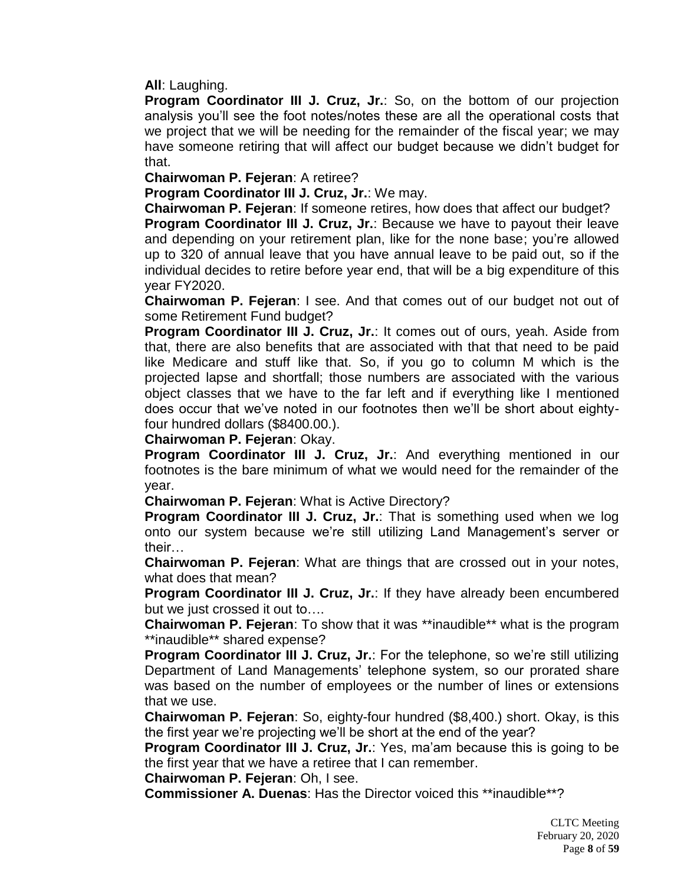**All**: Laughing.

**Program Coordinator III J. Cruz, Jr.**: So, on the bottom of our projection analysis you'll see the foot notes/notes these are all the operational costs that we project that we will be needing for the remainder of the fiscal year; we may have someone retiring that will affect our budget because we didn't budget for that.

**Chairwoman P. Fejeran**: A retiree?

**Program Coordinator III J. Cruz, Jr.**: We may.

**Chairwoman P. Fejeran**: If someone retires, how does that affect our budget? **Program Coordinator III J. Cruz, Jr.**: Because we have to payout their leave and depending on your retirement plan, like for the none base; you're allowed up to 320 of annual leave that you have annual leave to be paid out, so if the individual decides to retire before year end, that will be a big expenditure of this year FY2020.

**Chairwoman P. Fejeran**: I see. And that comes out of our budget not out of some Retirement Fund budget?

**Program Coordinator III J. Cruz, Jr.**: It comes out of ours, yeah. Aside from that, there are also benefits that are associated with that that need to be paid like Medicare and stuff like that. So, if you go to column M which is the projected lapse and shortfall; those numbers are associated with the various object classes that we have to the far left and if everything like I mentioned does occur that we've noted in our footnotes then we'll be short about eightyfour hundred dollars (\$8400.00.).

**Chairwoman P. Fejeran**: Okay.

**Program Coordinator III J. Cruz, Jr.**: And everything mentioned in our footnotes is the bare minimum of what we would need for the remainder of the year.

**Chairwoman P. Fejeran**: What is Active Directory?

**Program Coordinator III J. Cruz, Jr.**: That is something used when we log onto our system because we're still utilizing Land Management's server or their…

**Chairwoman P. Fejeran**: What are things that are crossed out in your notes, what does that mean?

**Program Coordinator III J. Cruz, Jr.**: If they have already been encumbered but we just crossed it out to….

**Chairwoman P. Fejeran**: To show that it was \*\*inaudible\*\* what is the program \*\*inaudible\*\* shared expense?

**Program Coordinator III J. Cruz, Jr.**: For the telephone, so we're still utilizing Department of Land Managements' telephone system, so our prorated share was based on the number of employees or the number of lines or extensions that we use.

**Chairwoman P. Fejeran**: So, eighty-four hundred (\$8,400.) short. Okay, is this the first year we're projecting we'll be short at the end of the year?

**Program Coordinator III J. Cruz, Jr.**: Yes, ma'am because this is going to be the first year that we have a retiree that I can remember.

**Chairwoman P. Fejeran**: Oh, I see.

**Commissioner A. Duenas**: Has the Director voiced this \*\*inaudible\*\*?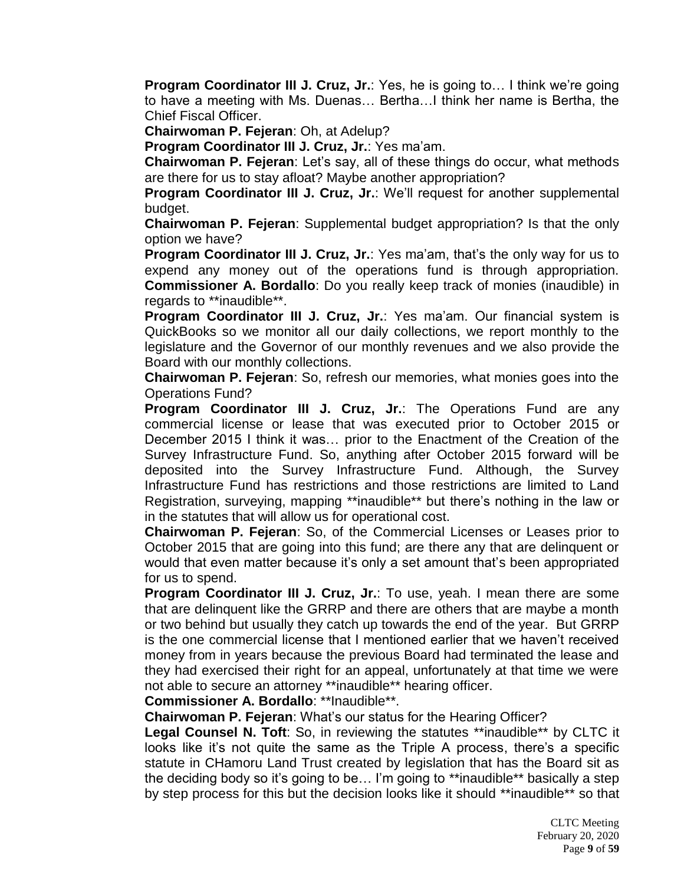**Program Coordinator III J. Cruz, Jr.**: Yes, he is going to… I think we're going to have a meeting with Ms. Duenas… Bertha…I think her name is Bertha, the Chief Fiscal Officer.

**Chairwoman P. Fejeran**: Oh, at Adelup?

**Program Coordinator III J. Cruz, Jr.**: Yes ma'am.

**Chairwoman P. Fejeran**: Let's say, all of these things do occur, what methods are there for us to stay afloat? Maybe another appropriation?

**Program Coordinator III J. Cruz, Jr.**: We'll request for another supplemental budget.

**Chairwoman P. Fejeran**: Supplemental budget appropriation? Is that the only option we have?

**Program Coordinator III J. Cruz, Jr.**: Yes ma'am, that's the only way for us to expend any money out of the operations fund is through appropriation. **Commissioner A. Bordallo**: Do you really keep track of monies (inaudible) in regards to \*\*inaudible\*\*.

**Program Coordinator III J. Cruz, Jr.**: Yes ma'am. Our financial system is QuickBooks so we monitor all our daily collections, we report monthly to the legislature and the Governor of our monthly revenues and we also provide the Board with our monthly collections.

**Chairwoman P. Fejeran**: So, refresh our memories, what monies goes into the Operations Fund?

**Program Coordinator III J. Cruz, Jr.**: The Operations Fund are any commercial license or lease that was executed prior to October 2015 or December 2015 I think it was… prior to the Enactment of the Creation of the Survey Infrastructure Fund. So, anything after October 2015 forward will be deposited into the Survey Infrastructure Fund. Although, the Survey Infrastructure Fund has restrictions and those restrictions are limited to Land Registration, surveying, mapping \*\*inaudible\*\* but there's nothing in the law or in the statutes that will allow us for operational cost.

**Chairwoman P. Fejeran**: So, of the Commercial Licenses or Leases prior to October 2015 that are going into this fund; are there any that are delinquent or would that even matter because it's only a set amount that's been appropriated for us to spend.

**Program Coordinator III J. Cruz, Jr.**: To use, yeah. I mean there are some that are delinquent like the GRRP and there are others that are maybe a month or two behind but usually they catch up towards the end of the year. But GRRP is the one commercial license that I mentioned earlier that we haven't received money from in years because the previous Board had terminated the lease and they had exercised their right for an appeal, unfortunately at that time we were not able to secure an attorney \*\*inaudible\*\* hearing officer.

**Commissioner A. Bordallo**: \*\*Inaudible\*\*.

**Chairwoman P. Fejeran**: What's our status for the Hearing Officer?

**Legal Counsel N. Toft**: So, in reviewing the statutes \*\*inaudible\*\* by CLTC it looks like it's not quite the same as the Triple A process, there's a specific statute in CHamoru Land Trust created by legislation that has the Board sit as the deciding body so it's going to be… I'm going to \*\*inaudible\*\* basically a step by step process for this but the decision looks like it should \*\*inaudible\*\* so that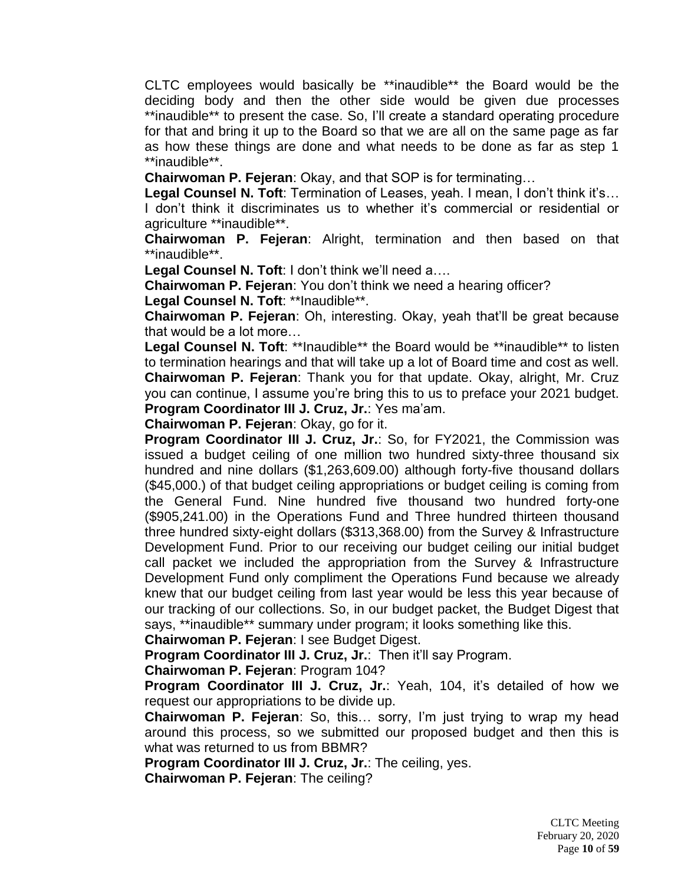CLTC employees would basically be \*\*inaudible\*\* the Board would be the deciding body and then the other side would be given due processes \*\*inaudible\*\* to present the case. So, I'll create a standard operating procedure for that and bring it up to the Board so that we are all on the same page as far as how these things are done and what needs to be done as far as step 1 \*\*inaudible\*\*.

**Chairwoman P. Fejeran**: Okay, and that SOP is for terminating…

**Legal Counsel N. Toft**: Termination of Leases, yeah. I mean, I don't think it's… I don't think it discriminates us to whether it's commercial or residential or agriculture \*\*inaudible\*\*.

**Chairwoman P. Fejeran**: Alright, termination and then based on that \*\*inaudible\*\*.

**Legal Counsel N. Toft**: I don't think we'll need a….

**Chairwoman P. Fejeran**: You don't think we need a hearing officer? **Legal Counsel N. Toft**: \*\*Inaudible\*\*.

**Chairwoman P. Fejeran**: Oh, interesting. Okay, yeah that'll be great because that would be a lot more…

Legal Counsel N. Toft: \*\*Inaudible\*\* the Board would be \*\*inaudible\*\* to listen to termination hearings and that will take up a lot of Board time and cost as well. **Chairwoman P. Fejeran**: Thank you for that update. Okay, alright, Mr. Cruz you can continue, I assume you're bring this to us to preface your 2021 budget. **Program Coordinator III J. Cruz, Jr.**: Yes ma'am.

**Chairwoman P. Fejeran**: Okay, go for it.

**Program Coordinator III J. Cruz, Jr.**: So, for FY2021, the Commission was issued a budget ceiling of one million two hundred sixty-three thousand six hundred and nine dollars (\$1,263,609.00) although forty-five thousand dollars (\$45,000.) of that budget ceiling appropriations or budget ceiling is coming from the General Fund. Nine hundred five thousand two hundred forty-one (\$905,241.00) in the Operations Fund and Three hundred thirteen thousand three hundred sixty-eight dollars (\$313,368.00) from the Survey & Infrastructure Development Fund. Prior to our receiving our budget ceiling our initial budget call packet we included the appropriation from the Survey & Infrastructure Development Fund only compliment the Operations Fund because we already knew that our budget ceiling from last year would be less this year because of our tracking of our collections. So, in our budget packet, the Budget Digest that says, \*\*inaudible\*\* summary under program; it looks something like this.

**Chairwoman P. Fejeran**: I see Budget Digest.

**Program Coordinator III J. Cruz, Jr.**: Then it'll say Program.

**Chairwoman P. Fejeran**: Program 104?

**Program Coordinator III J. Cruz, Jr.**: Yeah, 104, it's detailed of how we request our appropriations to be divide up.

**Chairwoman P. Fejeran**: So, this… sorry, I'm just trying to wrap my head around this process, so we submitted our proposed budget and then this is what was returned to us from BBMR?

**Program Coordinator III J. Cruz, Jr.**: The ceiling, yes.

**Chairwoman P. Fejeran**: The ceiling?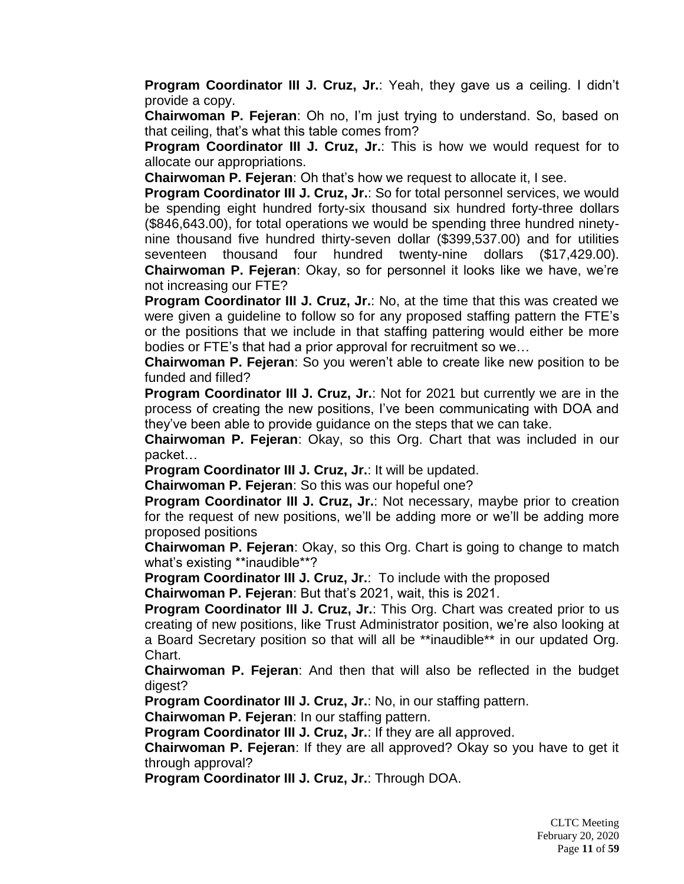**Program Coordinator III J. Cruz, Jr.**: Yeah, they gave us a ceiling. I didn't provide a copy.

**Chairwoman P. Fejeran**: Oh no, I'm just trying to understand. So, based on that ceiling, that's what this table comes from?

**Program Coordinator III J. Cruz, Jr.**: This is how we would request for to allocate our appropriations.

**Chairwoman P. Fejeran**: Oh that's how we request to allocate it, I see.

**Program Coordinator III J. Cruz, Jr.**: So for total personnel services, we would be spending eight hundred forty-six thousand six hundred forty-three dollars (\$846,643.00), for total operations we would be spending three hundred ninetynine thousand five hundred thirty-seven dollar (\$399,537.00) and for utilities seventeen thousand four hundred twenty-nine dollars (\$17,429.00). **Chairwoman P. Fejeran**: Okay, so for personnel it looks like we have, we're not increasing our FTE?

**Program Coordinator III J. Cruz, Jr.**: No, at the time that this was created we were given a guideline to follow so for any proposed staffing pattern the FTE's or the positions that we include in that staffing pattering would either be more bodies or FTE's that had a prior approval for recruitment so we…

**Chairwoman P. Fejeran**: So you weren't able to create like new position to be funded and filled?

**Program Coordinator III J. Cruz, Jr.**: Not for 2021 but currently we are in the process of creating the new positions, I've been communicating with DOA and they've been able to provide guidance on the steps that we can take.

**Chairwoman P. Fejeran**: Okay, so this Org. Chart that was included in our packet…

**Program Coordinator III J. Cruz, Jr.**: It will be updated.

**Chairwoman P. Fejeran**: So this was our hopeful one?

**Program Coordinator III J. Cruz, Jr.**: Not necessary, maybe prior to creation for the request of new positions, we'll be adding more or we'll be adding more proposed positions

**Chairwoman P. Fejeran**: Okay, so this Org. Chart is going to change to match what's existing \*\*inaudible\*\*?

**Program Coordinator III J. Cruz, Jr.**: To include with the proposed

**Chairwoman P. Fejeran**: But that's 2021, wait, this is 2021.

**Program Coordinator III J. Cruz, Jr.**: This Org. Chart was created prior to us creating of new positions, like Trust Administrator position, we're also looking at a Board Secretary position so that will all be \*\*inaudible\*\* in our updated Org. Chart.

**Chairwoman P. Fejeran**: And then that will also be reflected in the budget digest?

**Program Coordinator III J. Cruz, Jr.**: No, in our staffing pattern.

**Chairwoman P. Fejeran**: In our staffing pattern.

**Program Coordinator III J. Cruz, Jr.**: If they are all approved.

**Chairwoman P. Fejeran**: If they are all approved? Okay so you have to get it through approval?

**Program Coordinator III J. Cruz, Jr.**: Through DOA.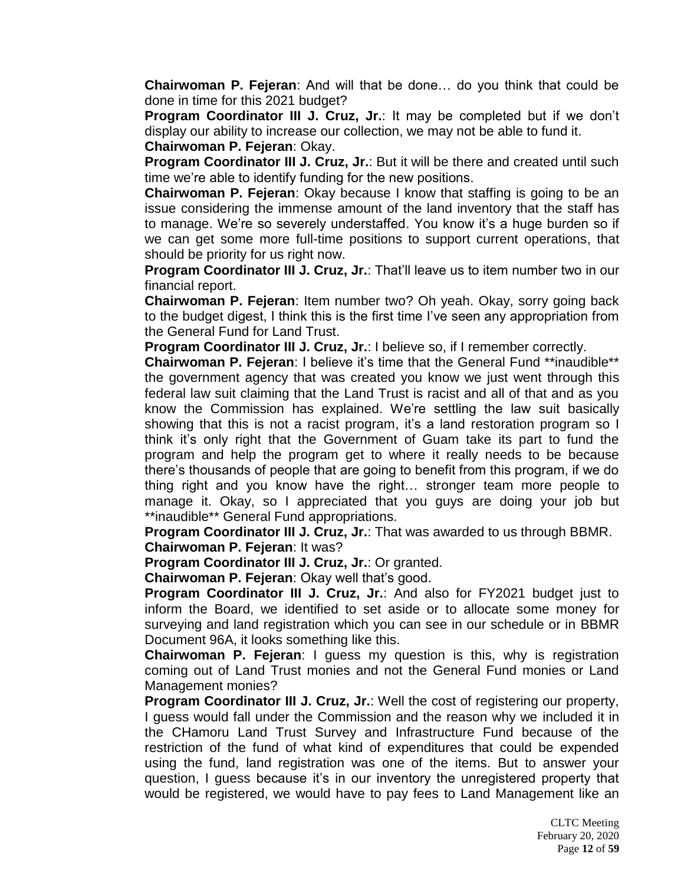**Chairwoman P. Fejeran**: And will that be done… do you think that could be done in time for this 2021 budget?

**Program Coordinator III J. Cruz, Jr.**: It may be completed but if we don't display our ability to increase our collection, we may not be able to fund it. **Chairwoman P. Fejeran**: Okay.

**Program Coordinator III J. Cruz, Jr.**: But it will be there and created until such time we're able to identify funding for the new positions.

**Chairwoman P. Fejeran**: Okay because I know that staffing is going to be an issue considering the immense amount of the land inventory that the staff has to manage. We're so severely understaffed. You know it's a huge burden so if we can get some more full-time positions to support current operations, that should be priority for us right now.

**Program Coordinator III J. Cruz, Jr.**: That'll leave us to item number two in our financial report.

**Chairwoman P. Fejeran**: Item number two? Oh yeah. Okay, sorry going back to the budget digest, I think this is the first time I've seen any appropriation from the General Fund for Land Trust.

**Program Coordinator III J. Cruz, Jr.**: I believe so, if I remember correctly.

**Chairwoman P. Fejeran**: I believe it's time that the General Fund \*\*inaudible\*\* the government agency that was created you know we just went through this federal law suit claiming that the Land Trust is racist and all of that and as you know the Commission has explained. We're settling the law suit basically showing that this is not a racist program, it's a land restoration program so I think it's only right that the Government of Guam take its part to fund the program and help the program get to where it really needs to be because there's thousands of people that are going to benefit from this program, if we do thing right and you know have the right… stronger team more people to manage it. Okay, so I appreciated that you guys are doing your job but \*\*inaudible\*\* General Fund appropriations.

**Program Coordinator III J. Cruz, Jr.**: That was awarded to us through BBMR. **Chairwoman P. Fejeran**: It was?

**Program Coordinator III J. Cruz, Jr.**: Or granted.

**Chairwoman P. Fejeran**: Okay well that's good.

**Program Coordinator III J. Cruz, Jr.**: And also for FY2021 budget just to inform the Board, we identified to set aside or to allocate some money for surveying and land registration which you can see in our schedule or in BBMR Document 96A, it looks something like this.

**Chairwoman P. Fejeran**: I guess my question is this, why is registration coming out of Land Trust monies and not the General Fund monies or Land Management monies?

**Program Coordinator III J. Cruz, Jr.**: Well the cost of registering our property, I guess would fall under the Commission and the reason why we included it in the CHamoru Land Trust Survey and Infrastructure Fund because of the restriction of the fund of what kind of expenditures that could be expended using the fund, land registration was one of the items. But to answer your question, I guess because it's in our inventory the unregistered property that would be registered, we would have to pay fees to Land Management like an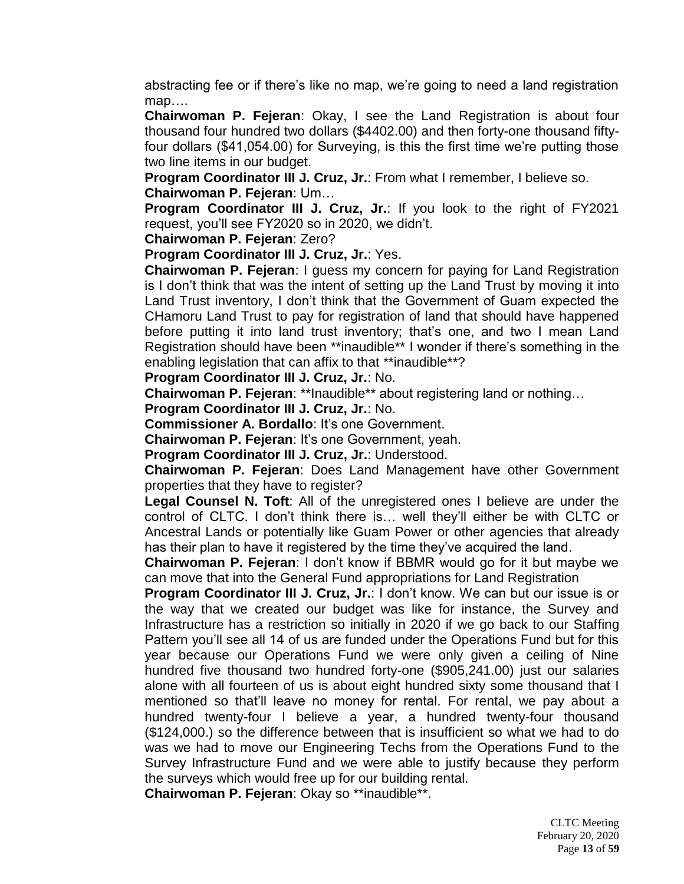abstracting fee or if there's like no map, we're going to need a land registration map….

**Chairwoman P. Fejeran**: Okay, I see the Land Registration is about four thousand four hundred two dollars (\$4402.00) and then forty-one thousand fiftyfour dollars (\$41,054.00) for Surveying, is this the first time we're putting those two line items in our budget.

**Program Coordinator III J. Cruz, Jr.**: From what I remember, I believe so. **Chairwoman P. Fejeran**: Um…

**Program Coordinator III J. Cruz, Jr.**: If you look to the right of FY2021 request, you'll see FY2020 so in 2020, we didn't.

**Chairwoman P. Fejeran**: Zero?

**Program Coordinator III J. Cruz, Jr.**: Yes.

**Chairwoman P. Fejeran**: I guess my concern for paying for Land Registration is I don't think that was the intent of setting up the Land Trust by moving it into Land Trust inventory, I don't think that the Government of Guam expected the CHamoru Land Trust to pay for registration of land that should have happened before putting it into land trust inventory; that's one, and two I mean Land Registration should have been \*\*inaudible\*\* I wonder if there's something in the enabling legislation that can affix to that \*\*inaudible\*\*?

**Program Coordinator III J. Cruz, Jr.**: No.

**Chairwoman P. Fejeran**: \*\*Inaudible\*\* about registering land or nothing…

**Program Coordinator III J. Cruz, Jr.**: No.

**Commissioner A. Bordallo**: It's one Government.

**Chairwoman P. Fejeran**: It's one Government, yeah.

**Program Coordinator III J. Cruz, Jr.**: Understood.

**Chairwoman P. Fejeran**: Does Land Management have other Government properties that they have to register?

**Legal Counsel N. Toft**: All of the unregistered ones I believe are under the control of CLTC. I don't think there is… well they'll either be with CLTC or Ancestral Lands or potentially like Guam Power or other agencies that already has their plan to have it registered by the time they've acquired the land.

**Chairwoman P. Fejeran**: I don't know if BBMR would go for it but maybe we can move that into the General Fund appropriations for Land Registration

**Program Coordinator III J. Cruz, Jr.**: I don't know. We can but our issue is or the way that we created our budget was like for instance, the Survey and Infrastructure has a restriction so initially in 2020 if we go back to our Staffing Pattern you'll see all 14 of us are funded under the Operations Fund but for this year because our Operations Fund we were only given a ceiling of Nine hundred five thousand two hundred forty-one (\$905,241.00) just our salaries alone with all fourteen of us is about eight hundred sixty some thousand that I mentioned so that'll leave no money for rental. For rental, we pay about a hundred twenty-four I believe a year, a hundred twenty-four thousand (\$124,000.) so the difference between that is insufficient so what we had to do was we had to move our Engineering Techs from the Operations Fund to the Survey Infrastructure Fund and we were able to justify because they perform the surveys which would free up for our building rental.

**Chairwoman P. Fejeran**: Okay so \*\*inaudible\*\*.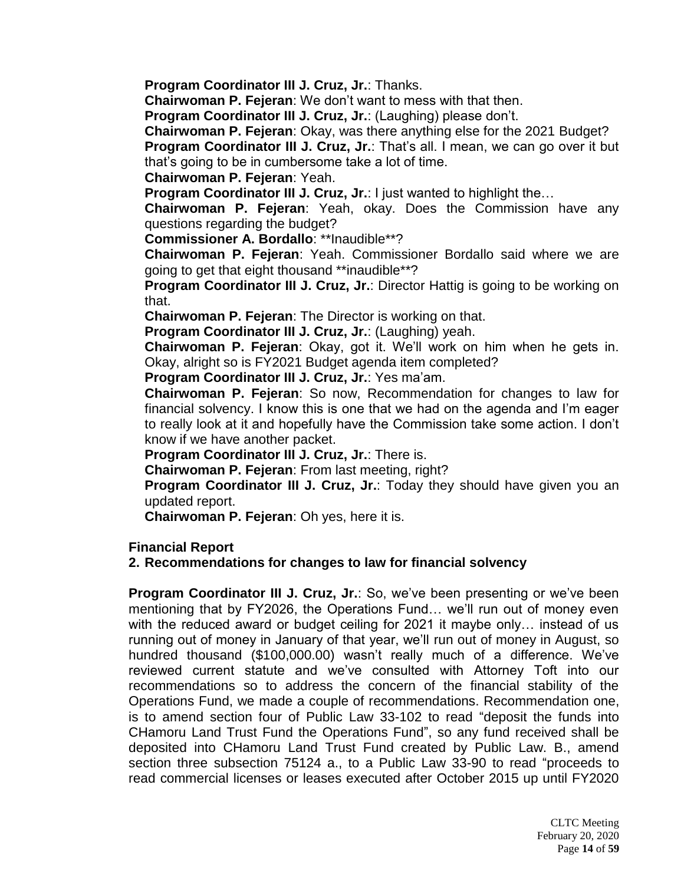**Program Coordinator III J. Cruz, Jr.**: Thanks.

**Chairwoman P. Fejeran**: We don't want to mess with that then.

**Program Coordinator III J. Cruz, Jr.**: (Laughing) please don't.

**Chairwoman P. Fejeran**: Okay, was there anything else for the 2021 Budget? **Program Coordinator III J. Cruz, Jr.**: That's all. I mean, we can go over it but that's going to be in cumbersome take a lot of time.

**Chairwoman P. Fejeran**: Yeah.

**Program Coordinator III J. Cruz, Jr.**: I just wanted to highlight the…

**Chairwoman P. Fejeran**: Yeah, okay. Does the Commission have any questions regarding the budget?

**Commissioner A. Bordallo**: \*\*Inaudible\*\*?

**Chairwoman P. Fejeran**: Yeah. Commissioner Bordallo said where we are going to get that eight thousand \*\*inaudible\*\*?

**Program Coordinator III J. Cruz, Jr.**: Director Hattig is going to be working on that.

**Chairwoman P. Fejeran**: The Director is working on that.

**Program Coordinator III J. Cruz, Jr.**: (Laughing) yeah.

**Chairwoman P. Fejeran**: Okay, got it. We'll work on him when he gets in. Okay, alright so is FY2021 Budget agenda item completed?

**Program Coordinator III J. Cruz, Jr.**: Yes ma'am.

**Chairwoman P. Fejeran**: So now, Recommendation for changes to law for financial solvency. I know this is one that we had on the agenda and I'm eager to really look at it and hopefully have the Commission take some action. I don't know if we have another packet.

**Program Coordinator III J. Cruz, Jr.**: There is.

**Chairwoman P. Fejeran**: From last meeting, right?

**Program Coordinator III J. Cruz, Jr.**: Today they should have given you an updated report.

**Chairwoman P. Fejeran**: Oh yes, here it is.

## **Financial Report**

## **2. Recommendations for changes to law for financial solvency**

**Program Coordinator III J. Cruz, Jr.**: So, we've been presenting or we've been mentioning that by FY2026, the Operations Fund… we'll run out of money even with the reduced award or budget ceiling for 2021 it maybe only... instead of us running out of money in January of that year, we'll run out of money in August, so hundred thousand (\$100,000.00) wasn't really much of a difference. We've reviewed current statute and we've consulted with Attorney Toft into our recommendations so to address the concern of the financial stability of the Operations Fund, we made a couple of recommendations. Recommendation one, is to amend section four of Public Law 33-102 to read "deposit the funds into CHamoru Land Trust Fund the Operations Fund", so any fund received shall be deposited into CHamoru Land Trust Fund created by Public Law. B., amend section three subsection 75124 a., to a Public Law 33-90 to read "proceeds to read commercial licenses or leases executed after October 2015 up until FY2020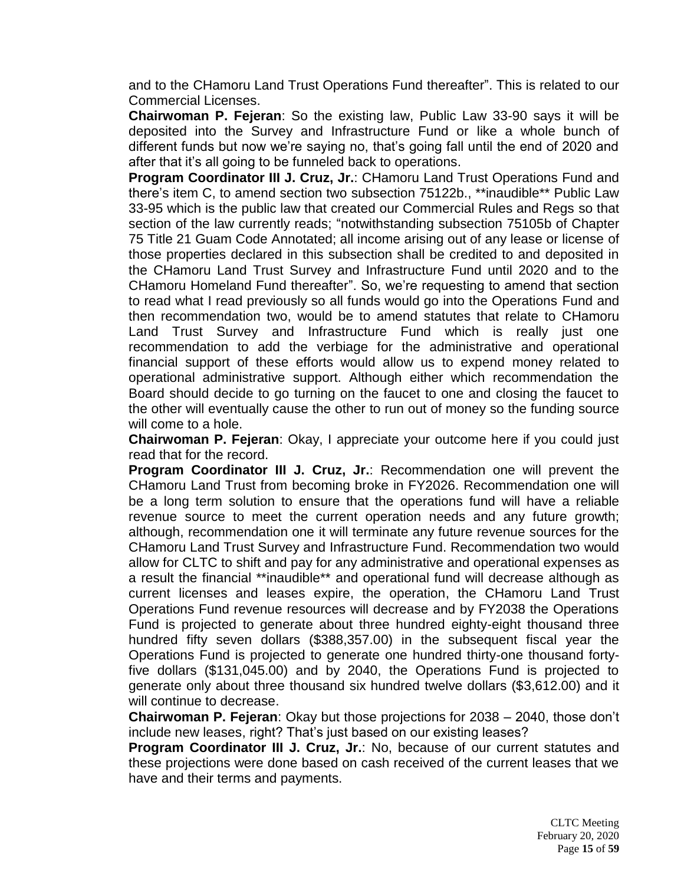and to the CHamoru Land Trust Operations Fund thereafter". This is related to our Commercial Licenses.

**Chairwoman P. Fejeran**: So the existing law, Public Law 33-90 says it will be deposited into the Survey and Infrastructure Fund or like a whole bunch of different funds but now we're saying no, that's going fall until the end of 2020 and after that it's all going to be funneled back to operations.

**Program Coordinator III J. Cruz, Jr.**: CHamoru Land Trust Operations Fund and there's item C, to amend section two subsection 75122b., \*\*inaudible\*\* Public Law 33-95 which is the public law that created our Commercial Rules and Regs so that section of the law currently reads; "notwithstanding subsection 75105b of Chapter 75 Title 21 Guam Code Annotated; all income arising out of any lease or license of those properties declared in this subsection shall be credited to and deposited in the CHamoru Land Trust Survey and Infrastructure Fund until 2020 and to the CHamoru Homeland Fund thereafter". So, we're requesting to amend that section to read what I read previously so all funds would go into the Operations Fund and then recommendation two, would be to amend statutes that relate to CHamoru Land Trust Survey and Infrastructure Fund which is really just one recommendation to add the verbiage for the administrative and operational financial support of these efforts would allow us to expend money related to operational administrative support. Although either which recommendation the Board should decide to go turning on the faucet to one and closing the faucet to the other will eventually cause the other to run out of money so the funding source will come to a hole.

**Chairwoman P. Fejeran**: Okay, I appreciate your outcome here if you could just read that for the record.

**Program Coordinator III J. Cruz, Jr.**: Recommendation one will prevent the CHamoru Land Trust from becoming broke in FY2026. Recommendation one will be a long term solution to ensure that the operations fund will have a reliable revenue source to meet the current operation needs and any future growth; although, recommendation one it will terminate any future revenue sources for the CHamoru Land Trust Survey and Infrastructure Fund. Recommendation two would allow for CLTC to shift and pay for any administrative and operational expenses as a result the financial \*\*inaudible\*\* and operational fund will decrease although as current licenses and leases expire, the operation, the CHamoru Land Trust Operations Fund revenue resources will decrease and by FY2038 the Operations Fund is projected to generate about three hundred eighty-eight thousand three hundred fifty seven dollars (\$388,357.00) in the subsequent fiscal year the Operations Fund is projected to generate one hundred thirty-one thousand fortyfive dollars (\$131,045.00) and by 2040, the Operations Fund is projected to generate only about three thousand six hundred twelve dollars (\$3,612.00) and it will continue to decrease.

**Chairwoman P. Fejeran**: Okay but those projections for 2038 – 2040, those don't include new leases, right? That's just based on our existing leases?

**Program Coordinator III J. Cruz, Jr.**: No, because of our current statutes and these projections were done based on cash received of the current leases that we have and their terms and payments.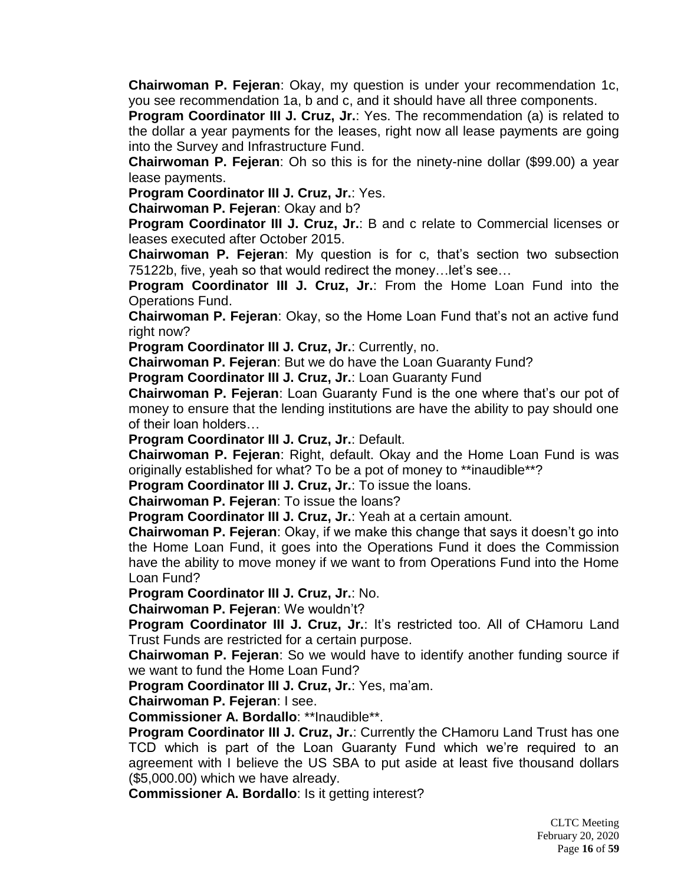**Chairwoman P. Fejeran**: Okay, my question is under your recommendation 1c, you see recommendation 1a, b and c, and it should have all three components.

**Program Coordinator III J. Cruz, Jr.**: Yes. The recommendation (a) is related to the dollar a year payments for the leases, right now all lease payments are going into the Survey and Infrastructure Fund.

**Chairwoman P. Fejeran**: Oh so this is for the ninety-nine dollar (\$99.00) a year lease payments.

**Program Coordinator III J. Cruz, Jr.**: Yes.

**Chairwoman P. Fejeran**: Okay and b?

**Program Coordinator III J. Cruz, Jr.**: B and c relate to Commercial licenses or leases executed after October 2015.

**Chairwoman P. Fejeran**: My question is for c, that's section two subsection 75122b, five, yeah so that would redirect the money…let's see…

**Program Coordinator III J. Cruz, Jr.**: From the Home Loan Fund into the Operations Fund.

**Chairwoman P. Fejeran**: Okay, so the Home Loan Fund that's not an active fund right now?

**Program Coordinator III J. Cruz, Jr.**: Currently, no.

**Chairwoman P. Fejeran**: But we do have the Loan Guaranty Fund?

**Program Coordinator III J. Cruz, Jr.**: Loan Guaranty Fund

**Chairwoman P. Fejeran**: Loan Guaranty Fund is the one where that's our pot of money to ensure that the lending institutions are have the ability to pay should one of their loan holders…

**Program Coordinator III J. Cruz, Jr.**: Default.

**Chairwoman P. Fejeran**: Right, default. Okay and the Home Loan Fund is was originally established for what? To be a pot of money to \*\*inaudible\*\*?

**Program Coordinator III J. Cruz, Jr.**: To issue the loans.

**Chairwoman P. Fejeran**: To issue the loans?

**Program Coordinator III J. Cruz, Jr.**: Yeah at a certain amount.

**Chairwoman P. Fejeran**: Okay, if we make this change that says it doesn't go into the Home Loan Fund, it goes into the Operations Fund it does the Commission have the ability to move money if we want to from Operations Fund into the Home Loan Fund?

**Program Coordinator III J. Cruz, Jr.**: No.

**Chairwoman P. Fejeran**: We wouldn't?

**Program Coordinator III J. Cruz, Jr.**: It's restricted too. All of CHamoru Land Trust Funds are restricted for a certain purpose.

**Chairwoman P. Fejeran**: So we would have to identify another funding source if we want to fund the Home Loan Fund?

**Program Coordinator III J. Cruz, Jr.**: Yes, ma'am.

**Chairwoman P. Fejeran**: I see.

**Commissioner A. Bordallo**: \*\*Inaudible\*\*.

**Program Coordinator III J. Cruz, Jr.**: Currently the CHamoru Land Trust has one TCD which is part of the Loan Guaranty Fund which we're required to an agreement with I believe the US SBA to put aside at least five thousand dollars (\$5,000.00) which we have already.

**Commissioner A. Bordallo**: Is it getting interest?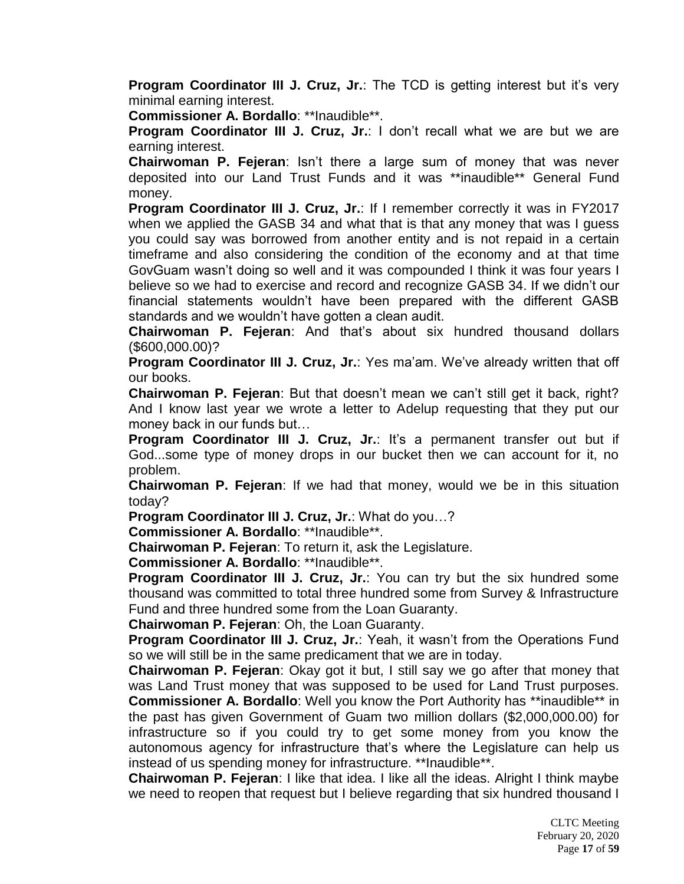**Program Coordinator III J. Cruz, Jr.**: The TCD is getting interest but it's very minimal earning interest.

**Commissioner A. Bordallo**: \*\*Inaudible\*\*.

**Program Coordinator III J. Cruz, Jr.**: I don't recall what we are but we are earning interest.

**Chairwoman P. Fejeran**: Isn't there a large sum of money that was never deposited into our Land Trust Funds and it was \*\*inaudible\*\* General Fund money.

**Program Coordinator III J. Cruz, Jr.**: If I remember correctly it was in FY2017 when we applied the GASB 34 and what that is that any money that was I guess you could say was borrowed from another entity and is not repaid in a certain timeframe and also considering the condition of the economy and at that time GovGuam wasn't doing so well and it was compounded I think it was four years I believe so we had to exercise and record and recognize GASB 34. If we didn't our financial statements wouldn't have been prepared with the different GASB standards and we wouldn't have gotten a clean audit.

**Chairwoman P. Fejeran**: And that's about six hundred thousand dollars (\$600,000.00)?

**Program Coordinator III J. Cruz, Jr.**: Yes ma'am. We've already written that off our books.

**Chairwoman P. Fejeran**: But that doesn't mean we can't still get it back, right? And I know last year we wrote a letter to Adelup requesting that they put our money back in our funds but…

**Program Coordinator III J. Cruz, Jr.**: It's a permanent transfer out but if God...some type of money drops in our bucket then we can account for it, no problem.

**Chairwoman P. Fejeran**: If we had that money, would we be in this situation today?

**Program Coordinator III J. Cruz, Jr.**: What do you…?

**Commissioner A. Bordallo**: \*\*Inaudible\*\*.

**Chairwoman P. Fejeran**: To return it, ask the Legislature.

**Commissioner A. Bordallo**: \*\*Inaudible\*\*.

**Program Coordinator III J. Cruz, Jr.**: You can try but the six hundred some thousand was committed to total three hundred some from Survey & Infrastructure Fund and three hundred some from the Loan Guaranty.

**Chairwoman P. Fejeran**: Oh, the Loan Guaranty.

**Program Coordinator III J. Cruz, Jr.**: Yeah, it wasn't from the Operations Fund so we will still be in the same predicament that we are in today.

**Chairwoman P. Fejeran**: Okay got it but, I still say we go after that money that was Land Trust money that was supposed to be used for Land Trust purposes. **Commissioner A. Bordallo**: Well you know the Port Authority has \*\*inaudible\*\* in the past has given Government of Guam two million dollars (\$2,000,000.00) for infrastructure so if you could try to get some money from you know the autonomous agency for infrastructure that's where the Legislature can help us instead of us spending money for infrastructure. \*\*Inaudible\*\*.

**Chairwoman P. Fejeran**: I like that idea. I like all the ideas. Alright I think maybe we need to reopen that request but I believe regarding that six hundred thousand I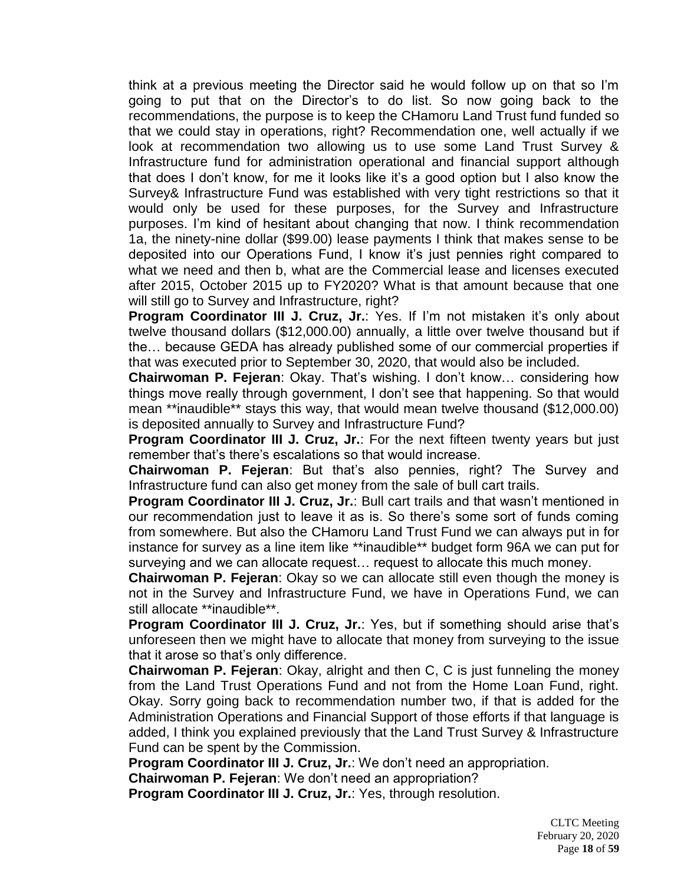think at a previous meeting the Director said he would follow up on that so I'm going to put that on the Director's to do list. So now going back to the recommendations, the purpose is to keep the CHamoru Land Trust fund funded so that we could stay in operations, right? Recommendation one, well actually if we look at recommendation two allowing us to use some Land Trust Survey & Infrastructure fund for administration operational and financial support although that does I don't know, for me it looks like it's a good option but I also know the Survey& Infrastructure Fund was established with very tight restrictions so that it would only be used for these purposes, for the Survey and Infrastructure purposes. I'm kind of hesitant about changing that now. I think recommendation 1a, the ninety-nine dollar (\$99.00) lease payments I think that makes sense to be deposited into our Operations Fund, I know it's just pennies right compared to what we need and then b, what are the Commercial lease and licenses executed after 2015, October 2015 up to FY2020? What is that amount because that one will still go to Survey and Infrastructure, right?

**Program Coordinator III J. Cruz, Jr.**: Yes. If I'm not mistaken it's only about twelve thousand dollars (\$12,000.00) annually, a little over twelve thousand but if the… because GEDA has already published some of our commercial properties if that was executed prior to September 30, 2020, that would also be included.

**Chairwoman P. Fejeran**: Okay. That's wishing. I don't know… considering how things move really through government, I don't see that happening. So that would mean \*\*inaudible\*\* stays this way, that would mean twelve thousand (\$12,000.00) is deposited annually to Survey and Infrastructure Fund?

**Program Coordinator III J. Cruz, Jr.**: For the next fifteen twenty years but just remember that's there's escalations so that would increase.

**Chairwoman P. Fejeran**: But that's also pennies, right? The Survey and Infrastructure fund can also get money from the sale of bull cart trails.

**Program Coordinator III J. Cruz, Jr.**: Bull cart trails and that wasn't mentioned in our recommendation just to leave it as is. So there's some sort of funds coming from somewhere. But also the CHamoru Land Trust Fund we can always put in for instance for survey as a line item like \*\*inaudible\*\* budget form 96A we can put for surveying and we can allocate request… request to allocate this much money.

**Chairwoman P. Fejeran**: Okay so we can allocate still even though the money is not in the Survey and Infrastructure Fund, we have in Operations Fund, we can still allocate \*\*inaudible\*\*.

**Program Coordinator III J. Cruz, Jr.**: Yes, but if something should arise that's unforeseen then we might have to allocate that money from surveying to the issue that it arose so that's only difference.

**Chairwoman P. Fejeran**: Okay, alright and then C, C is just funneling the money from the Land Trust Operations Fund and not from the Home Loan Fund, right. Okay. Sorry going back to recommendation number two, if that is added for the Administration Operations and Financial Support of those efforts if that language is added, I think you explained previously that the Land Trust Survey & Infrastructure Fund can be spent by the Commission.

**Program Coordinator III J. Cruz, Jr.**: We don't need an appropriation.

**Chairwoman P. Fejeran**: We don't need an appropriation?

**Program Coordinator III J. Cruz, Jr.**: Yes, through resolution.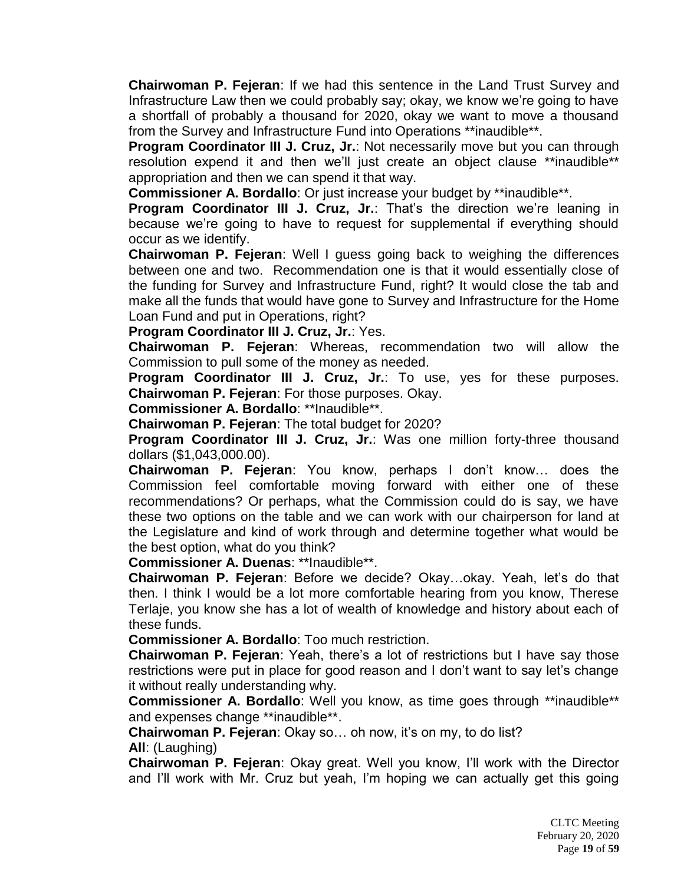**Chairwoman P. Fejeran**: If we had this sentence in the Land Trust Survey and Infrastructure Law then we could probably say; okay, we know we're going to have a shortfall of probably a thousand for 2020, okay we want to move a thousand from the Survey and Infrastructure Fund into Operations \*\*inaudible\*\*.

**Program Coordinator III J. Cruz, Jr.**: Not necessarily move but you can through resolution expend it and then we'll just create an object clause \*\*inaudible\*\* appropriation and then we can spend it that way.

**Commissioner A. Bordallo**: Or just increase your budget by \*\*inaudible\*\*.

**Program Coordinator III J. Cruz, Jr.**: That's the direction we're leaning in because we're going to have to request for supplemental if everything should occur as we identify.

**Chairwoman P. Fejeran**: Well I guess going back to weighing the differences between one and two. Recommendation one is that it would essentially close of the funding for Survey and Infrastructure Fund, right? It would close the tab and make all the funds that would have gone to Survey and Infrastructure for the Home Loan Fund and put in Operations, right?

**Program Coordinator III J. Cruz, Jr.**: Yes.

**Chairwoman P. Fejeran**: Whereas, recommendation two will allow the Commission to pull some of the money as needed.

**Program Coordinator III J. Cruz, Jr.**: To use, yes for these purposes. **Chairwoman P. Fejeran**: For those purposes. Okay.

**Commissioner A. Bordallo**: \*\*Inaudible\*\*.

**Chairwoman P. Fejeran**: The total budget for 2020?

**Program Coordinator III J. Cruz, Jr.**: Was one million forty-three thousand dollars (\$1,043,000.00).

**Chairwoman P. Fejeran**: You know, perhaps I don't know… does the Commission feel comfortable moving forward with either one of these recommendations? Or perhaps, what the Commission could do is say, we have these two options on the table and we can work with our chairperson for land at the Legislature and kind of work through and determine together what would be the best option, what do you think?

**Commissioner A. Duenas**: \*\*Inaudible\*\*.

**Chairwoman P. Fejeran**: Before we decide? Okay…okay. Yeah, let's do that then. I think I would be a lot more comfortable hearing from you know, Therese Terlaje, you know she has a lot of wealth of knowledge and history about each of these funds.

**Commissioner A. Bordallo**: Too much restriction.

**Chairwoman P. Fejeran**: Yeah, there's a lot of restrictions but I have say those restrictions were put in place for good reason and I don't want to say let's change it without really understanding why.

**Commissioner A. Bordallo**: Well you know, as time goes through \*\*inaudible\*\* and expenses change \*\*inaudible\*\*.

**Chairwoman P. Fejeran**: Okay so… oh now, it's on my, to do list?

**All**: (Laughing)

**Chairwoman P. Fejeran**: Okay great. Well you know, I'll work with the Director and I'll work with Mr. Cruz but yeah, I'm hoping we can actually get this going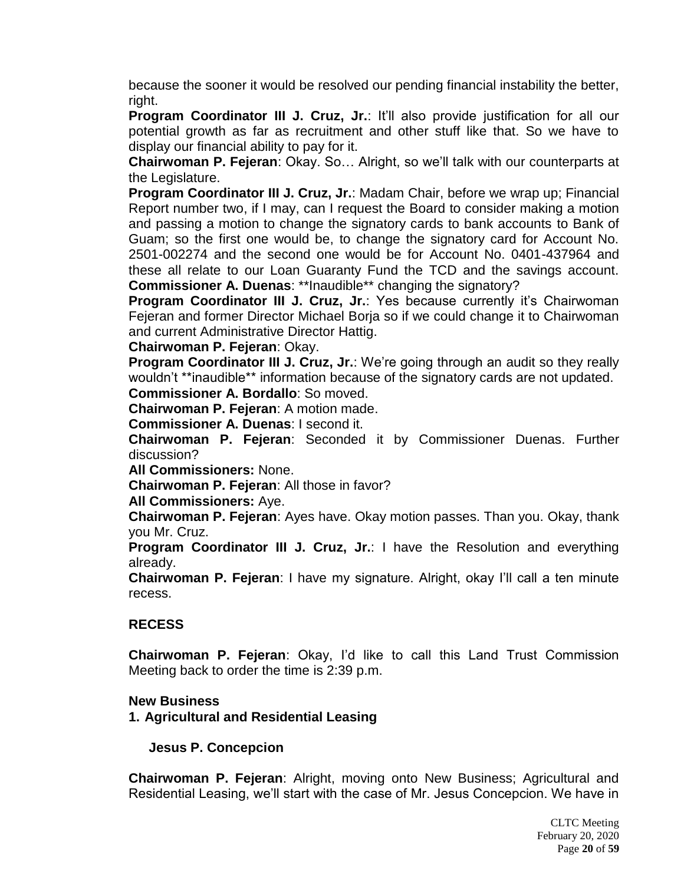because the sooner it would be resolved our pending financial instability the better, right.

**Program Coordinator III J. Cruz, Jr.**: It'll also provide justification for all our potential growth as far as recruitment and other stuff like that. So we have to display our financial ability to pay for it.

**Chairwoman P. Fejeran**: Okay. So… Alright, so we'll talk with our counterparts at the Legislature.

**Program Coordinator III J. Cruz, Jr.**: Madam Chair, before we wrap up; Financial Report number two, if I may, can I request the Board to consider making a motion and passing a motion to change the signatory cards to bank accounts to Bank of Guam; so the first one would be, to change the signatory card for Account No. 2501-002274 and the second one would be for Account No. 0401-437964 and these all relate to our Loan Guaranty Fund the TCD and the savings account. **Commissioner A. Duenas**: \*\*Inaudible\*\* changing the signatory?

**Program Coordinator III J. Cruz, Jr.**: Yes because currently it's Chairwoman Fejeran and former Director Michael Borja so if we could change it to Chairwoman and current Administrative Director Hattig.

#### **Chairwoman P. Fejeran**: Okay.

**Program Coordinator III J. Cruz, Jr.**: We're going through an audit so they really wouldn't \*\*inaudible\*\* information because of the signatory cards are not updated.

**Commissioner A. Bordallo**: So moved.

**Chairwoman P. Fejeran**: A motion made.

**Commissioner A. Duenas**: I second it.

**Chairwoman P. Fejeran**: Seconded it by Commissioner Duenas. Further discussion?

**All Commissioners:** None.

**Chairwoman P. Fejeran**: All those in favor?

**All Commissioners:** Aye.

**Chairwoman P. Fejeran**: Ayes have. Okay motion passes. Than you. Okay, thank you Mr. Cruz.

**Program Coordinator III J. Cruz, Jr.**: I have the Resolution and everything already.

**Chairwoman P. Fejeran**: I have my signature. Alright, okay I'll call a ten minute recess.

#### **RECESS**

**Chairwoman P. Fejeran**: Okay, I'd like to call this Land Trust Commission Meeting back to order the time is 2:39 p.m.

#### **New Business**

**1. Agricultural and Residential Leasing**

#### **Jesus P. Concepcion**

**Chairwoman P. Fejeran**: Alright, moving onto New Business; Agricultural and Residential Leasing, we'll start with the case of Mr. Jesus Concepcion. We have in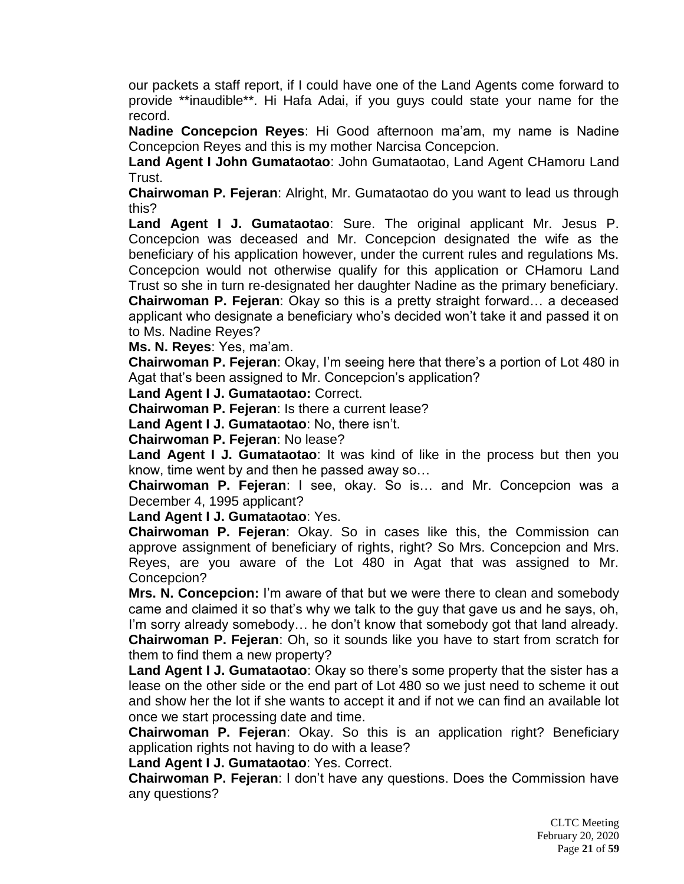our packets a staff report, if I could have one of the Land Agents come forward to provide \*\*inaudible\*\*. Hi Hafa Adai, if you guys could state your name for the record.

**Nadine Concepcion Reyes**: Hi Good afternoon ma'am, my name is Nadine Concepcion Reyes and this is my mother Narcisa Concepcion.

**Land Agent I John Gumataotao**: John Gumataotao, Land Agent CHamoru Land Trust.

**Chairwoman P. Fejeran**: Alright, Mr. Gumataotao do you want to lead us through this?

**Land Agent I J. Gumataotao**: Sure. The original applicant Mr. Jesus P. Concepcion was deceased and Mr. Concepcion designated the wife as the beneficiary of his application however, under the current rules and regulations Ms. Concepcion would not otherwise qualify for this application or CHamoru Land Trust so she in turn re-designated her daughter Nadine as the primary beneficiary.

**Chairwoman P. Fejeran**: Okay so this is a pretty straight forward… a deceased applicant who designate a beneficiary who's decided won't take it and passed it on to Ms. Nadine Reyes?

**Ms. N. Reyes**: Yes, ma'am.

**Chairwoman P. Fejeran**: Okay, I'm seeing here that there's a portion of Lot 480 in Agat that's been assigned to Mr. Concepcion's application?

**Land Agent I J. Gumataotao:** Correct.

**Chairwoman P. Fejeran**: Is there a current lease?

**Land Agent I J. Gumataotao**: No, there isn't.

**Chairwoman P. Fejeran**: No lease?

**Land Agent I J. Gumataotao**: It was kind of like in the process but then you know, time went by and then he passed away so…

**Chairwoman P. Fejeran**: I see, okay. So is… and Mr. Concepcion was a December 4, 1995 applicant?

**Land Agent I J. Gumataotao**: Yes.

**Chairwoman P. Fejeran**: Okay. So in cases like this, the Commission can approve assignment of beneficiary of rights, right? So Mrs. Concepcion and Mrs. Reyes, are you aware of the Lot 480 in Agat that was assigned to Mr. Concepcion?

**Mrs. N. Concepcion:** I'm aware of that but we were there to clean and somebody came and claimed it so that's why we talk to the guy that gave us and he says, oh, I'm sorry already somebody... he don't know that somebody got that land already.

**Chairwoman P. Fejeran**: Oh, so it sounds like you have to start from scratch for them to find them a new property?

**Land Agent I J. Gumataotao**: Okay so there's some property that the sister has a lease on the other side or the end part of Lot 480 so we just need to scheme it out and show her the lot if she wants to accept it and if not we can find an available lot once we start processing date and time.

**Chairwoman P. Fejeran**: Okay. So this is an application right? Beneficiary application rights not having to do with a lease?

**Land Agent I J. Gumataotao**: Yes. Correct.

**Chairwoman P. Fejeran**: I don't have any questions. Does the Commission have any questions?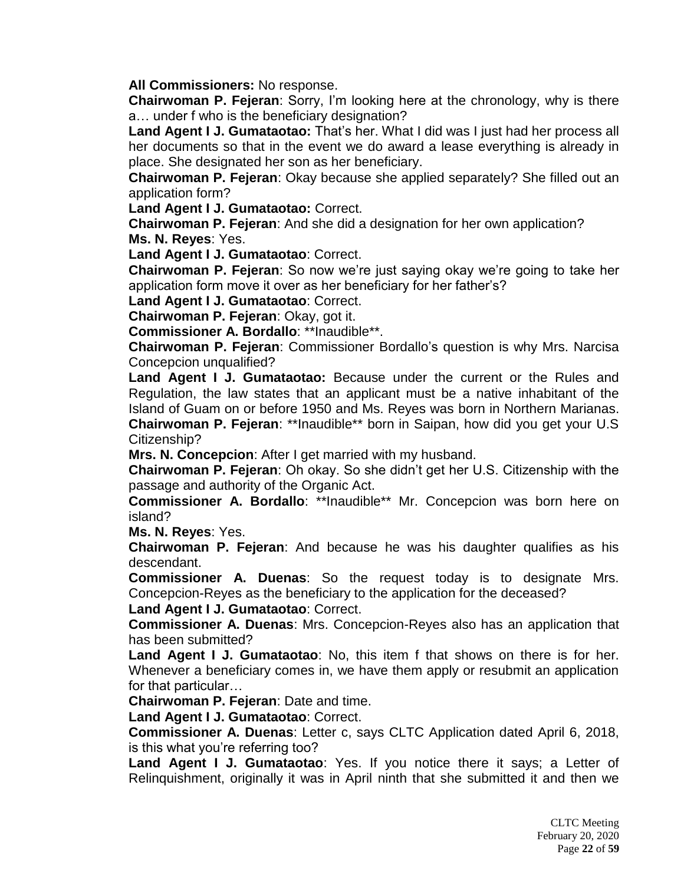**All Commissioners:** No response.

**Chairwoman P. Fejeran**: Sorry, I'm looking here at the chronology, why is there a… under f who is the beneficiary designation?

**Land Agent I J. Gumataotao:** That's her. What I did was I just had her process all her documents so that in the event we do award a lease everything is already in place. She designated her son as her beneficiary.

**Chairwoman P. Fejeran**: Okay because she applied separately? She filled out an application form?

**Land Agent I J. Gumataotao:** Correct.

**Chairwoman P. Fejeran**: And she did a designation for her own application? **Ms. N. Reyes**: Yes.

**Land Agent I J. Gumataotao**: Correct.

**Chairwoman P. Fejeran**: So now we're just saying okay we're going to take her application form move it over as her beneficiary for her father's?

**Land Agent I J. Gumataotao**: Correct.

**Chairwoman P. Fejeran**: Okay, got it.

**Commissioner A. Bordallo**: \*\*Inaudible\*\*.

**Chairwoman P. Fejeran**: Commissioner Bordallo's question is why Mrs. Narcisa Concepcion unqualified?

**Land Agent I J. Gumataotao:** Because under the current or the Rules and Regulation, the law states that an applicant must be a native inhabitant of the Island of Guam on or before 1950 and Ms. Reyes was born in Northern Marianas. **Chairwoman P. Fejeran**: \*\*Inaudible\*\* born in Saipan, how did you get your U.S

Citizenship?

**Mrs. N. Concepcion**: After I get married with my husband.

**Chairwoman P. Fejeran**: Oh okay. So she didn't get her U.S. Citizenship with the passage and authority of the Organic Act.

**Commissioner A. Bordallo**: \*\*Inaudible\*\* Mr. Concepcion was born here on island?

**Ms. N. Reyes**: Yes.

**Chairwoman P. Fejeran**: And because he was his daughter qualifies as his descendant.

**Commissioner A. Duenas**: So the request today is to designate Mrs. Concepcion-Reyes as the beneficiary to the application for the deceased?

**Land Agent I J. Gumataotao**: Correct.

**Commissioner A. Duenas**: Mrs. Concepcion-Reyes also has an application that has been submitted?

**Land Agent I J. Gumataotao**: No, this item f that shows on there is for her. Whenever a beneficiary comes in, we have them apply or resubmit an application for that particular…

**Chairwoman P. Fejeran**: Date and time.

**Land Agent I J. Gumataotao**: Correct.

**Commissioner A. Duenas**: Letter c, says CLTC Application dated April 6, 2018, is this what you're referring too?

**Land Agent I J. Gumataotao**: Yes. If you notice there it says; a Letter of Relinquishment, originally it was in April ninth that she submitted it and then we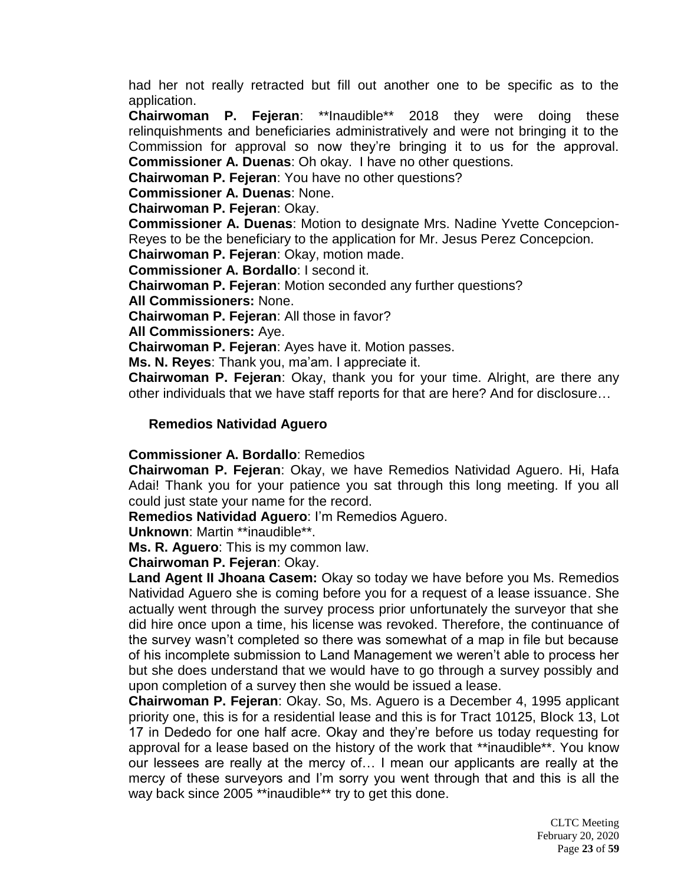had her not really retracted but fill out another one to be specific as to the application.

**Chairwoman P. Fejeran**: \*\*Inaudible\*\* 2018 they were doing these relinquishments and beneficiaries administratively and were not bringing it to the Commission for approval so now they're bringing it to us for the approval. **Commissioner A. Duenas**: Oh okay. I have no other questions.

**Chairwoman P. Fejeran**: You have no other questions?

**Commissioner A. Duenas**: None.

**Chairwoman P. Fejeran**: Okay.

**Commissioner A. Duenas**: Motion to designate Mrs. Nadine Yvette Concepcion-Reyes to be the beneficiary to the application for Mr. Jesus Perez Concepcion.

**Chairwoman P. Fejeran**: Okay, motion made.

**Commissioner A. Bordallo**: I second it.

**Chairwoman P. Fejeran**: Motion seconded any further questions?

**All Commissioners:** None.

**Chairwoman P. Fejeran**: All those in favor?

**All Commissioners:** Aye.

**Chairwoman P. Fejeran**: Ayes have it. Motion passes.

**Ms. N. Reyes**: Thank you, ma'am. I appreciate it.

**Chairwoman P. Fejeran**: Okay, thank you for your time. Alright, are there any other individuals that we have staff reports for that are here? And for disclosure…

### **Remedios Natividad Aguero**

#### **Commissioner A. Bordallo**: Remedios

**Chairwoman P. Fejeran**: Okay, we have Remedios Natividad Aguero. Hi, Hafa Adai! Thank you for your patience you sat through this long meeting. If you all could just state your name for the record.

**Remedios Natividad Aguero**: I'm Remedios Aguero.

**Unknown**: Martin \*\*inaudible\*\*.

**Ms. R. Aguero**: This is my common law.

#### **Chairwoman P. Fejeran**: Okay.

**Land Agent II Jhoana Casem:** Okay so today we have before you Ms. Remedios Natividad Aguero she is coming before you for a request of a lease issuance. She actually went through the survey process prior unfortunately the surveyor that she did hire once upon a time, his license was revoked. Therefore, the continuance of the survey wasn't completed so there was somewhat of a map in file but because of his incomplete submission to Land Management we weren't able to process her but she does understand that we would have to go through a survey possibly and upon completion of a survey then she would be issued a lease.

**Chairwoman P. Fejeran**: Okay. So, Ms. Aguero is a December 4, 1995 applicant priority one, this is for a residential lease and this is for Tract 10125, Block 13, Lot 17 in Dededo for one half acre. Okay and they're before us today requesting for approval for a lease based on the history of the work that \*\*inaudible\*\*. You know our lessees are really at the mercy of… I mean our applicants are really at the mercy of these surveyors and I'm sorry you went through that and this is all the way back since 2005 \*\*inaudible\*\* try to get this done.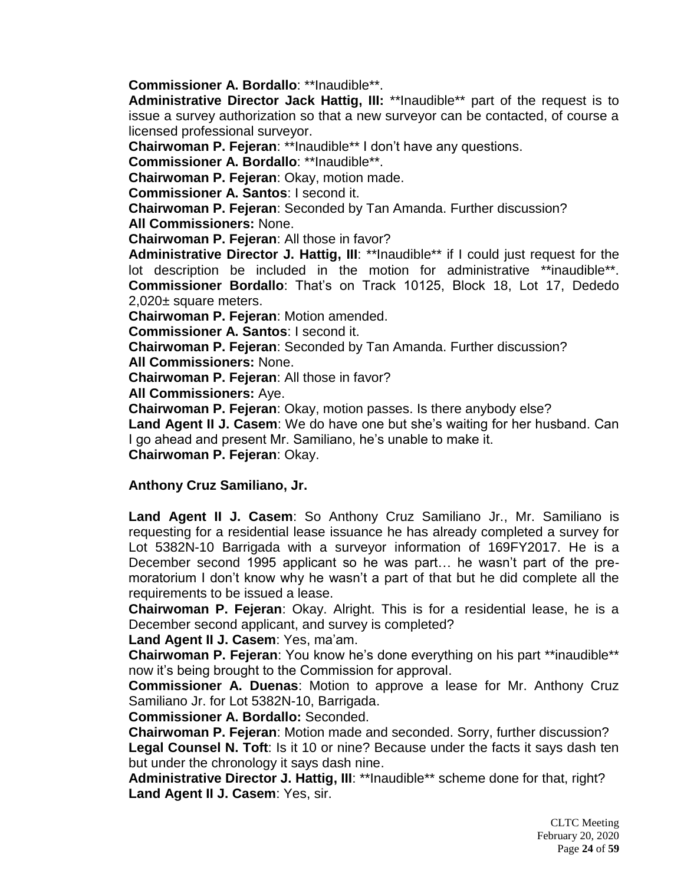**Commissioner A. Bordallo**: \*\*Inaudible\*\*.

**Administrative Director Jack Hattig, III:** \*\*Inaudible\*\* part of the request is to issue a survey authorization so that a new surveyor can be contacted, of course a licensed professional surveyor.

**Chairwoman P. Fejeran**: \*\*Inaudible\*\* I don't have any questions.

**Commissioner A. Bordallo**: \*\*Inaudible\*\*.

**Chairwoman P. Fejeran**: Okay, motion made.

**Commissioner A. Santos**: I second it.

**Chairwoman P. Fejeran**: Seconded by Tan Amanda. Further discussion?

**All Commissioners:** None.

**Chairwoman P. Fejeran**: All those in favor?

**Administrative Director J. Hattig, III**: \*\*Inaudible\*\* if I could just request for the lot description be included in the motion for administrative \*\*inaudible\*\*. **Commissioner Bordallo**: That's on Track 10125, Block 18, Lot 17, Dededo 2,020± square meters.

**Chairwoman P. Fejeran**: Motion amended.

**Commissioner A. Santos**: I second it.

**Chairwoman P. Fejeran**: Seconded by Tan Amanda. Further discussion?

**All Commissioners:** None.

**Chairwoman P. Fejeran**: All those in favor?

**All Commissioners:** Aye.

**Chairwoman P. Fejeran**: Okay, motion passes. Is there anybody else?

**Land Agent II J. Casem**: We do have one but she's waiting for her husband. Can I go ahead and present Mr. Samiliano, he's unable to make it.

**Chairwoman P. Fejeran**: Okay.

## **Anthony Cruz Samiliano, Jr.**

**Land Agent II J. Casem**: So Anthony Cruz Samiliano Jr., Mr. Samiliano is requesting for a residential lease issuance he has already completed a survey for Lot 5382N-10 Barrigada with a surveyor information of 169FY2017. He is a December second 1995 applicant so he was part… he wasn't part of the premoratorium I don't know why he wasn't a part of that but he did complete all the requirements to be issued a lease.

**Chairwoman P. Fejeran**: Okay. Alright. This is for a residential lease, he is a December second applicant, and survey is completed?

## **Land Agent II J. Casem**: Yes, ma'am.

**Chairwoman P. Fejeran**: You know he's done everything on his part \*\*inaudible\*\* now it's being brought to the Commission for approval.

**Commissioner A. Duenas**: Motion to approve a lease for Mr. Anthony Cruz Samiliano Jr. for Lot 5382N-10, Barrigada.

**Commissioner A. Bordallo:** Seconded.

**Chairwoman P. Fejeran**: Motion made and seconded. Sorry, further discussion? **Legal Counsel N. Toft**: Is it 10 or nine? Because under the facts it says dash ten but under the chronology it says dash nine.

**Administrative Director J. Hattig, III**: \*\*Inaudible\*\* scheme done for that, right? **Land Agent II J. Casem**: Yes, sir.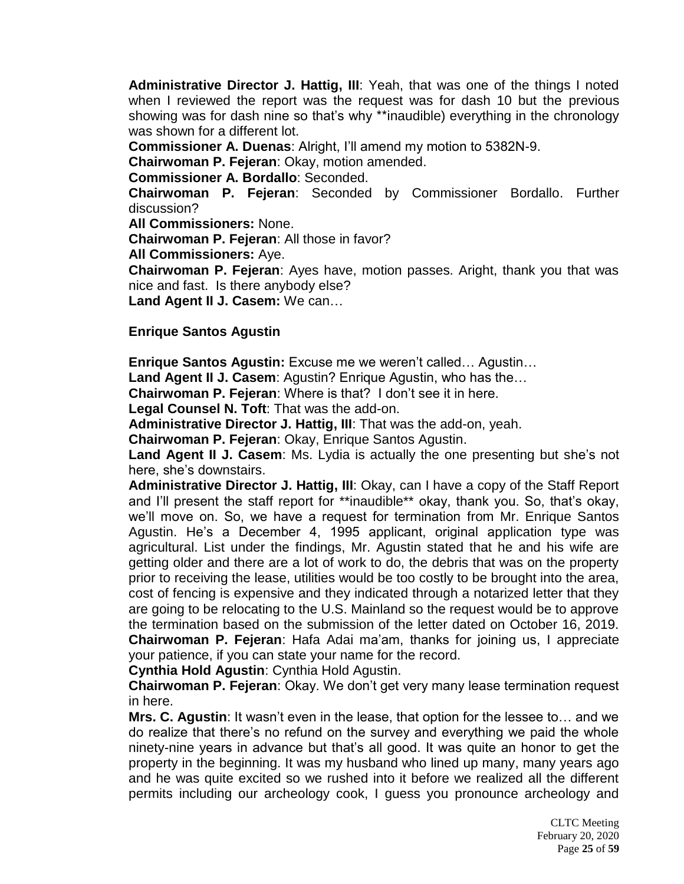**Administrative Director J. Hattig, III**: Yeah, that was one of the things I noted when I reviewed the report was the request was for dash 10 but the previous showing was for dash nine so that's why \*\*inaudible) everything in the chronology was shown for a different lot.

**Commissioner A. Duenas**: Alright, I'll amend my motion to 5382N-9.

**Chairwoman P. Fejeran**: Okay, motion amended.

**Commissioner A. Bordallo**: Seconded.

**Chairwoman P. Fejeran**: Seconded by Commissioner Bordallo. Further discussion?

**All Commissioners:** None.

**Chairwoman P. Fejeran**: All those in favor?

**All Commissioners:** Aye.

**Chairwoman P. Fejeran**: Ayes have, motion passes. Aright, thank you that was nice and fast. Is there anybody else?

**Land Agent II J. Casem:** We can…

### **Enrique Santos Agustin**

**Enrique Santos Agustin:** Excuse me we weren't called… Agustin…

**Land Agent II J. Casem**: Agustin? Enrique Agustin, who has the…

**Chairwoman P. Fejeran**: Where is that? I don't see it in here.

**Legal Counsel N. Toft**: That was the add-on.

**Administrative Director J. Hattig, III**: That was the add-on, yeah.

**Chairwoman P. Fejeran**: Okay, Enrique Santos Agustin.

**Land Agent II J. Casem**: Ms. Lydia is actually the one presenting but she's not here, she's downstairs.

**Administrative Director J. Hattig, III**: Okay, can I have a copy of the Staff Report and I'll present the staff report for \*\*inaudible\*\* okay, thank you. So, that's okay, we'll move on. So, we have a request for termination from Mr. Enrique Santos Agustin. He's a December 4, 1995 applicant, original application type was agricultural. List under the findings, Mr. Agustin stated that he and his wife are getting older and there are a lot of work to do, the debris that was on the property prior to receiving the lease, utilities would be too costly to be brought into the area, cost of fencing is expensive and they indicated through a notarized letter that they are going to be relocating to the U.S. Mainland so the request would be to approve the termination based on the submission of the letter dated on October 16, 2019. **Chairwoman P. Fejeran**: Hafa Adai ma'am, thanks for joining us, I appreciate your patience, if you can state your name for the record.

**Cynthia Hold Agustin**: Cynthia Hold Agustin.

**Chairwoman P. Fejeran**: Okay. We don't get very many lease termination request in here.

**Mrs. C. Agustin**: It wasn't even in the lease, that option for the lessee to… and we do realize that there's no refund on the survey and everything we paid the whole ninety-nine years in advance but that's all good. It was quite an honor to get the property in the beginning. It was my husband who lined up many, many years ago and he was quite excited so we rushed into it before we realized all the different permits including our archeology cook, I guess you pronounce archeology and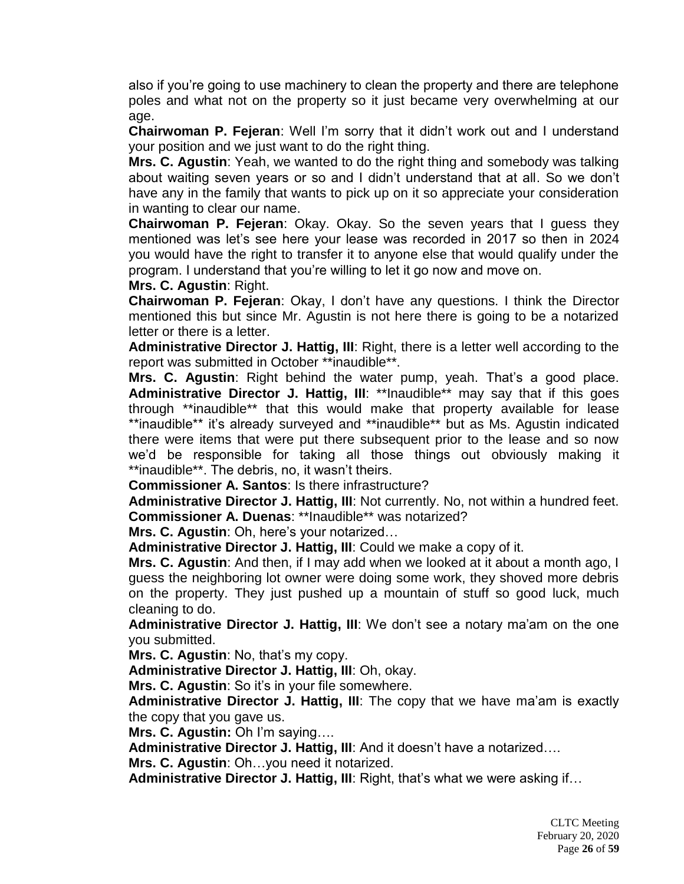also if you're going to use machinery to clean the property and there are telephone poles and what not on the property so it just became very overwhelming at our age.

**Chairwoman P. Fejeran**: Well I'm sorry that it didn't work out and I understand your position and we just want to do the right thing.

**Mrs. C. Agustin**: Yeah, we wanted to do the right thing and somebody was talking about waiting seven years or so and I didn't understand that at all. So we don't have any in the family that wants to pick up on it so appreciate your consideration in wanting to clear our name.

**Chairwoman P. Fejeran**: Okay. Okay. So the seven years that I guess they mentioned was let's see here your lease was recorded in 2017 so then in 2024 you would have the right to transfer it to anyone else that would qualify under the program. I understand that you're willing to let it go now and move on.

**Mrs. C. Agustin**: Right.

**Chairwoman P. Fejeran**: Okay, I don't have any questions. I think the Director mentioned this but since Mr. Agustin is not here there is going to be a notarized letter or there is a letter.

**Administrative Director J. Hattig, III**: Right, there is a letter well according to the report was submitted in October \*\*inaudible\*\*.

**Mrs. C. Agustin**: Right behind the water pump, yeah. That's a good place. Administrative Director J. Hattig, III: \*\*Inaudible\*\* may say that if this goes through \*\*inaudible\*\* that this would make that property available for lease \*\*inaudible\*\* it's already surveyed and \*\*inaudible\*\* but as Ms. Agustin indicated there were items that were put there subsequent prior to the lease and so now we'd be responsible for taking all those things out obviously making it \*\*inaudible\*\*. The debris, no, it wasn't theirs.

**Commissioner A. Santos**: Is there infrastructure?

**Administrative Director J. Hattig, III**: Not currently. No, not within a hundred feet. **Commissioner A. Duenas**: \*\*Inaudible\*\* was notarized?

**Mrs. C. Agustin**: Oh, here's your notarized…

**Administrative Director J. Hattig, III**: Could we make a copy of it.

**Mrs. C. Agustin**: And then, if I may add when we looked at it about a month ago, I guess the neighboring lot owner were doing some work, they shoved more debris on the property. They just pushed up a mountain of stuff so good luck, much cleaning to do.

**Administrative Director J. Hattig, III**: We don't see a notary ma'am on the one you submitted.

**Mrs. C. Agustin**: No, that's my copy.

**Administrative Director J. Hattig, III**: Oh, okay.

**Mrs. C. Agustin**: So it's in your file somewhere.

**Administrative Director J. Hattig, III**: The copy that we have ma'am is exactly the copy that you gave us.

**Mrs. C. Agustin:** Oh I'm saying….

**Administrative Director J. Hattig, III**: And it doesn't have a notarized….

**Mrs. C. Agustin**: Oh…you need it notarized.

**Administrative Director J. Hattig, III: Right, that's what we were asking if...**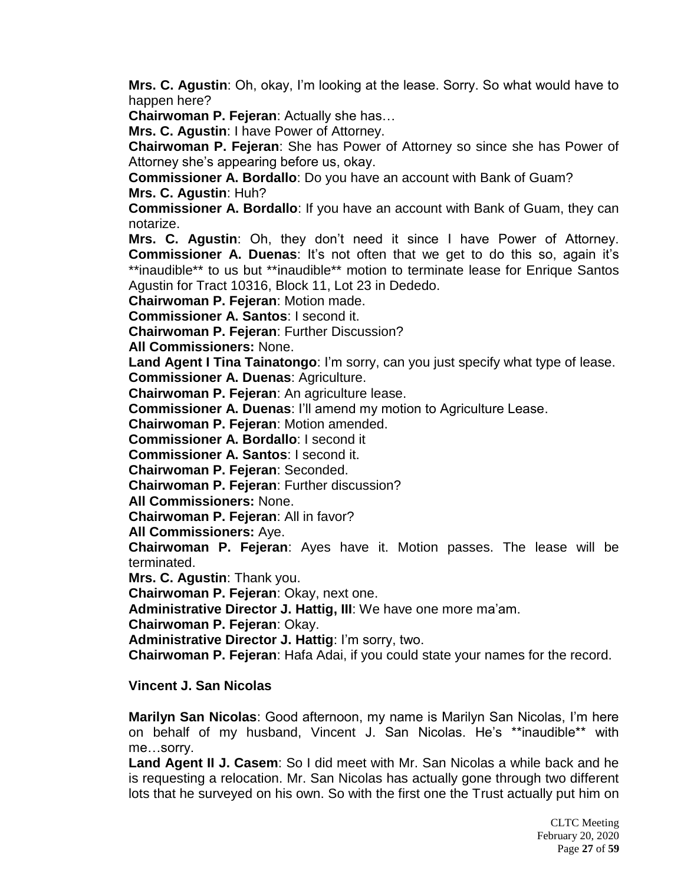**Mrs. C. Agustin**: Oh, okay, I'm looking at the lease. Sorry. So what would have to happen here?

**Chairwoman P. Fejeran**: Actually she has…

**Mrs. C. Agustin**: I have Power of Attorney.

**Chairwoman P. Fejeran**: She has Power of Attorney so since she has Power of Attorney she's appearing before us, okay.

**Commissioner A. Bordallo**: Do you have an account with Bank of Guam? **Mrs. C. Agustin**: Huh?

**Commissioner A. Bordallo**: If you have an account with Bank of Guam, they can notarize.

**Mrs. C. Agustin**: Oh, they don't need it since I have Power of Attorney. **Commissioner A. Duenas:** It's not often that we get to do this so, again it's \*\*inaudible\*\* to us but \*\*inaudible\*\* motion to terminate lease for Enrique Santos Agustin for Tract 10316, Block 11, Lot 23 in Dededo.

**Chairwoman P. Fejeran**: Motion made.

**Commissioner A. Santos**: I second it.

**Chairwoman P. Fejeran**: Further Discussion?

**All Commissioners:** None.

**Land Agent I Tina Tainatongo**: I'm sorry, can you just specify what type of lease.

**Commissioner A. Duenas**: Agriculture.

**Chairwoman P. Fejeran**: An agriculture lease.

**Commissioner A. Duenas**: I'll amend my motion to Agriculture Lease.

**Chairwoman P. Fejeran**: Motion amended.

**Commissioner A. Bordallo**: I second it

**Commissioner A. Santos**: I second it.

**Chairwoman P. Fejeran**: Seconded.

**Chairwoman P. Fejeran**: Further discussion?

**All Commissioners:** None.

**Chairwoman P. Fejeran**: All in favor?

**All Commissioners:** Aye.

**Chairwoman P. Fejeran**: Ayes have it. Motion passes. The lease will be terminated.

**Mrs. C. Agustin**: Thank you.

**Chairwoman P. Fejeran**: Okay, next one.

**Administrative Director J. Hattig, III**: We have one more ma'am.

**Chairwoman P. Fejeran**: Okay.

**Administrative Director J. Hattig**: I'm sorry, two.

**Chairwoman P. Fejeran**: Hafa Adai, if you could state your names for the record.

#### **Vincent J. San Nicolas**

**Marilyn San Nicolas**: Good afternoon, my name is Marilyn San Nicolas, I'm here on behalf of my husband, Vincent J. San Nicolas. He's \*\*inaudible\*\* with me…sorry.

**Land Agent II J. Casem**: So I did meet with Mr. San Nicolas a while back and he is requesting a relocation. Mr. San Nicolas has actually gone through two different lots that he surveyed on his own. So with the first one the Trust actually put him on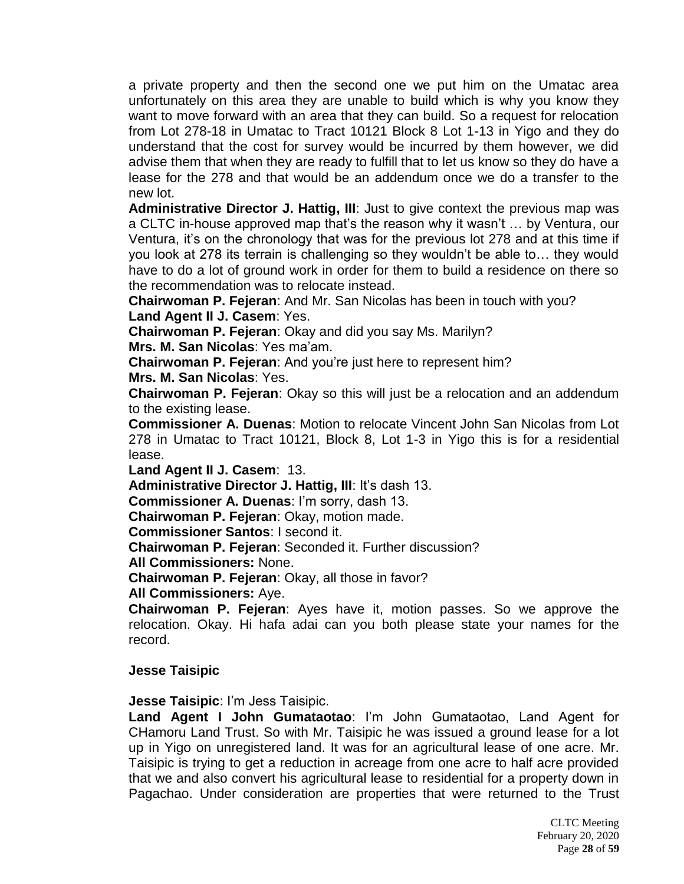a private property and then the second one we put him on the Umatac area unfortunately on this area they are unable to build which is why you know they want to move forward with an area that they can build. So a request for relocation from Lot 278-18 in Umatac to Tract 10121 Block 8 Lot 1-13 in Yigo and they do understand that the cost for survey would be incurred by them however, we did advise them that when they are ready to fulfill that to let us know so they do have a lease for the 278 and that would be an addendum once we do a transfer to the new lot.

**Administrative Director J. Hattig, III**: Just to give context the previous map was a CLTC in-house approved map that's the reason why it wasn't … by Ventura, our Ventura, it's on the chronology that was for the previous lot 278 and at this time if you look at 278 its terrain is challenging so they wouldn't be able to… they would have to do a lot of ground work in order for them to build a residence on there so the recommendation was to relocate instead.

**Chairwoman P. Fejeran**: And Mr. San Nicolas has been in touch with you? **Land Agent II J. Casem**: Yes.

**Chairwoman P. Fejeran**: Okay and did you say Ms. Marilyn?

**Mrs. M. San Nicolas**: Yes ma'am.

**Chairwoman P. Fejeran**: And you're just here to represent him?

**Mrs. M. San Nicolas**: Yes.

**Chairwoman P. Fejeran**: Okay so this will just be a relocation and an addendum to the existing lease.

**Commissioner A. Duenas**: Motion to relocate Vincent John San Nicolas from Lot 278 in Umatac to Tract 10121, Block 8, Lot 1-3 in Yigo this is for a residential lease.

**Land Agent II J. Casem**: 13.

**Administrative Director J. Hattig, III**: It's dash 13.

**Commissioner A. Duenas**: I'm sorry, dash 13.

**Chairwoman P. Fejeran**: Okay, motion made.

**Commissioner Santos**: I second it.

**Chairwoman P. Fejeran**: Seconded it. Further discussion?

**All Commissioners:** None.

**Chairwoman P. Fejeran**: Okay, all those in favor?

**All Commissioners:** Aye.

**Chairwoman P. Fejeran**: Ayes have it, motion passes. So we approve the relocation. Okay. Hi hafa adai can you both please state your names for the record.

## **Jesse Taisipic**

**Jesse Taisipic**: I'm Jess Taisipic.

**Land Agent I John Gumataotao**: I'm John Gumataotao, Land Agent for CHamoru Land Trust. So with Mr. Taisipic he was issued a ground lease for a lot up in Yigo on unregistered land. It was for an agricultural lease of one acre. Mr. Taisipic is trying to get a reduction in acreage from one acre to half acre provided that we and also convert his agricultural lease to residential for a property down in Pagachao. Under consideration are properties that were returned to the Trust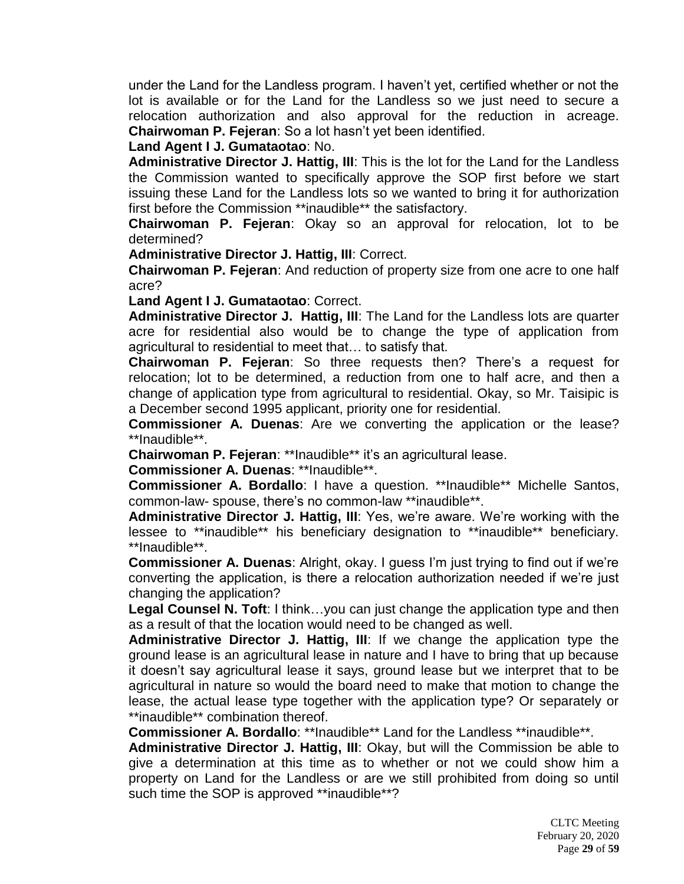under the Land for the Landless program. I haven't yet, certified whether or not the lot is available or for the Land for the Landless so we just need to secure a relocation authorization and also approval for the reduction in acreage. **Chairwoman P. Fejeran**: So a lot hasn't yet been identified.

**Land Agent I J. Gumataotao**: No.

**Administrative Director J. Hattig, III**: This is the lot for the Land for the Landless the Commission wanted to specifically approve the SOP first before we start issuing these Land for the Landless lots so we wanted to bring it for authorization first before the Commission \*\*inaudible\*\* the satisfactory.

**Chairwoman P. Fejeran**: Okay so an approval for relocation, lot to be determined?

**Administrative Director J. Hattig, III**: Correct.

**Chairwoman P. Fejeran**: And reduction of property size from one acre to one half acre?

**Land Agent I J. Gumataotao**: Correct.

**Administrative Director J. Hattig, III**: The Land for the Landless lots are quarter acre for residential also would be to change the type of application from agricultural to residential to meet that… to satisfy that.

**Chairwoman P. Fejeran**: So three requests then? There's a request for relocation; lot to be determined, a reduction from one to half acre, and then a change of application type from agricultural to residential. Okay, so Mr. Taisipic is a December second 1995 applicant, priority one for residential.

**Commissioner A. Duenas**: Are we converting the application or the lease? \*\*Inaudible\*\*.

**Chairwoman P. Fejeran**: \*\*Inaudible\*\* it's an agricultural lease.

**Commissioner A. Duenas**: \*\*Inaudible\*\*.

**Commissioner A. Bordallo**: I have a question. \*\*Inaudible\*\* Michelle Santos, common-law- spouse, there's no common-law \*\*inaudible\*\*.

**Administrative Director J. Hattig, III**: Yes, we're aware. We're working with the lessee to \*\*inaudible\*\* his beneficiary designation to \*\*inaudible\*\* beneficiary. \*\*Inaudible\*\*.

**Commissioner A. Duenas**: Alright, okay. I guess I'm just trying to find out if we're converting the application, is there a relocation authorization needed if we're just changing the application?

**Legal Counsel N. Toft**: I think…you can just change the application type and then as a result of that the location would need to be changed as well.

**Administrative Director J. Hattig, III**: If we change the application type the ground lease is an agricultural lease in nature and I have to bring that up because it doesn't say agricultural lease it says, ground lease but we interpret that to be agricultural in nature so would the board need to make that motion to change the lease, the actual lease type together with the application type? Or separately or \*\*inaudible\*\* combination thereof.

**Commissioner A. Bordallo**: \*\*Inaudible\*\* Land for the Landless \*\*inaudible\*\*.

**Administrative Director J. Hattig, III**: Okay, but will the Commission be able to give a determination at this time as to whether or not we could show him a property on Land for the Landless or are we still prohibited from doing so until such time the SOP is approved \*\*inaudible\*\*?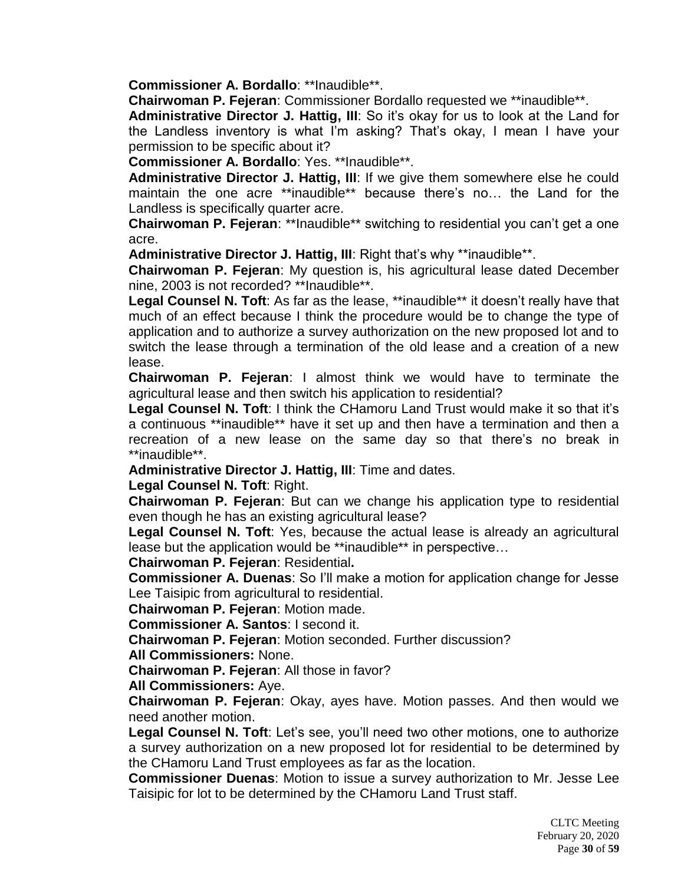**Commissioner A. Bordallo**: \*\*Inaudible\*\*.

**Chairwoman P. Fejeran**: Commissioner Bordallo requested we \*\*inaudible\*\*.

**Administrative Director J. Hattig, III**: So it's okay for us to look at the Land for the Landless inventory is what I'm asking? That's okay, I mean I have your permission to be specific about it?

**Commissioner A. Bordallo**: Yes. \*\*Inaudible\*\*.

**Administrative Director J. Hattig, III**: If we give them somewhere else he could maintain the one acre \*\*inaudible\*\* because there's no… the Land for the Landless is specifically quarter acre.

**Chairwoman P. Fejeran**: \*\*Inaudible\*\* switching to residential you can't get a one acre.

**Administrative Director J. Hattig, III**: Right that's why \*\*inaudible\*\*.

**Chairwoman P. Fejeran**: My question is, his agricultural lease dated December nine, 2003 is not recorded? \*\*Inaudible\*\*.

Legal Counsel N. Toft: As far as the lease, \*\*inaudible\*\* it doesn't really have that much of an effect because I think the procedure would be to change the type of application and to authorize a survey authorization on the new proposed lot and to switch the lease through a termination of the old lease and a creation of a new lease.

**Chairwoman P. Fejeran**: I almost think we would have to terminate the agricultural lease and then switch his application to residential?

**Legal Counsel N. Toft**: I think the CHamoru Land Trust would make it so that it's a continuous \*\*inaudible\*\* have it set up and then have a termination and then a recreation of a new lease on the same day so that there's no break in \*\*inaudible\*\*.

**Administrative Director J. Hattig, III**: Time and dates.

**Legal Counsel N. Toft**: Right.

**Chairwoman P. Fejeran**: But can we change his application type to residential even though he has an existing agricultural lease?

**Legal Counsel N. Toft**: Yes, because the actual lease is already an agricultural lease but the application would be \*\*inaudible\*\* in perspective…

**Chairwoman P. Fejeran**: Residential**.**

**Commissioner A. Duenas**: So I'll make a motion for application change for Jesse Lee Taisipic from agricultural to residential.

**Chairwoman P. Fejeran**: Motion made.

**Commissioner A. Santos**: I second it.

**Chairwoman P. Fejeran**: Motion seconded. Further discussion?

**All Commissioners:** None.

**Chairwoman P. Fejeran**: All those in favor?

**All Commissioners:** Aye.

**Chairwoman P. Fejeran**: Okay, ayes have. Motion passes. And then would we need another motion.

**Legal Counsel N. Toft**: Let's see, you'll need two other motions, one to authorize a survey authorization on a new proposed lot for residential to be determined by the CHamoru Land Trust employees as far as the location.

**Commissioner Duenas**: Motion to issue a survey authorization to Mr. Jesse Lee Taisipic for lot to be determined by the CHamoru Land Trust staff.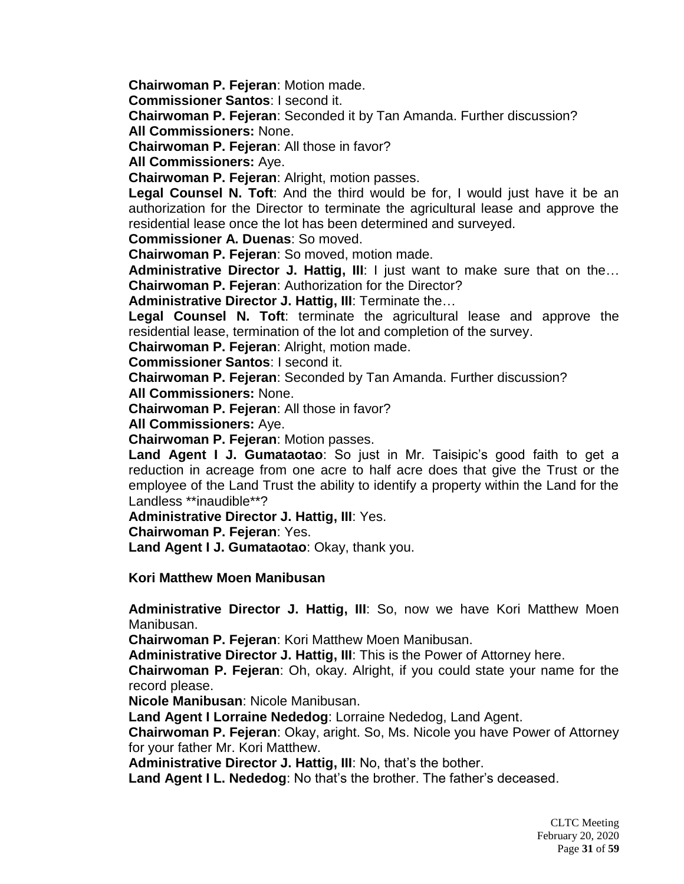**Chairwoman P. Fejeran**: Motion made.

**Commissioner Santos**: I second it.

**Chairwoman P. Fejeran**: Seconded it by Tan Amanda. Further discussion?

**All Commissioners:** None.

**Chairwoman P. Fejeran**: All those in favor?

**All Commissioners:** Aye.

**Chairwoman P. Fejeran**: Alright, motion passes.

**Legal Counsel N. Toft**: And the third would be for, I would just have it be an authorization for the Director to terminate the agricultural lease and approve the residential lease once the lot has been determined and surveyed.

**Commissioner A. Duenas**: So moved.

**Chairwoman P. Fejeran**: So moved, motion made.

**Administrative Director J. Hattig, III**: I just want to make sure that on the… **Chairwoman P. Fejeran**: Authorization for the Director?

**Administrative Director J. Hattig, III**: Terminate the…

**Legal Counsel N. Toft**: terminate the agricultural lease and approve the residential lease, termination of the lot and completion of the survey.

**Chairwoman P. Fejeran**: Alright, motion made.

**Commissioner Santos**: I second it.

**Chairwoman P. Fejeran**: Seconded by Tan Amanda. Further discussion?

**All Commissioners:** None.

**Chairwoman P. Fejeran**: All those in favor?

**All Commissioners:** Aye.

**Chairwoman P. Fejeran**: Motion passes.

**Land Agent I J. Gumataotao**: So just in Mr. Taisipic's good faith to get a reduction in acreage from one acre to half acre does that give the Trust or the employee of the Land Trust the ability to identify a property within the Land for the Landless \*\*inaudible\*\*?

**Administrative Director J. Hattig, III**: Yes.

**Chairwoman P. Fejeran**: Yes.

**Land Agent I J. Gumataotao**: Okay, thank you.

**Kori Matthew Moen Manibusan**

**Administrative Director J. Hattig, III**: So, now we have Kori Matthew Moen Manibusan.

**Chairwoman P. Fejeran**: Kori Matthew Moen Manibusan.

**Administrative Director J. Hattig, III**: This is the Power of Attorney here.

**Chairwoman P. Fejeran**: Oh, okay. Alright, if you could state your name for the record please.

**Nicole Manibusan**: Nicole Manibusan.

**Land Agent I Lorraine Nededog**: Lorraine Nededog, Land Agent.

**Chairwoman P. Fejeran**: Okay, aright. So, Ms. Nicole you have Power of Attorney for your father Mr. Kori Matthew.

**Administrative Director J. Hattig, III**: No, that's the bother.

**Land Agent I L. Nededog**: No that's the brother. The father's deceased.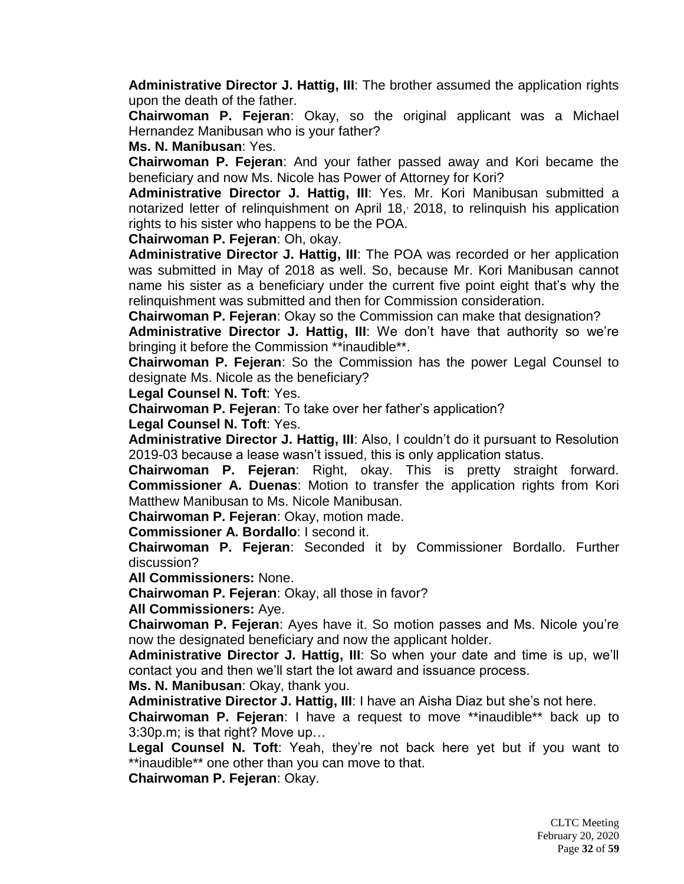**Administrative Director J. Hattig, III**: The brother assumed the application rights upon the death of the father.

**Chairwoman P. Fejeran**: Okay, so the original applicant was a Michael Hernandez Manibusan who is your father?

**Ms. N. Manibusan**: Yes.

**Chairwoman P. Fejeran**: And your father passed away and Kori became the beneficiary and now Ms. Nicole has Power of Attorney for Kori?

**Administrative Director J. Hattig, III**: Yes. Mr. Kori Manibusan submitted a notarized letter of relinquishment on April 18, 2018, to relinquish his application rights to his sister who happens to be the POA.

**Chairwoman P. Fejeran**: Oh, okay.

**Administrative Director J. Hattig, III**: The POA was recorded or her application was submitted in May of 2018 as well. So, because Mr. Kori Manibusan cannot name his sister as a beneficiary under the current five point eight that's why the relinquishment was submitted and then for Commission consideration.

**Chairwoman P. Fejeran**: Okay so the Commission can make that designation?

**Administrative Director J. Hattig, III**: We don't have that authority so we're bringing it before the Commission \*\*inaudible\*\*.

**Chairwoman P. Fejeran**: So the Commission has the power Legal Counsel to designate Ms. Nicole as the beneficiary?

**Legal Counsel N. Toft**: Yes.

**Chairwoman P. Fejeran**: To take over her father's application?

**Legal Counsel N. Toft**: Yes.

**Administrative Director J. Hattig, III**: Also, I couldn't do it pursuant to Resolution 2019-03 because a lease wasn't issued, this is only application status.

**Chairwoman P. Fejeran**: Right, okay. This is pretty straight forward. **Commissioner A. Duenas**: Motion to transfer the application rights from Kori Matthew Manibusan to Ms. Nicole Manibusan.

**Chairwoman P. Fejeran**: Okay, motion made.

**Commissioner A. Bordallo**: I second it.

**Chairwoman P. Fejeran**: Seconded it by Commissioner Bordallo. Further discussion?

**All Commissioners:** None.

**Chairwoman P. Fejeran**: Okay, all those in favor?

**All Commissioners:** Aye.

**Chairwoman P. Fejeran**: Ayes have it. So motion passes and Ms. Nicole you're now the designated beneficiary and now the applicant holder.

**Administrative Director J. Hattig, III**: So when your date and time is up, we'll contact you and then we'll start the lot award and issuance process.

**Ms. N. Manibusan**: Okay, thank you.

**Administrative Director J. Hattig, III**: I have an Aisha Diaz but she's not here.

**Chairwoman P. Fejeran**: I have a request to move \*\*inaudible\*\* back up to 3:30p.m; is that right? Move up…

**Legal Counsel N. Toft**: Yeah, they're not back here yet but if you want to \*\*inaudible\*\* one other than you can move to that.

**Chairwoman P. Fejeran**: Okay.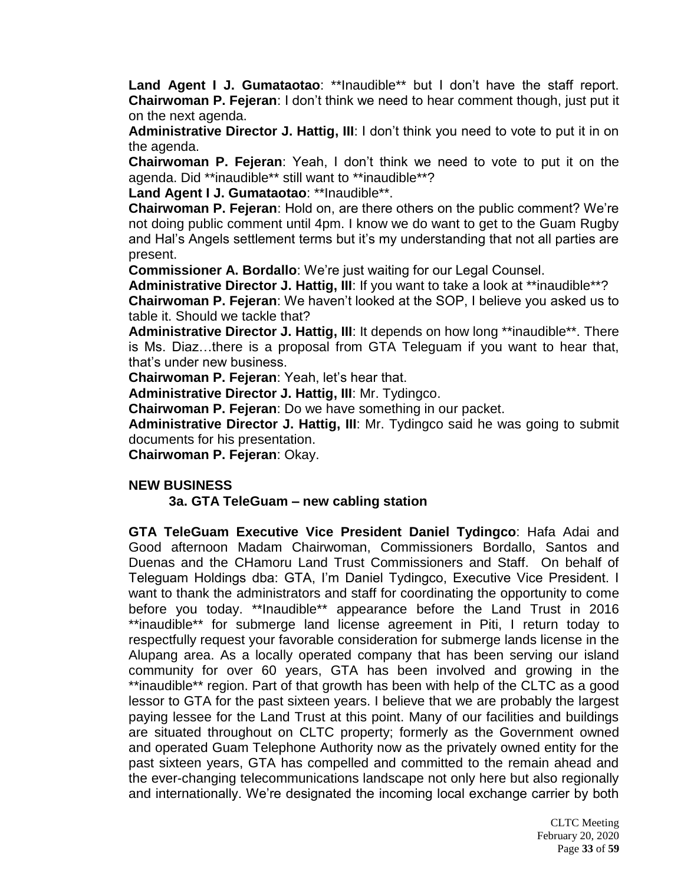**Land Agent I J. Gumataotao**: \*\*Inaudible\*\* but I don't have the staff report. **Chairwoman P. Fejeran**: I don't think we need to hear comment though, just put it on the next agenda.

**Administrative Director J. Hattig, III**: I don't think you need to vote to put it in on the agenda.

**Chairwoman P. Fejeran**: Yeah, I don't think we need to vote to put it on the agenda. Did \*\*inaudible\*\* still want to \*\*inaudible\*\*?

**Land Agent I J. Gumataotao**: \*\*Inaudible\*\*.

**Chairwoman P. Fejeran**: Hold on, are there others on the public comment? We're not doing public comment until 4pm. I know we do want to get to the Guam Rugby and Hal's Angels settlement terms but it's my understanding that not all parties are present.

**Commissioner A. Bordallo**: We're just waiting for our Legal Counsel.

Administrative Director J. Hattig, III: If you want to take a look at \*\*inaudible\*\*?

**Chairwoman P. Fejeran**: We haven't looked at the SOP, I believe you asked us to table it. Should we tackle that?

**Administrative Director J. Hattig, III**: It depends on how long \*\*inaudible\*\*. There is Ms. Diaz…there is a proposal from GTA Teleguam if you want to hear that, that's under new business.

**Chairwoman P. Fejeran**: Yeah, let's hear that.

**Administrative Director J. Hattig, III**: Mr. Tydingco.

**Chairwoman P. Fejeran**: Do we have something in our packet.

**Administrative Director J. Hattig, III**: Mr. Tydingco said he was going to submit documents for his presentation.

**Chairwoman P. Fejeran**: Okay.

## **NEW BUSINESS**

**3a. GTA TeleGuam – new cabling station**

**GTA TeleGuam Executive Vice President Daniel Tydingco**: Hafa Adai and Good afternoon Madam Chairwoman, Commissioners Bordallo, Santos and Duenas and the CHamoru Land Trust Commissioners and Staff. On behalf of Teleguam Holdings dba: GTA, I'm Daniel Tydingco, Executive Vice President. I want to thank the administrators and staff for coordinating the opportunity to come before you today. \*\*Inaudible\*\* appearance before the Land Trust in 2016 \*\*inaudible\*\* for submerge land license agreement in Piti, I return today to respectfully request your favorable consideration for submerge lands license in the Alupang area. As a locally operated company that has been serving our island community for over 60 years, GTA has been involved and growing in the \*\*inaudible\*\* region. Part of that growth has been with help of the CLTC as a good lessor to GTA for the past sixteen years. I believe that we are probably the largest paying lessee for the Land Trust at this point. Many of our facilities and buildings are situated throughout on CLTC property; formerly as the Government owned and operated Guam Telephone Authority now as the privately owned entity for the past sixteen years, GTA has compelled and committed to the remain ahead and the ever-changing telecommunications landscape not only here but also regionally and internationally. We're designated the incoming local exchange carrier by both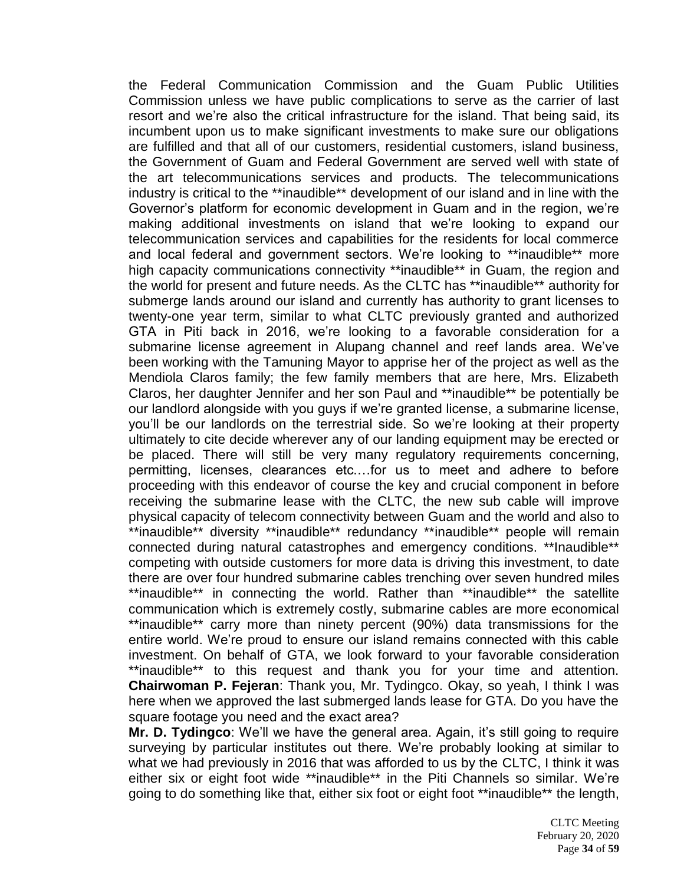the Federal Communication Commission and the Guam Public Utilities Commission unless we have public complications to serve as the carrier of last resort and we're also the critical infrastructure for the island. That being said, its incumbent upon us to make significant investments to make sure our obligations are fulfilled and that all of our customers, residential customers, island business, the Government of Guam and Federal Government are served well with state of the art telecommunications services and products. The telecommunications industry is critical to the \*\*inaudible\*\* development of our island and in line with the Governor's platform for economic development in Guam and in the region, we're making additional investments on island that we're looking to expand our telecommunication services and capabilities for the residents for local commerce and local federal and government sectors. We're looking to \*\*inaudible\*\* more high capacity communications connectivity \*\*inaudible\*\* in Guam, the region and the world for present and future needs. As the CLTC has \*\*inaudible\*\* authority for submerge lands around our island and currently has authority to grant licenses to twenty-one year term, similar to what CLTC previously granted and authorized GTA in Piti back in 2016, we're looking to a favorable consideration for a submarine license agreement in Alupang channel and reef lands area. We've been working with the Tamuning Mayor to apprise her of the project as well as the Mendiola Claros family; the few family members that are here, Mrs. Elizabeth Claros, her daughter Jennifer and her son Paul and \*\*inaudible\*\* be potentially be our landlord alongside with you guys if we're granted license, a submarine license, you'll be our landlords on the terrestrial side. So we're looking at their property ultimately to cite decide wherever any of our landing equipment may be erected or be placed. There will still be very many regulatory requirements concerning, permitting, licenses, clearances etc.…for us to meet and adhere to before proceeding with this endeavor of course the key and crucial component in before receiving the submarine lease with the CLTC, the new sub cable will improve physical capacity of telecom connectivity between Guam and the world and also to \*\*inaudible\*\* diversity \*\*inaudible\*\* redundancy \*\*inaudible\*\* people will remain connected during natural catastrophes and emergency conditions. \*\*Inaudible\*\* competing with outside customers for more data is driving this investment, to date there are over four hundred submarine cables trenching over seven hundred miles \*\*inaudible\*\* in connecting the world. Rather than \*\*inaudible\*\* the satellite communication which is extremely costly, submarine cables are more economical \*\*inaudible\*\* carry more than ninety percent (90%) data transmissions for the entire world. We're proud to ensure our island remains connected with this cable investment. On behalf of GTA, we look forward to your favorable consideration \*\*inaudible\*\* to this request and thank you for your time and attention. **Chairwoman P. Fejeran**: Thank you, Mr. Tydingco. Okay, so yeah, I think I was here when we approved the last submerged lands lease for GTA. Do you have the square footage you need and the exact area?

**Mr. D. Tydingco**: We'll we have the general area. Again, it's still going to require surveying by particular institutes out there. We're probably looking at similar to what we had previously in 2016 that was afforded to us by the CLTC, I think it was either six or eight foot wide \*\*inaudible\*\* in the Piti Channels so similar. We're going to do something like that, either six foot or eight foot \*\*inaudible\*\* the length,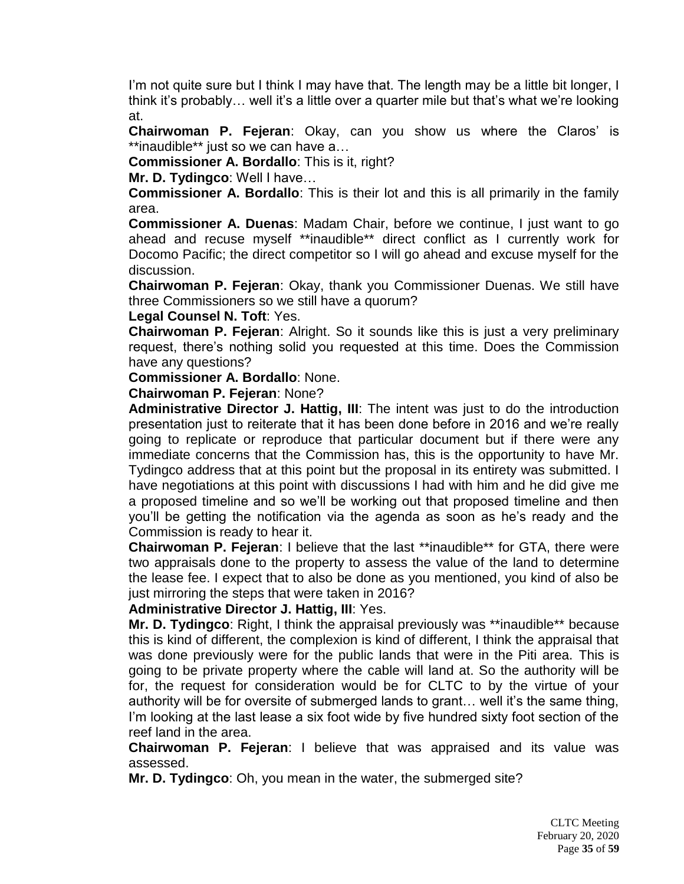I'm not quite sure but I think I may have that. The length may be a little bit longer, I think it's probably… well it's a little over a quarter mile but that's what we're looking at.

**Chairwoman P. Fejeran**: Okay, can you show us where the Claros' is \*\*inaudible\*\* just so we can have a…

**Commissioner A. Bordallo**: This is it, right?

**Mr. D. Tydingco**: Well I have…

**Commissioner A. Bordallo**: This is their lot and this is all primarily in the family area.

**Commissioner A. Duenas**: Madam Chair, before we continue, I just want to go ahead and recuse myself \*\*inaudible\*\* direct conflict as I currently work for Docomo Pacific; the direct competitor so I will go ahead and excuse myself for the discussion.

**Chairwoman P. Fejeran**: Okay, thank you Commissioner Duenas. We still have three Commissioners so we still have a quorum?

**Legal Counsel N. Toft**: Yes.

**Chairwoman P. Fejeran**: Alright. So it sounds like this is just a very preliminary request, there's nothing solid you requested at this time. Does the Commission have any questions?

**Commissioner A. Bordallo**: None.

**Chairwoman P. Fejeran**: None?

**Administrative Director J. Hattig, III**: The intent was just to do the introduction presentation just to reiterate that it has been done before in 2016 and we're really going to replicate or reproduce that particular document but if there were any immediate concerns that the Commission has, this is the opportunity to have Mr. Tydingco address that at this point but the proposal in its entirety was submitted. I have negotiations at this point with discussions I had with him and he did give me a proposed timeline and so we'll be working out that proposed timeline and then you'll be getting the notification via the agenda as soon as he's ready and the Commission is ready to hear it.

**Chairwoman P. Fejeran**: I believe that the last \*\*inaudible\*\* for GTA, there were two appraisals done to the property to assess the value of the land to determine the lease fee. I expect that to also be done as you mentioned, you kind of also be just mirroring the steps that were taken in 2016?

**Administrative Director J. Hattig, III**: Yes.

**Mr. D. Tydingco**: Right, I think the appraisal previously was \*\*inaudible\*\* because this is kind of different, the complexion is kind of different, I think the appraisal that was done previously were for the public lands that were in the Piti area. This is going to be private property where the cable will land at. So the authority will be for, the request for consideration would be for CLTC to by the virtue of your authority will be for oversite of submerged lands to grant… well it's the same thing, I'm looking at the last lease a six foot wide by five hundred sixty foot section of the reef land in the area.

**Chairwoman P. Fejeran**: I believe that was appraised and its value was assessed.

**Mr. D. Tydingco**: Oh, you mean in the water, the submerged site?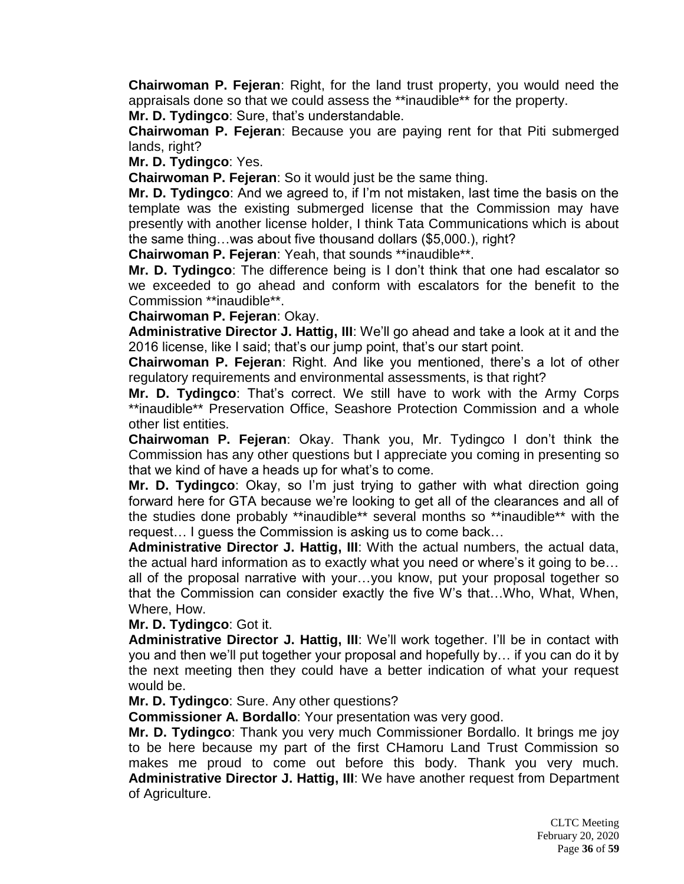**Chairwoman P. Fejeran**: Right, for the land trust property, you would need the appraisals done so that we could assess the \*\*inaudible\*\* for the property.

**Mr. D. Tydingco**: Sure, that's understandable.

**Chairwoman P. Fejeran**: Because you are paying rent for that Piti submerged lands, right?

**Mr. D. Tydingco**: Yes.

**Chairwoman P. Fejeran**: So it would just be the same thing.

**Mr. D. Tydingco**: And we agreed to, if I'm not mistaken, last time the basis on the template was the existing submerged license that the Commission may have presently with another license holder, I think Tata Communications which is about the same thing…was about five thousand dollars (\$5,000.), right?

**Chairwoman P. Fejeran**: Yeah, that sounds \*\*inaudible\*\*.

**Mr. D. Tydingco**: The difference being is I don't think that one had escalator so we exceeded to go ahead and conform with escalators for the benefit to the Commission \*\*inaudible\*\*.

**Chairwoman P. Fejeran**: Okay.

**Administrative Director J. Hattig, III**: We'll go ahead and take a look at it and the 2016 license, like I said; that's our jump point, that's our start point.

**Chairwoman P. Fejeran**: Right. And like you mentioned, there's a lot of other regulatory requirements and environmental assessments, is that right?

**Mr. D. Tydingco**: That's correct. We still have to work with the Army Corps \*\*inaudible\*\* Preservation Office, Seashore Protection Commission and a whole other list entities.

**Chairwoman P. Fejeran**: Okay. Thank you, Mr. Tydingco I don't think the Commission has any other questions but I appreciate you coming in presenting so that we kind of have a heads up for what's to come.

**Mr. D. Tydingco**: Okay, so I'm just trying to gather with what direction going forward here for GTA because we're looking to get all of the clearances and all of the studies done probably \*\*inaudible\*\* several months so \*\*inaudible\*\* with the request… I guess the Commission is asking us to come back…

**Administrative Director J. Hattig, III**: With the actual numbers, the actual data, the actual hard information as to exactly what you need or where's it going to be… all of the proposal narrative with your…you know, put your proposal together so that the Commission can consider exactly the five W's that…Who, What, When, Where, How.

**Mr. D. Tydingco**: Got it.

**Administrative Director J. Hattig, III**: We'll work together. I'll be in contact with you and then we'll put together your proposal and hopefully by… if you can do it by the next meeting then they could have a better indication of what your request would be.

**Mr. D. Tydingco**: Sure. Any other questions?

**Commissioner A. Bordallo**: Your presentation was very good.

**Mr. D. Tydingco**: Thank you very much Commissioner Bordallo. It brings me joy to be here because my part of the first CHamoru Land Trust Commission so makes me proud to come out before this body. Thank you very much. **Administrative Director J. Hattig, III**: We have another request from Department of Agriculture.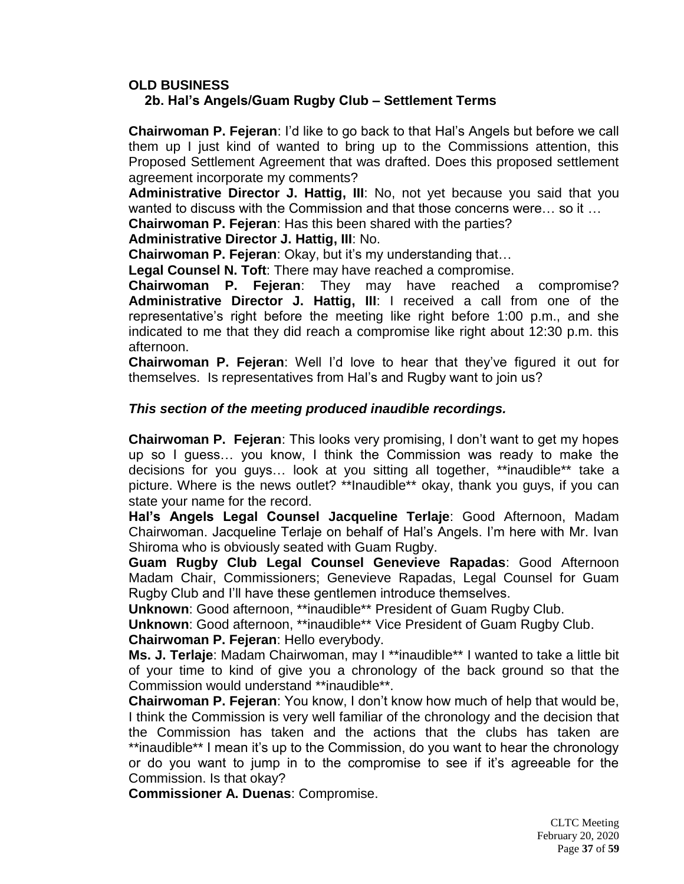# **OLD BUSINESS**

# **2b. Hal's Angels/Guam Rugby Club – Settlement Terms**

**Chairwoman P. Fejeran**: I'd like to go back to that Hal's Angels but before we call them up I just kind of wanted to bring up to the Commissions attention, this Proposed Settlement Agreement that was drafted. Does this proposed settlement agreement incorporate my comments?

**Administrative Director J. Hattig, III**: No, not yet because you said that you wanted to discuss with the Commission and that those concerns were… so it …

**Chairwoman P. Fejeran**: Has this been shared with the parties?

**Administrative Director J. Hattig, III**: No.

**Chairwoman P. Fejeran**: Okay, but it's my understanding that…

**Legal Counsel N. Toft**: There may have reached a compromise.

**Chairwoman P. Fejeran**: They may have reached a compromise? **Administrative Director J. Hattig, III**: I received a call from one of the representative's right before the meeting like right before 1:00 p.m., and she indicated to me that they did reach a compromise like right about 12:30 p.m. this afternoon.

**Chairwoman P. Fejeran**: Well I'd love to hear that they've figured it out for themselves. Is representatives from Hal's and Rugby want to join us?

# *This section of the meeting produced inaudible recordings.*

**Chairwoman P. Fejeran**: This looks very promising, I don't want to get my hopes up so I guess… you know, I think the Commission was ready to make the decisions for you guys… look at you sitting all together, \*\*inaudible\*\* take a picture. Where is the news outlet? \*\*Inaudible\*\* okay, thank you guys, if you can state your name for the record.

**Hal's Angels Legal Counsel Jacqueline Terlaje**: Good Afternoon, Madam Chairwoman. Jacqueline Terlaje on behalf of Hal's Angels. I'm here with Mr. Ivan Shiroma who is obviously seated with Guam Rugby.

**Guam Rugby Club Legal Counsel Genevieve Rapadas**: Good Afternoon Madam Chair, Commissioners; Genevieve Rapadas, Legal Counsel for Guam Rugby Club and I'll have these gentlemen introduce themselves.

**Unknown**: Good afternoon, \*\*inaudible\*\* President of Guam Rugby Club.

**Unknown**: Good afternoon, \*\*inaudible\*\* Vice President of Guam Rugby Club.

**Chairwoman P. Fejeran**: Hello everybody.

**Ms. J. Terlaje**: Madam Chairwoman, may I \*\*inaudible\*\* I wanted to take a little bit of your time to kind of give you a chronology of the back ground so that the Commission would understand \*\*inaudible\*\*.

**Chairwoman P. Fejeran**: You know, I don't know how much of help that would be, I think the Commission is very well familiar of the chronology and the decision that the Commission has taken and the actions that the clubs has taken are \*\*inaudible\*\* I mean it's up to the Commission, do you want to hear the chronology or do you want to jump in to the compromise to see if it's agreeable for the Commission. Is that okay?

**Commissioner A. Duenas**: Compromise.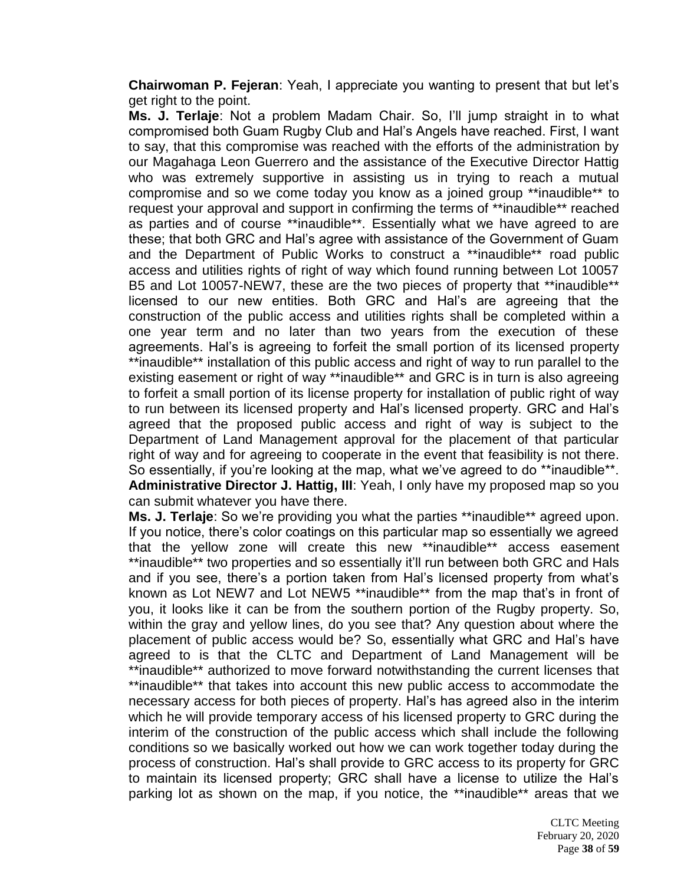**Chairwoman P. Fejeran**: Yeah, I appreciate you wanting to present that but let's get right to the point.

**Ms. J. Terlaje**: Not a problem Madam Chair. So, I'll jump straight in to what compromised both Guam Rugby Club and Hal's Angels have reached. First, I want to say, that this compromise was reached with the efforts of the administration by our Magahaga Leon Guerrero and the assistance of the Executive Director Hattig who was extremely supportive in assisting us in trying to reach a mutual compromise and so we come today you know as a joined group \*\*inaudible\*\* to request your approval and support in confirming the terms of \*\*inaudible\*\* reached as parties and of course \*\*inaudible\*\*. Essentially what we have agreed to are these; that both GRC and Hal's agree with assistance of the Government of Guam and the Department of Public Works to construct a \*\*inaudible\*\* road public access and utilities rights of right of way which found running between Lot 10057 B5 and Lot 10057-NEW7, these are the two pieces of property that \*\*inaudible\*\* licensed to our new entities. Both GRC and Hal's are agreeing that the construction of the public access and utilities rights shall be completed within a one year term and no later than two years from the execution of these agreements. Hal's is agreeing to forfeit the small portion of its licensed property \*\*inaudible\*\* installation of this public access and right of way to run parallel to the existing easement or right of way \*\*inaudible\*\* and GRC is in turn is also agreeing to forfeit a small portion of its license property for installation of public right of way to run between its licensed property and Hal's licensed property. GRC and Hal's agreed that the proposed public access and right of way is subject to the Department of Land Management approval for the placement of that particular right of way and for agreeing to cooperate in the event that feasibility is not there. So essentially, if you're looking at the map, what we've agreed to do \*\*inaudible\*\*. **Administrative Director J. Hattig, III**: Yeah, I only have my proposed map so you can submit whatever you have there.

**Ms. J. Terlaje**: So we're providing you what the parties \*\*inaudible\*\* agreed upon. If you notice, there's color coatings on this particular map so essentially we agreed that the yellow zone will create this new \*\*inaudible\*\* access easement \*\*inaudible\*\* two properties and so essentially it'll run between both GRC and Hals and if you see, there's a portion taken from Hal's licensed property from what's known as Lot NEW7 and Lot NEW5 \*\*inaudible\*\* from the map that's in front of you, it looks like it can be from the southern portion of the Rugby property. So, within the gray and yellow lines, do you see that? Any question about where the placement of public access would be? So, essentially what GRC and Hal's have agreed to is that the CLTC and Department of Land Management will be \*\*inaudible\*\* authorized to move forward notwithstanding the current licenses that \*\*inaudible\*\* that takes into account this new public access to accommodate the necessary access for both pieces of property. Hal's has agreed also in the interim which he will provide temporary access of his licensed property to GRC during the interim of the construction of the public access which shall include the following conditions so we basically worked out how we can work together today during the process of construction. Hal's shall provide to GRC access to its property for GRC to maintain its licensed property; GRC shall have a license to utilize the Hal's parking lot as shown on the map, if you notice, the \*\*inaudible\*\* areas that we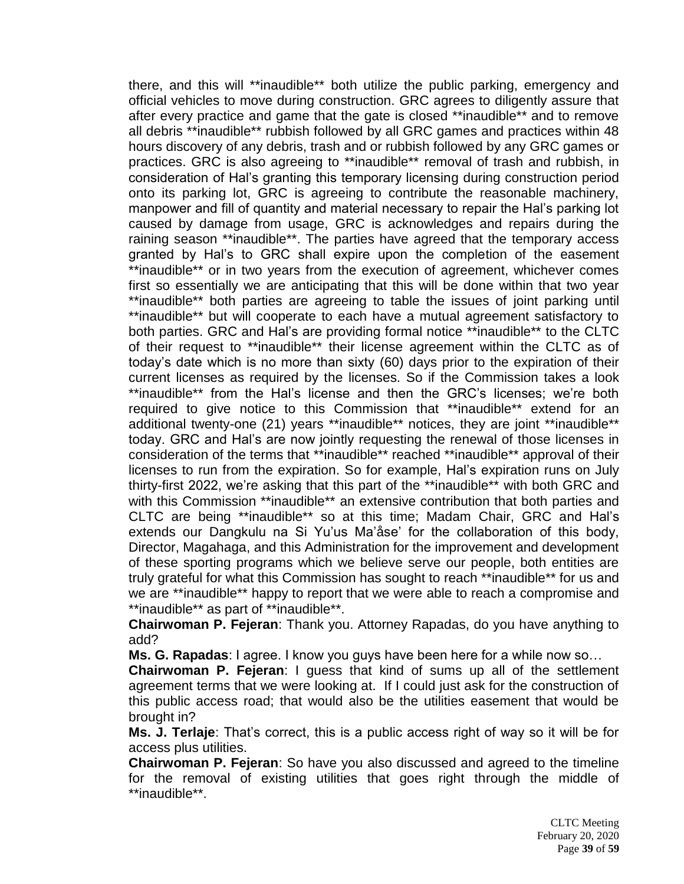there, and this will \*\*inaudible\*\* both utilize the public parking, emergency and official vehicles to move during construction. GRC agrees to diligently assure that after every practice and game that the gate is closed \*\*inaudible\*\* and to remove all debris \*\*inaudible\*\* rubbish followed by all GRC games and practices within 48 hours discovery of any debris, trash and or rubbish followed by any GRC games or practices. GRC is also agreeing to \*\*inaudible\*\* removal of trash and rubbish, in consideration of Hal's granting this temporary licensing during construction period onto its parking lot, GRC is agreeing to contribute the reasonable machinery, manpower and fill of quantity and material necessary to repair the Hal's parking lot caused by damage from usage, GRC is acknowledges and repairs during the raining season \*\*inaudible\*\*. The parties have agreed that the temporary access granted by Hal's to GRC shall expire upon the completion of the easement \*\*inaudible\*\* or in two years from the execution of agreement, whichever comes first so essentially we are anticipating that this will be done within that two year \*\*inaudible\*\* both parties are agreeing to table the issues of joint parking until \*\*inaudible\*\* but will cooperate to each have a mutual agreement satisfactory to both parties. GRC and Hal's are providing formal notice \*\*inaudible\*\* to the CLTC of their request to \*\*inaudible\*\* their license agreement within the CLTC as of today's date which is no more than sixty (60) days prior to the expiration of their current licenses as required by the licenses. So if the Commission takes a look \*\*inaudible\*\* from the Hal's license and then the GRC's licenses; we're both required to give notice to this Commission that \*\*inaudible\*\* extend for an additional twenty-one (21) years \*\*inaudible\*\* notices, they are joint \*\*inaudible\*\* today. GRC and Hal's are now jointly requesting the renewal of those licenses in consideration of the terms that \*\*inaudible\*\* reached \*\*inaudible\*\* approval of their licenses to run from the expiration. So for example, Hal's expiration runs on July thirty-first 2022, we're asking that this part of the \*\*inaudible\*\* with both GRC and with this Commission \*\*inaudible\*\* an extensive contribution that both parties and CLTC are being \*\*inaudible\*\* so at this time; Madam Chair, GRC and Hal's extends our Dangkulu na Si Yu'us Ma'åse' for the collaboration of this body, Director, Magahaga, and this Administration for the improvement and development of these sporting programs which we believe serve our people, both entities are truly grateful for what this Commission has sought to reach \*\*inaudible\*\* for us and we are \*\*inaudible\*\* happy to report that we were able to reach a compromise and \*\*inaudible\*\* as part of \*\*inaudible\*\*.

**Chairwoman P. Fejeran**: Thank you. Attorney Rapadas, do you have anything to add?

**Ms. G. Rapadas**: I agree. I know you guys have been here for a while now so…

**Chairwoman P. Fejeran**: I guess that kind of sums up all of the settlement agreement terms that we were looking at. If I could just ask for the construction of this public access road; that would also be the utilities easement that would be brought in?

**Ms. J. Terlaje**: That's correct, this is a public access right of way so it will be for access plus utilities.

**Chairwoman P. Fejeran**: So have you also discussed and agreed to the timeline for the removal of existing utilities that goes right through the middle of \*\*inaudible\*\*.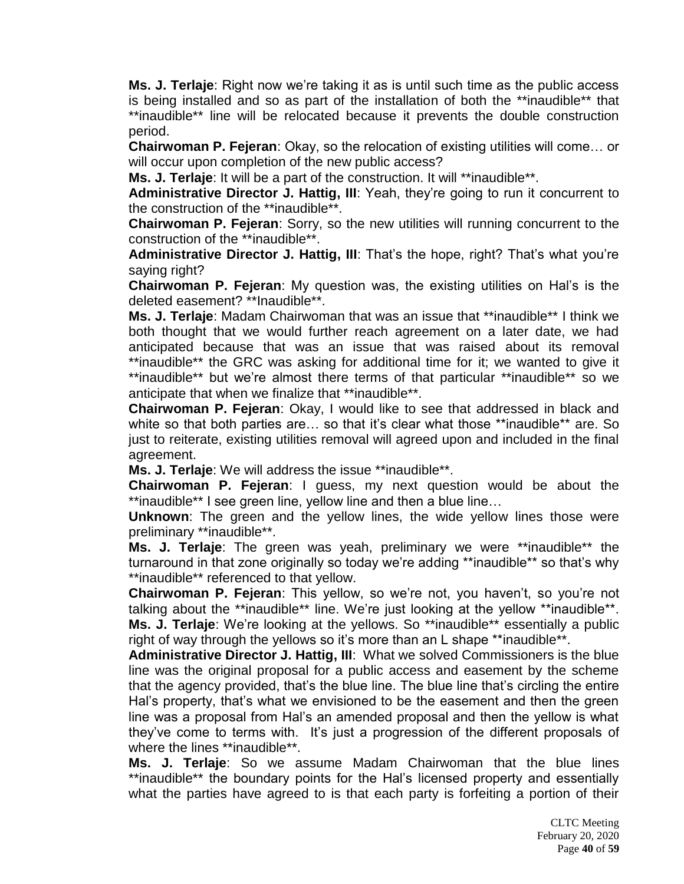**Ms. J. Terlaje**: Right now we're taking it as is until such time as the public access is being installed and so as part of the installation of both the \*\*inaudible\*\* that \*\*inaudible\*\* line will be relocated because it prevents the double construction period.

**Chairwoman P. Fejeran**: Okay, so the relocation of existing utilities will come… or will occur upon completion of the new public access?

**Ms. J. Terlaje**: It will be a part of the construction. It will \*\*inaudible\*\*.

**Administrative Director J. Hattig, III**: Yeah, they're going to run it concurrent to the construction of the \*\*inaudible\*\*.

**Chairwoman P. Fejeran**: Sorry, so the new utilities will running concurrent to the construction of the \*\*inaudible\*\*.

**Administrative Director J. Hattig, III**: That's the hope, right? That's what you're saying right?

**Chairwoman P. Fejeran**: My question was, the existing utilities on Hal's is the deleted easement? \*\*Inaudible\*\*.

**Ms. J. Terlaje**: Madam Chairwoman that was an issue that \*\*inaudible\*\* I think we both thought that we would further reach agreement on a later date, we had anticipated because that was an issue that was raised about its removal \*\*inaudible\*\* the GRC was asking for additional time for it; we wanted to give it \*\*inaudible\*\* but we're almost there terms of that particular \*\*inaudible\*\* so we anticipate that when we finalize that \*\*inaudible\*\*.

**Chairwoman P. Fejeran**: Okay, I would like to see that addressed in black and white so that both parties are... so that it's clear what those \*\*inaudible\*\* are. So just to reiterate, existing utilities removal will agreed upon and included in the final agreement.

**Ms. J. Terlaje**: We will address the issue \*\*inaudible\*\*.

**Chairwoman P. Fejeran**: I guess, my next question would be about the \*\*inaudible\*\* I see green line, yellow line and then a blue line...

**Unknown**: The green and the yellow lines, the wide yellow lines those were preliminary \*\*inaudible\*\*.

**Ms. J. Terlaje**: The green was yeah, preliminary we were \*\*inaudible\*\* the turnaround in that zone originally so today we're adding \*\*inaudible\*\* so that's why \*\*inaudible\*\* referenced to that yellow.

**Chairwoman P. Fejeran**: This yellow, so we're not, you haven't, so you're not talking about the \*\*inaudible\*\* line. We're just looking at the yellow \*\*inaudible\*\*. **Ms. J. Terlaje:** We're looking at the yellows. So \*\*inaudible\*\* essentially a public right of way through the yellows so it's more than an L shape \*\*inaudible\*\*.

**Administrative Director J. Hattig, III**: What we solved Commissioners is the blue line was the original proposal for a public access and easement by the scheme that the agency provided, that's the blue line. The blue line that's circling the entire Hal's property, that's what we envisioned to be the easement and then the green line was a proposal from Hal's an amended proposal and then the yellow is what they've come to terms with. It's just a progression of the different proposals of where the lines \*\*inaudible\*\*.

**Ms. J. Terlaje**: So we assume Madam Chairwoman that the blue lines \*\*inaudible\*\* the boundary points for the Hal's licensed property and essentially what the parties have agreed to is that each party is forfeiting a portion of their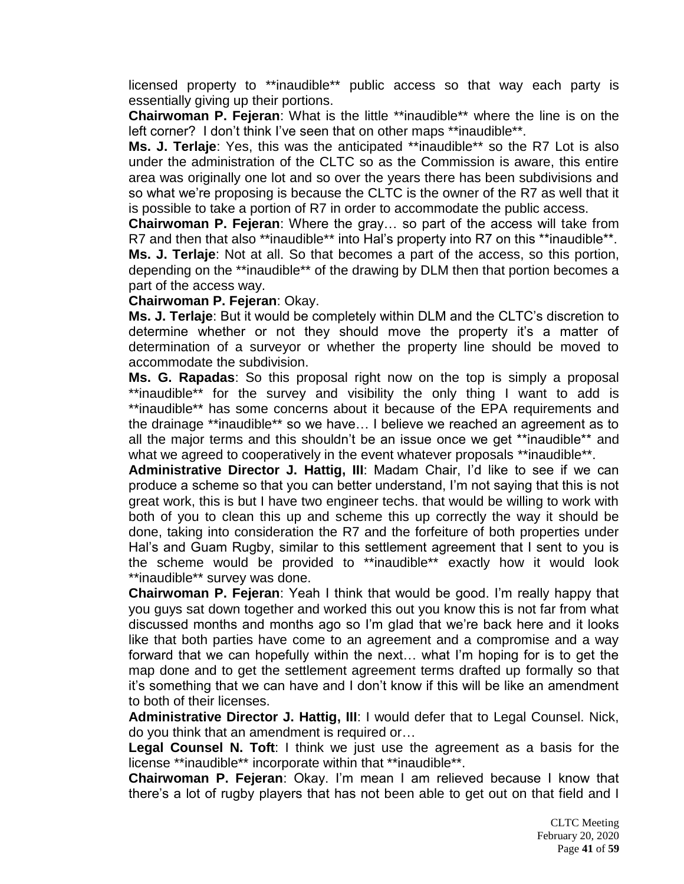licensed property to \*\*inaudible\*\* public access so that way each party is essentially giving up their portions.

**Chairwoman P. Fejeran**: What is the little \*\*inaudible\*\* where the line is on the left corner? I don't think I've seen that on other maps \*\*inaudible\*\*.

**Ms. J. Terlaje**: Yes, this was the anticipated \*\*inaudible\*\* so the R7 Lot is also under the administration of the CLTC so as the Commission is aware, this entire area was originally one lot and so over the years there has been subdivisions and so what we're proposing is because the CLTC is the owner of the R7 as well that it is possible to take a portion of R7 in order to accommodate the public access.

**Chairwoman P. Fejeran**: Where the gray… so part of the access will take from R7 and then that also \*\*inaudible\*\* into Hal's property into R7 on this \*\*inaudible\*\*.

**Ms. J. Terlaje**: Not at all. So that becomes a part of the access, so this portion, depending on the \*\*inaudible\*\* of the drawing by DLM then that portion becomes a part of the access way.

#### **Chairwoman P. Fejeran**: Okay.

**Ms. J. Terlaje**: But it would be completely within DLM and the CLTC's discretion to determine whether or not they should move the property it's a matter of determination of a surveyor or whether the property line should be moved to accommodate the subdivision.

**Ms. G. Rapadas**: So this proposal right now on the top is simply a proposal \*\*inaudible\*\* for the survey and visibility the only thing I want to add is \*\*inaudible\*\* has some concerns about it because of the EPA requirements and the drainage \*\*inaudible\*\* so we have… I believe we reached an agreement as to all the major terms and this shouldn't be an issue once we get \*\*inaudible\*\* and what we agreed to cooperatively in the event whatever proposals \*\*inaudible\*\*.

**Administrative Director J. Hattig, III**: Madam Chair, I'd like to see if we can produce a scheme so that you can better understand, I'm not saying that this is not great work, this is but I have two engineer techs. that would be willing to work with both of you to clean this up and scheme this up correctly the way it should be done, taking into consideration the R7 and the forfeiture of both properties under Hal's and Guam Rugby, similar to this settlement agreement that I sent to you is the scheme would be provided to \*\*inaudible\*\* exactly how it would look \*\*inaudible\*\* survey was done.

**Chairwoman P. Fejeran**: Yeah I think that would be good. I'm really happy that you guys sat down together and worked this out you know this is not far from what discussed months and months ago so I'm glad that we're back here and it looks like that both parties have come to an agreement and a compromise and a way forward that we can hopefully within the next… what I'm hoping for is to get the map done and to get the settlement agreement terms drafted up formally so that it's something that we can have and I don't know if this will be like an amendment to both of their licenses.

**Administrative Director J. Hattig, III**: I would defer that to Legal Counsel. Nick, do you think that an amendment is required or…

**Legal Counsel N. Toft**: I think we just use the agreement as a basis for the license \*\*inaudible\*\* incorporate within that \*\*inaudible\*\*.

**Chairwoman P. Fejeran**: Okay. I'm mean I am relieved because I know that there's a lot of rugby players that has not been able to get out on that field and I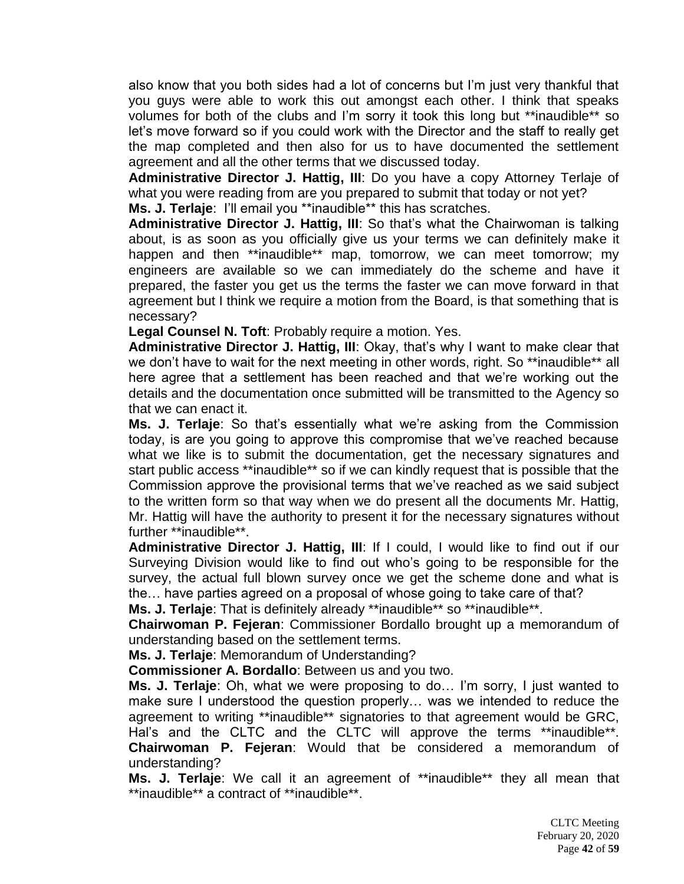also know that you both sides had a lot of concerns but I'm just very thankful that you guys were able to work this out amongst each other. I think that speaks volumes for both of the clubs and I'm sorry it took this long but \*\*inaudible\*\* so let's move forward so if you could work with the Director and the staff to really get the map completed and then also for us to have documented the settlement agreement and all the other terms that we discussed today.

**Administrative Director J. Hattig, III**: Do you have a copy Attorney Terlaje of what you were reading from are you prepared to submit that today or not yet?

**Ms. J. Terlaje**: I'll email you \*\*inaudible\*\* this has scratches.

**Administrative Director J. Hattig, III**: So that's what the Chairwoman is talking about, is as soon as you officially give us your terms we can definitely make it happen and then \*\*inaudible\*\* map, tomorrow, we can meet tomorrow; my engineers are available so we can immediately do the scheme and have it prepared, the faster you get us the terms the faster we can move forward in that agreement but I think we require a motion from the Board, is that something that is necessary?

**Legal Counsel N. Toft**: Probably require a motion. Yes.

**Administrative Director J. Hattig, III**: Okay, that's why I want to make clear that we don't have to wait for the next meeting in other words, right. So \*\*inaudible\*\* all here agree that a settlement has been reached and that we're working out the details and the documentation once submitted will be transmitted to the Agency so that we can enact it.

**Ms. J. Terlaje**: So that's essentially what we're asking from the Commission today, is are you going to approve this compromise that we've reached because what we like is to submit the documentation, get the necessary signatures and start public access \*\*inaudible\*\* so if we can kindly request that is possible that the Commission approve the provisional terms that we've reached as we said subject to the written form so that way when we do present all the documents Mr. Hattig, Mr. Hattig will have the authority to present it for the necessary signatures without further \*\*inaudible\*\*.

**Administrative Director J. Hattig, III**: If I could, I would like to find out if our Surveying Division would like to find out who's going to be responsible for the survey, the actual full blown survey once we get the scheme done and what is the… have parties agreed on a proposal of whose going to take care of that?

**Ms. J. Terlaje**: That is definitely already \*\*inaudible\*\* so \*\*inaudible\*\*.

**Chairwoman P. Fejeran**: Commissioner Bordallo brought up a memorandum of understanding based on the settlement terms.

**Ms. J. Terlaje**: Memorandum of Understanding?

**Commissioner A. Bordallo**: Between us and you two.

**Ms. J. Terlaje**: Oh, what we were proposing to do… I'm sorry, I just wanted to make sure I understood the question properly… was we intended to reduce the agreement to writing \*\*inaudible\*\* signatories to that agreement would be GRC, Hal's and the CLTC and the CLTC will approve the terms \*\*inaudible\*\*.

**Chairwoman P. Fejeran**: Would that be considered a memorandum of understanding?

**Ms. J. Terlaje**: We call it an agreement of \*\*inaudible\*\* they all mean that \*\*inaudible\*\* a contract of \*\*inaudible\*\*.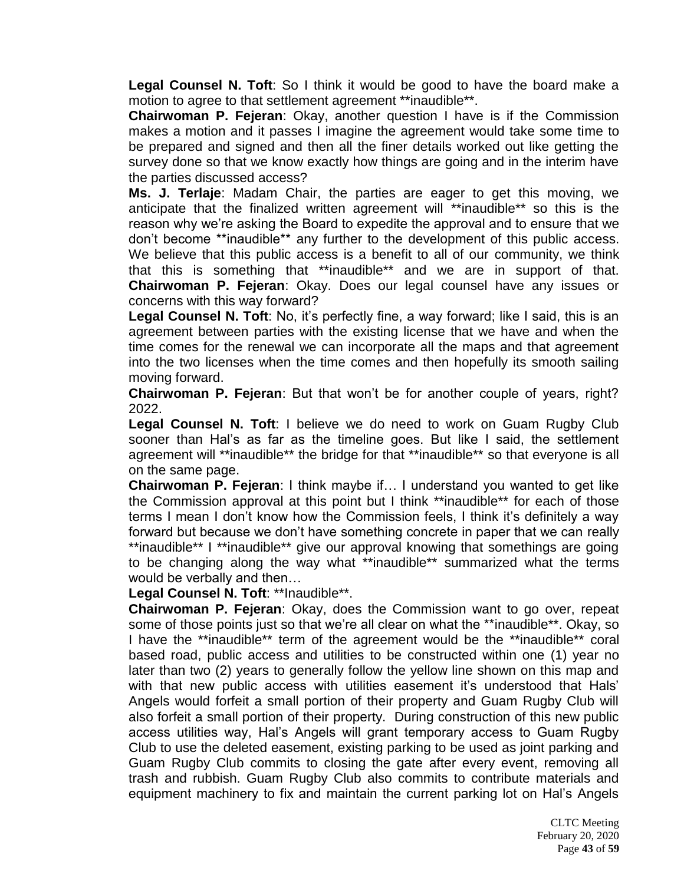**Legal Counsel N. Toft**: So I think it would be good to have the board make a motion to agree to that settlement agreement \*\*inaudible\*\*.

**Chairwoman P. Fejeran**: Okay, another question I have is if the Commission makes a motion and it passes I imagine the agreement would take some time to be prepared and signed and then all the finer details worked out like getting the survey done so that we know exactly how things are going and in the interim have the parties discussed access?

**Ms. J. Terlaje**: Madam Chair, the parties are eager to get this moving, we anticipate that the finalized written agreement will \*\*inaudible\*\* so this is the reason why we're asking the Board to expedite the approval and to ensure that we don't become \*\*inaudible\*\* any further to the development of this public access. We believe that this public access is a benefit to all of our community, we think that this is something that \*\*inaudible\*\* and we are in support of that. **Chairwoman P. Fejeran**: Okay. Does our legal counsel have any issues or concerns with this way forward?

Legal Counsel N. Toft: No, it's perfectly fine, a way forward; like I said, this is an agreement between parties with the existing license that we have and when the time comes for the renewal we can incorporate all the maps and that agreement into the two licenses when the time comes and then hopefully its smooth sailing moving forward.

**Chairwoman P. Fejeran**: But that won't be for another couple of years, right? 2022.

**Legal Counsel N. Toft**: I believe we do need to work on Guam Rugby Club sooner than Hal's as far as the timeline goes. But like I said, the settlement agreement will \*\*inaudible\*\* the bridge for that \*\*inaudible\*\* so that everyone is all on the same page.

**Chairwoman P. Fejeran**: I think maybe if… I understand you wanted to get like the Commission approval at this point but I think \*\*inaudible\*\* for each of those terms I mean I don't know how the Commission feels, I think it's definitely a way forward but because we don't have something concrete in paper that we can really \*\*inaudible\*\* I \*\*inaudible\*\* give our approval knowing that somethings are going to be changing along the way what \*\*inaudible\*\* summarized what the terms would be verbally and then…

**Legal Counsel N. Toft**: \*\*Inaudible\*\*.

**Chairwoman P. Fejeran**: Okay, does the Commission want to go over, repeat some of those points just so that we're all clear on what the \*\*inaudible\*\*. Okay, so I have the \*\*inaudible\*\* term of the agreement would be the \*\*inaudible\*\* coral based road, public access and utilities to be constructed within one (1) year no later than two (2) years to generally follow the yellow line shown on this map and with that new public access with utilities easement it's understood that Hals' Angels would forfeit a small portion of their property and Guam Rugby Club will also forfeit a small portion of their property. During construction of this new public access utilities way, Hal's Angels will grant temporary access to Guam Rugby Club to use the deleted easement, existing parking to be used as joint parking and Guam Rugby Club commits to closing the gate after every event, removing all trash and rubbish. Guam Rugby Club also commits to contribute materials and equipment machinery to fix and maintain the current parking lot on Hal's Angels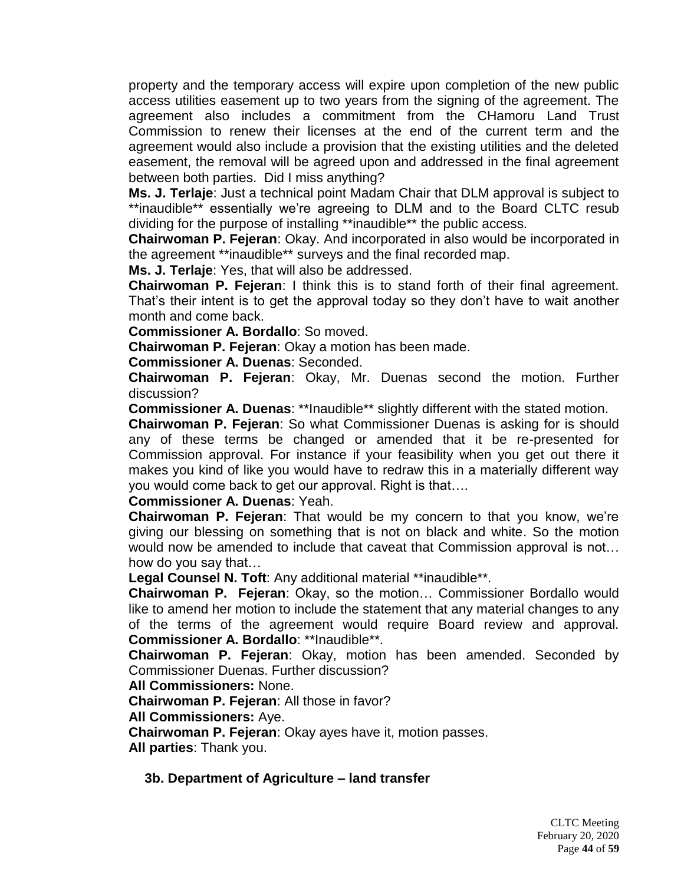property and the temporary access will expire upon completion of the new public access utilities easement up to two years from the signing of the agreement. The agreement also includes a commitment from the CHamoru Land Trust Commission to renew their licenses at the end of the current term and the agreement would also include a provision that the existing utilities and the deleted easement, the removal will be agreed upon and addressed in the final agreement between both parties. Did I miss anything?

**Ms. J. Terlaje**: Just a technical point Madam Chair that DLM approval is subject to \*\*inaudible\*\* essentially we're agreeing to DLM and to the Board CLTC resub dividing for the purpose of installing \*\*inaudible\*\* the public access.

**Chairwoman P. Fejeran**: Okay. And incorporated in also would be incorporated in the agreement \*\*inaudible\*\* surveys and the final recorded map.

**Ms. J. Terlaje**: Yes, that will also be addressed.

**Chairwoman P. Fejeran**: I think this is to stand forth of their final agreement. That's their intent is to get the approval today so they don't have to wait another month and come back.

**Commissioner A. Bordallo**: So moved.

**Chairwoman P. Fejeran**: Okay a motion has been made.

**Commissioner A. Duenas**: Seconded.

**Chairwoman P. Fejeran**: Okay, Mr. Duenas second the motion. Further discussion?

**Commissioner A. Duenas**: \*\*Inaudible\*\* slightly different with the stated motion.

**Chairwoman P. Fejeran**: So what Commissioner Duenas is asking for is should any of these terms be changed or amended that it be re-presented for Commission approval. For instance if your feasibility when you get out there it makes you kind of like you would have to redraw this in a materially different way you would come back to get our approval. Right is that….

**Commissioner A. Duenas**: Yeah.

**Chairwoman P. Fejeran**: That would be my concern to that you know, we're giving our blessing on something that is not on black and white. So the motion would now be amended to include that caveat that Commission approval is not… how do you say that…

Legal Counsel N. Toft: Any additional material \*\*inaudible\*\*.

**Chairwoman P. Fejeran**: Okay, so the motion… Commissioner Bordallo would like to amend her motion to include the statement that any material changes to any of the terms of the agreement would require Board review and approval. **Commissioner A. Bordallo**: \*\*Inaudible\*\*.

**Chairwoman P. Fejeran**: Okay, motion has been amended. Seconded by Commissioner Duenas. Further discussion?

**All Commissioners:** None.

**Chairwoman P. Fejeran**: All those in favor?

**All Commissioners:** Aye.

**Chairwoman P. Fejeran**: Okay ayes have it, motion passes.

**All parties**: Thank you.

## **3b. Department of Agriculture – land transfer**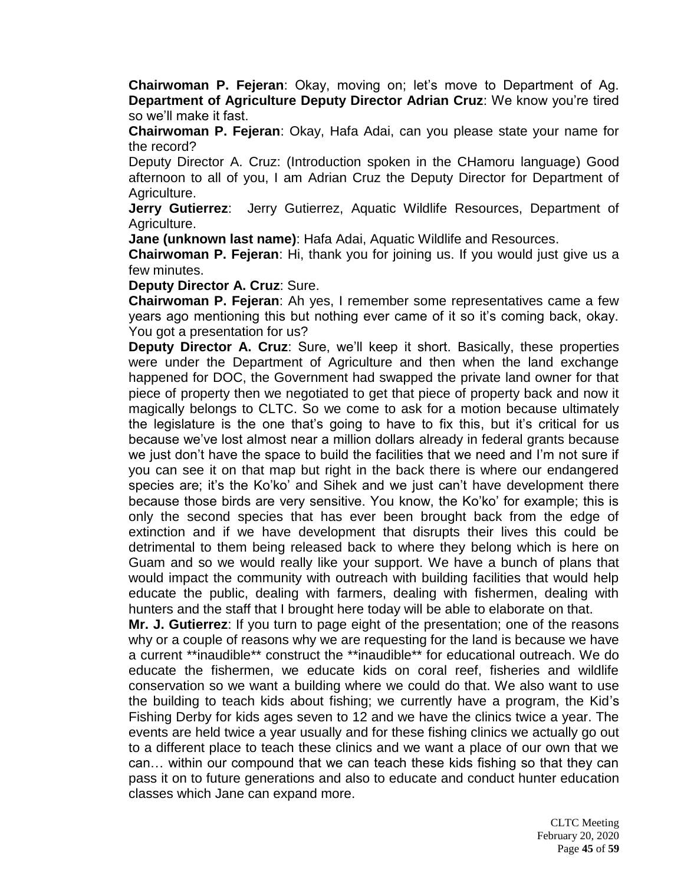**Chairwoman P. Fejeran**: Okay, moving on; let's move to Department of Ag. **Department of Agriculture Deputy Director Adrian Cruz**: We know you're tired so we'll make it fast.

**Chairwoman P. Fejeran**: Okay, Hafa Adai, can you please state your name for the record?

Deputy Director A. Cruz: (Introduction spoken in the CHamoru language) Good afternoon to all of you, I am Adrian Cruz the Deputy Director for Department of Agriculture.

**Jerry Gutierrez**: Jerry Gutierrez, Aquatic Wildlife Resources, Department of Agriculture.

**Jane (unknown last name)**: Hafa Adai, Aquatic Wildlife and Resources.

**Chairwoman P. Fejeran**: Hi, thank you for joining us. If you would just give us a few minutes.

**Deputy Director A. Cruz**: Sure.

**Chairwoman P. Fejeran**: Ah yes, I remember some representatives came a few years ago mentioning this but nothing ever came of it so it's coming back, okay. You got a presentation for us?

**Deputy Director A. Cruz**: Sure, we'll keep it short. Basically, these properties were under the Department of Agriculture and then when the land exchange happened for DOC, the Government had swapped the private land owner for that piece of property then we negotiated to get that piece of property back and now it magically belongs to CLTC. So we come to ask for a motion because ultimately the legislature is the one that's going to have to fix this, but it's critical for us because we've lost almost near a million dollars already in federal grants because we just don't have the space to build the facilities that we need and I'm not sure if you can see it on that map but right in the back there is where our endangered species are; it's the Ko'ko' and Sihek and we just can't have development there because those birds are very sensitive. You know, the Ko'ko' for example; this is only the second species that has ever been brought back from the edge of extinction and if we have development that disrupts their lives this could be detrimental to them being released back to where they belong which is here on Guam and so we would really like your support. We have a bunch of plans that would impact the community with outreach with building facilities that would help educate the public, dealing with farmers, dealing with fishermen, dealing with hunters and the staff that I brought here today will be able to elaborate on that.

**Mr. J. Gutierrez**: If you turn to page eight of the presentation; one of the reasons why or a couple of reasons why we are requesting for the land is because we have a current \*\*inaudible\*\* construct the \*\*inaudible\*\* for educational outreach. We do educate the fishermen, we educate kids on coral reef, fisheries and wildlife conservation so we want a building where we could do that. We also want to use the building to teach kids about fishing; we currently have a program, the Kid's Fishing Derby for kids ages seven to 12 and we have the clinics twice a year. The events are held twice a year usually and for these fishing clinics we actually go out to a different place to teach these clinics and we want a place of our own that we can… within our compound that we can teach these kids fishing so that they can pass it on to future generations and also to educate and conduct hunter education classes which Jane can expand more.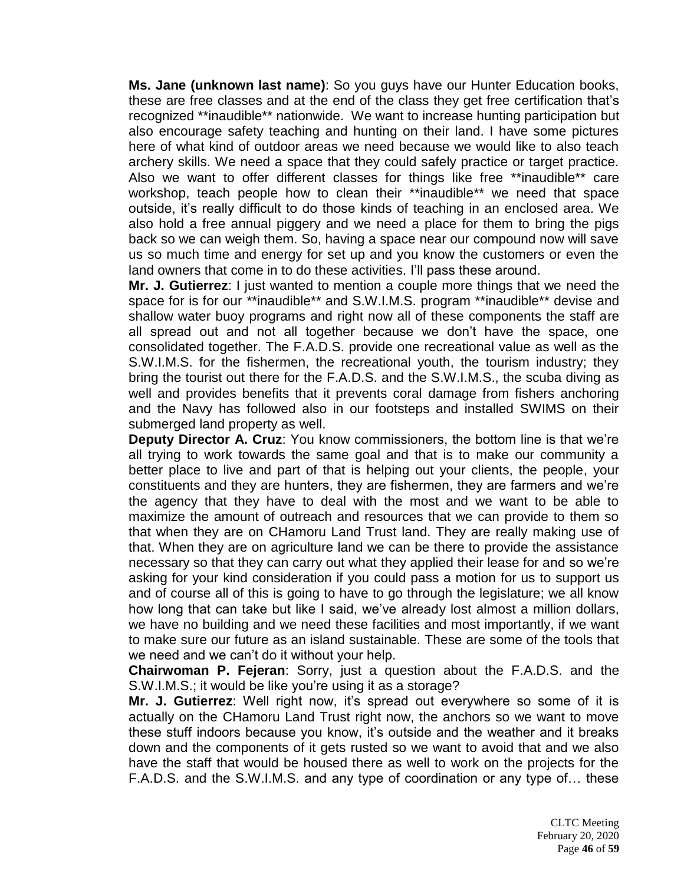**Ms. Jane (unknown last name)**: So you guys have our Hunter Education books, these are free classes and at the end of the class they get free certification that's recognized \*\*inaudible\*\* nationwide. We want to increase hunting participation but also encourage safety teaching and hunting on their land. I have some pictures here of what kind of outdoor areas we need because we would like to also teach archery skills. We need a space that they could safely practice or target practice. Also we want to offer different classes for things like free \*\*inaudible\*\* care workshop, teach people how to clean their \*\*inaudible\*\* we need that space outside, it's really difficult to do those kinds of teaching in an enclosed area. We also hold a free annual piggery and we need a place for them to bring the pigs back so we can weigh them. So, having a space near our compound now will save us so much time and energy for set up and you know the customers or even the land owners that come in to do these activities. I'll pass these around.

**Mr. J. Gutierrez**: I just wanted to mention a couple more things that we need the space for is for our \*\*inaudible\*\* and S.W.I.M.S. program \*\*inaudible\*\* devise and shallow water buoy programs and right now all of these components the staff are all spread out and not all together because we don't have the space, one consolidated together. The F.A.D.S. provide one recreational value as well as the S.W.I.M.S. for the fishermen, the recreational youth, the tourism industry; they bring the tourist out there for the F.A.D.S. and the S.W.I.M.S., the scuba diving as well and provides benefits that it prevents coral damage from fishers anchoring and the Navy has followed also in our footsteps and installed SWIMS on their submerged land property as well.

**Deputy Director A. Cruz**: You know commissioners, the bottom line is that we're all trying to work towards the same goal and that is to make our community a better place to live and part of that is helping out your clients, the people, your constituents and they are hunters, they are fishermen, they are farmers and we're the agency that they have to deal with the most and we want to be able to maximize the amount of outreach and resources that we can provide to them so that when they are on CHamoru Land Trust land. They are really making use of that. When they are on agriculture land we can be there to provide the assistance necessary so that they can carry out what they applied their lease for and so we're asking for your kind consideration if you could pass a motion for us to support us and of course all of this is going to have to go through the legislature; we all know how long that can take but like I said, we've already lost almost a million dollars, we have no building and we need these facilities and most importantly, if we want to make sure our future as an island sustainable. These are some of the tools that we need and we can't do it without your help.

**Chairwoman P. Fejeran**: Sorry, just a question about the F.A.D.S. and the S.W.I.M.S.; it would be like you're using it as a storage?

**Mr. J. Gutierrez**: Well right now, it's spread out everywhere so some of it is actually on the CHamoru Land Trust right now, the anchors so we want to move these stuff indoors because you know, it's outside and the weather and it breaks down and the components of it gets rusted so we want to avoid that and we also have the staff that would be housed there as well to work on the projects for the F.A.D.S. and the S.W.I.M.S. and any type of coordination or any type of… these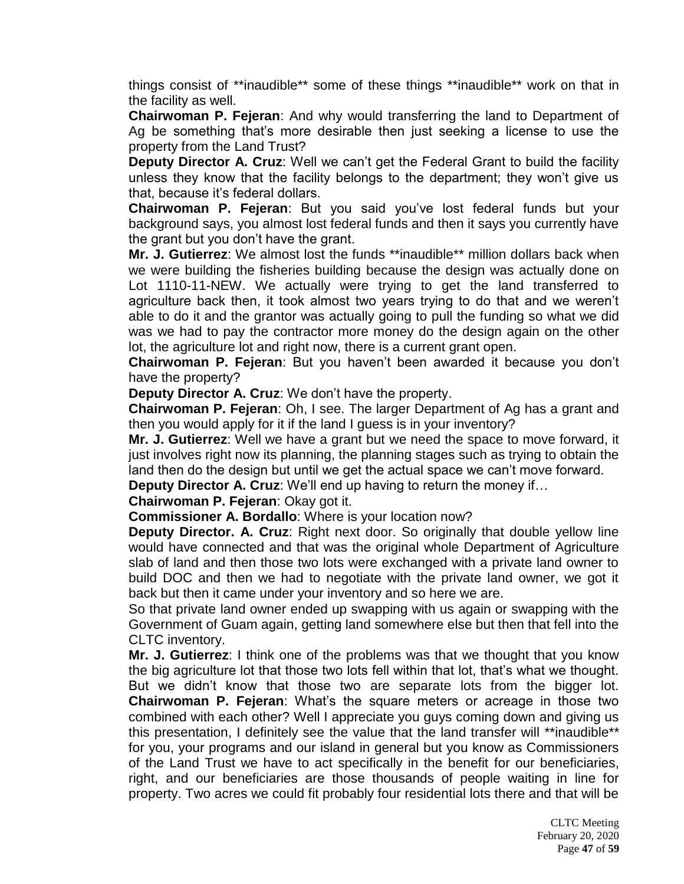things consist of \*\*inaudible\*\* some of these things \*\*inaudible\*\* work on that in the facility as well.

**Chairwoman P. Fejeran**: And why would transferring the land to Department of Ag be something that's more desirable then just seeking a license to use the property from the Land Trust?

**Deputy Director A. Cruz**: Well we can't get the Federal Grant to build the facility unless they know that the facility belongs to the department; they won't give us that, because it's federal dollars.

**Chairwoman P. Fejeran**: But you said you've lost federal funds but your background says, you almost lost federal funds and then it says you currently have the grant but you don't have the grant.

**Mr. J. Gutierrez**: We almost lost the funds \*\*inaudible\*\* million dollars back when we were building the fisheries building because the design was actually done on Lot 1110-11-NEW. We actually were trying to get the land transferred to agriculture back then, it took almost two years trying to do that and we weren't able to do it and the grantor was actually going to pull the funding so what we did was we had to pay the contractor more money do the design again on the other lot, the agriculture lot and right now, there is a current grant open.

**Chairwoman P. Fejeran**: But you haven't been awarded it because you don't have the property?

**Deputy Director A. Cruz**: We don't have the property.

**Chairwoman P. Fejeran**: Oh, I see. The larger Department of Ag has a grant and then you would apply for it if the land I guess is in your inventory?

**Mr. J. Gutierrez**: Well we have a grant but we need the space to move forward, it just involves right now its planning, the planning stages such as trying to obtain the land then do the design but until we get the actual space we can't move forward.

**Deputy Director A. Cruz**: We'll end up having to return the money if…

**Chairwoman P. Fejeran**: Okay got it.

**Commissioner A. Bordallo**: Where is your location now?

**Deputy Director. A. Cruz**: Right next door. So originally that double yellow line would have connected and that was the original whole Department of Agriculture slab of land and then those two lots were exchanged with a private land owner to build DOC and then we had to negotiate with the private land owner, we got it back but then it came under your inventory and so here we are.

So that private land owner ended up swapping with us again or swapping with the Government of Guam again, getting land somewhere else but then that fell into the CLTC inventory.

**Mr. J. Gutierrez**: I think one of the problems was that we thought that you know the big agriculture lot that those two lots fell within that lot, that's what we thought. But we didn't know that those two are separate lots from the bigger lot. **Chairwoman P. Fejeran**: What's the square meters or acreage in those two combined with each other? Well I appreciate you guys coming down and giving us this presentation, I definitely see the value that the land transfer will \*\*inaudible\*\* for you, your programs and our island in general but you know as Commissioners of the Land Trust we have to act specifically in the benefit for our beneficiaries, right, and our beneficiaries are those thousands of people waiting in line for property. Two acres we could fit probably four residential lots there and that will be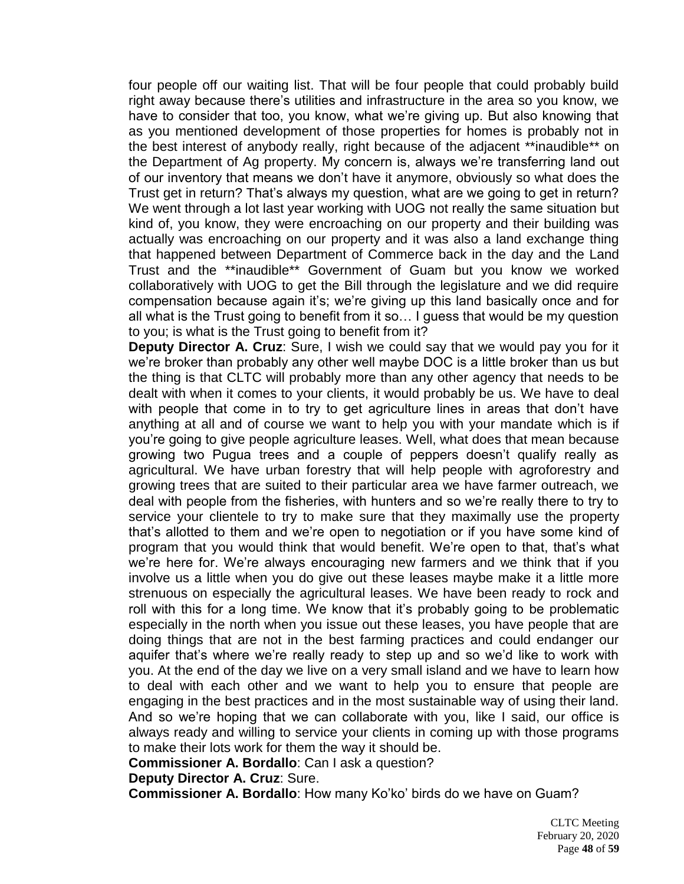four people off our waiting list. That will be four people that could probably build right away because there's utilities and infrastructure in the area so you know, we have to consider that too, you know, what we're giving up. But also knowing that as you mentioned development of those properties for homes is probably not in the best interest of anybody really, right because of the adjacent \*\*inaudible\*\* on the Department of Ag property. My concern is, always we're transferring land out of our inventory that means we don't have it anymore, obviously so what does the Trust get in return? That's always my question, what are we going to get in return? We went through a lot last year working with UOG not really the same situation but kind of, you know, they were encroaching on our property and their building was actually was encroaching on our property and it was also a land exchange thing that happened between Department of Commerce back in the day and the Land Trust and the \*\*inaudible\*\* Government of Guam but you know we worked collaboratively with UOG to get the Bill through the legislature and we did require compensation because again it's; we're giving up this land basically once and for all what is the Trust going to benefit from it so… I guess that would be my question to you; is what is the Trust going to benefit from it?

**Deputy Director A. Cruz**: Sure, I wish we could say that we would pay you for it we're broker than probably any other well maybe DOC is a little broker than us but the thing is that CLTC will probably more than any other agency that needs to be dealt with when it comes to your clients, it would probably be us. We have to deal with people that come in to try to get agriculture lines in areas that don't have anything at all and of course we want to help you with your mandate which is if you're going to give people agriculture leases. Well, what does that mean because growing two Pugua trees and a couple of peppers doesn't qualify really as agricultural. We have urban forestry that will help people with agroforestry and growing trees that are suited to their particular area we have farmer outreach, we deal with people from the fisheries, with hunters and so we're really there to try to service your clientele to try to make sure that they maximally use the property that's allotted to them and we're open to negotiation or if you have some kind of program that you would think that would benefit. We're open to that, that's what we're here for. We're always encouraging new farmers and we think that if you involve us a little when you do give out these leases maybe make it a little more strenuous on especially the agricultural leases. We have been ready to rock and roll with this for a long time. We know that it's probably going to be problematic especially in the north when you issue out these leases, you have people that are doing things that are not in the best farming practices and could endanger our aquifer that's where we're really ready to step up and so we'd like to work with you. At the end of the day we live on a very small island and we have to learn how to deal with each other and we want to help you to ensure that people are engaging in the best practices and in the most sustainable way of using their land. And so we're hoping that we can collaborate with you, like I said, our office is always ready and willing to service your clients in coming up with those programs to make their lots work for them the way it should be.

**Commissioner A. Bordallo**: Can I ask a question?

**Deputy Director A. Cruz**: Sure.

**Commissioner A. Bordallo**: How many Ko'ko' birds do we have on Guam?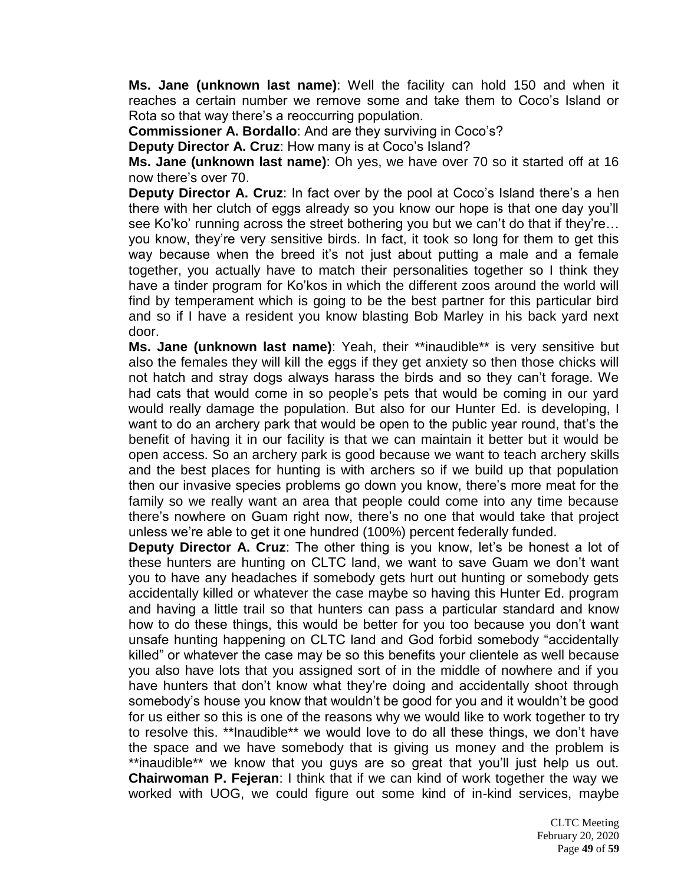**Ms. Jane (unknown last name)**: Well the facility can hold 150 and when it reaches a certain number we remove some and take them to Coco's Island or Rota so that way there's a reoccurring population.

**Commissioner A. Bordallo**: And are they surviving in Coco's?

**Deputy Director A. Cruz**: How many is at Coco's Island?

**Ms. Jane (unknown last name)**: Oh yes, we have over 70 so it started off at 16 now there's over 70.

**Deputy Director A. Cruz**: In fact over by the pool at Coco's Island there's a hen there with her clutch of eggs already so you know our hope is that one day you'll see Ko'ko' running across the street bothering you but we can't do that if they're… you know, they're very sensitive birds. In fact, it took so long for them to get this way because when the breed it's not just about putting a male and a female together, you actually have to match their personalities together so I think they have a tinder program for Ko'kos in which the different zoos around the world will find by temperament which is going to be the best partner for this particular bird and so if I have a resident you know blasting Bob Marley in his back yard next door.

**Ms. Jane (unknown last name)**: Yeah, their \*\*inaudible\*\* is very sensitive but also the females they will kill the eggs if they get anxiety so then those chicks will not hatch and stray dogs always harass the birds and so they can't forage. We had cats that would come in so people's pets that would be coming in our yard would really damage the population. But also for our Hunter Ed. is developing, I want to do an archery park that would be open to the public year round, that's the benefit of having it in our facility is that we can maintain it better but it would be open access. So an archery park is good because we want to teach archery skills and the best places for hunting is with archers so if we build up that population then our invasive species problems go down you know, there's more meat for the family so we really want an area that people could come into any time because there's nowhere on Guam right now, there's no one that would take that project unless we're able to get it one hundred (100%) percent federally funded.

**Deputy Director A. Cruz**: The other thing is you know, let's be honest a lot of these hunters are hunting on CLTC land, we want to save Guam we don't want you to have any headaches if somebody gets hurt out hunting or somebody gets accidentally killed or whatever the case maybe so having this Hunter Ed. program and having a little trail so that hunters can pass a particular standard and know how to do these things, this would be better for you too because you don't want unsafe hunting happening on CLTC land and God forbid somebody "accidentally killed" or whatever the case may be so this benefits your clientele as well because you also have lots that you assigned sort of in the middle of nowhere and if you have hunters that don't know what they're doing and accidentally shoot through somebody's house you know that wouldn't be good for you and it wouldn't be good for us either so this is one of the reasons why we would like to work together to try to resolve this. \*\*Inaudible\*\* we would love to do all these things, we don't have the space and we have somebody that is giving us money and the problem is \*\*inaudible\*\* we know that you guys are so great that you'll just help us out. **Chairwoman P. Fejeran**: I think that if we can kind of work together the way we worked with UOG, we could figure out some kind of in-kind services, maybe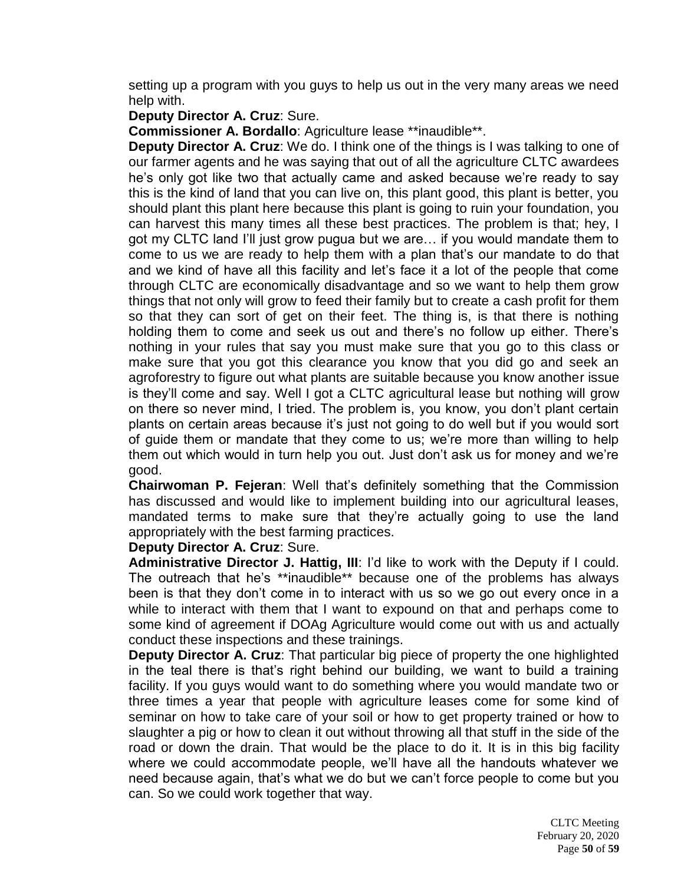setting up a program with you guys to help us out in the very many areas we need help with.

**Deputy Director A. Cruz**: Sure.

**Commissioner A. Bordallo**: Agriculture lease \*\*inaudible\*\*.

**Deputy Director A. Cruz**: We do. I think one of the things is I was talking to one of our farmer agents and he was saying that out of all the agriculture CLTC awardees he's only got like two that actually came and asked because we're ready to say this is the kind of land that you can live on, this plant good, this plant is better, you should plant this plant here because this plant is going to ruin your foundation, you can harvest this many times all these best practices. The problem is that; hey, I got my CLTC land I'll just grow pugua but we are… if you would mandate them to come to us we are ready to help them with a plan that's our mandate to do that and we kind of have all this facility and let's face it a lot of the people that come through CLTC are economically disadvantage and so we want to help them grow things that not only will grow to feed their family but to create a cash profit for them so that they can sort of get on their feet. The thing is, is that there is nothing holding them to come and seek us out and there's no follow up either. There's nothing in your rules that say you must make sure that you go to this class or make sure that you got this clearance you know that you did go and seek an agroforestry to figure out what plants are suitable because you know another issue is they'll come and say. Well I got a CLTC agricultural lease but nothing will grow on there so never mind, I tried. The problem is, you know, you don't plant certain plants on certain areas because it's just not going to do well but if you would sort of guide them or mandate that they come to us; we're more than willing to help them out which would in turn help you out. Just don't ask us for money and we're good.

**Chairwoman P. Fejeran**: Well that's definitely something that the Commission has discussed and would like to implement building into our agricultural leases, mandated terms to make sure that they're actually going to use the land appropriately with the best farming practices.

### **Deputy Director A. Cruz**: Sure.

**Administrative Director J. Hattig, III**: I'd like to work with the Deputy if I could. The outreach that he's \*\*inaudible\*\* because one of the problems has always been is that they don't come in to interact with us so we go out every once in a while to interact with them that I want to expound on that and perhaps come to some kind of agreement if DOAg Agriculture would come out with us and actually conduct these inspections and these trainings.

**Deputy Director A. Cruz**: That particular big piece of property the one highlighted in the teal there is that's right behind our building, we want to build a training facility. If you guys would want to do something where you would mandate two or three times a year that people with agriculture leases come for some kind of seminar on how to take care of your soil or how to get property trained or how to slaughter a pig or how to clean it out without throwing all that stuff in the side of the road or down the drain. That would be the place to do it. It is in this big facility where we could accommodate people, we'll have all the handouts whatever we need because again, that's what we do but we can't force people to come but you can. So we could work together that way.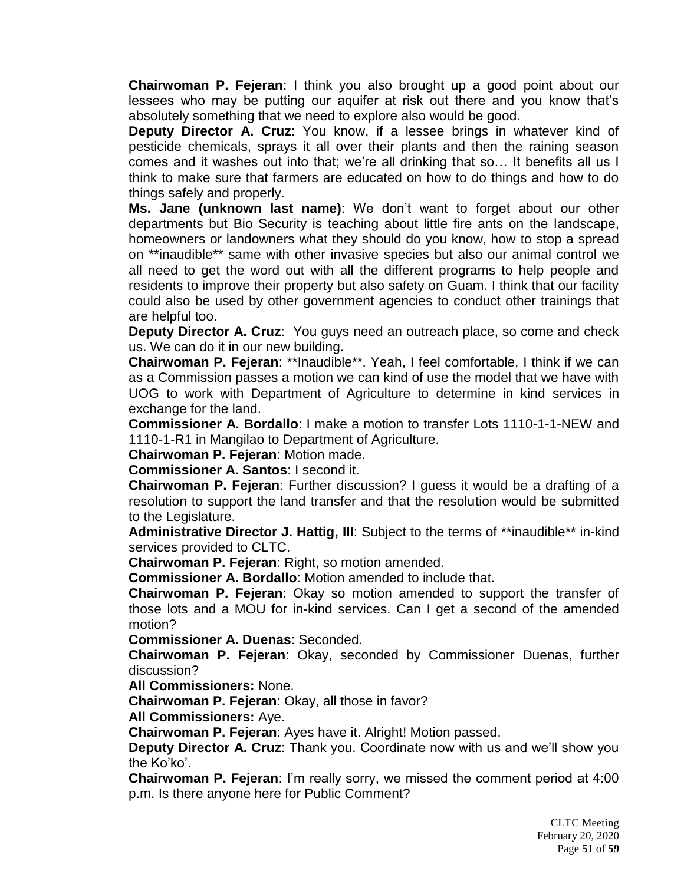**Chairwoman P. Fejeran**: I think you also brought up a good point about our lessees who may be putting our aquifer at risk out there and you know that's absolutely something that we need to explore also would be good.

**Deputy Director A. Cruz**: You know, if a lessee brings in whatever kind of pesticide chemicals, sprays it all over their plants and then the raining season comes and it washes out into that; we're all drinking that so… It benefits all us I think to make sure that farmers are educated on how to do things and how to do things safely and properly.

**Ms. Jane (unknown last name)**: We don't want to forget about our other departments but Bio Security is teaching about little fire ants on the landscape, homeowners or landowners what they should do you know, how to stop a spread on \*\*inaudible\*\* same with other invasive species but also our animal control we all need to get the word out with all the different programs to help people and residents to improve their property but also safety on Guam. I think that our facility could also be used by other government agencies to conduct other trainings that are helpful too.

**Deputy Director A. Cruz**: You guys need an outreach place, so come and check us. We can do it in our new building.

**Chairwoman P. Fejeran**: \*\*Inaudible\*\*. Yeah, I feel comfortable, I think if we can as a Commission passes a motion we can kind of use the model that we have with UOG to work with Department of Agriculture to determine in kind services in exchange for the land.

**Commissioner A. Bordallo**: I make a motion to transfer Lots 1110-1-1-NEW and 1110-1-R1 in Mangilao to Department of Agriculture.

**Chairwoman P. Fejeran**: Motion made.

**Commissioner A. Santos**: I second it.

**Chairwoman P. Fejeran**: Further discussion? I guess it would be a drafting of a resolution to support the land transfer and that the resolution would be submitted to the Legislature.

**Administrative Director J. Hattig, III**: Subject to the terms of \*\*inaudible\*\* in-kind services provided to CLTC.

**Chairwoman P. Fejeran**: Right, so motion amended.

**Commissioner A. Bordallo**: Motion amended to include that.

**Chairwoman P. Fejeran**: Okay so motion amended to support the transfer of those lots and a MOU for in-kind services. Can I get a second of the amended motion?

**Commissioner A. Duenas**: Seconded.

**Chairwoman P. Fejeran**: Okay, seconded by Commissioner Duenas, further discussion?

**All Commissioners:** None.

**Chairwoman P. Fejeran**: Okay, all those in favor?

**All Commissioners:** Aye.

**Chairwoman P. Fejeran**: Ayes have it. Alright! Motion passed.

**Deputy Director A. Cruz**: Thank you. Coordinate now with us and we'll show you the Ko'ko'.

**Chairwoman P. Fejeran**: I'm really sorry, we missed the comment period at 4:00 p.m. Is there anyone here for Public Comment?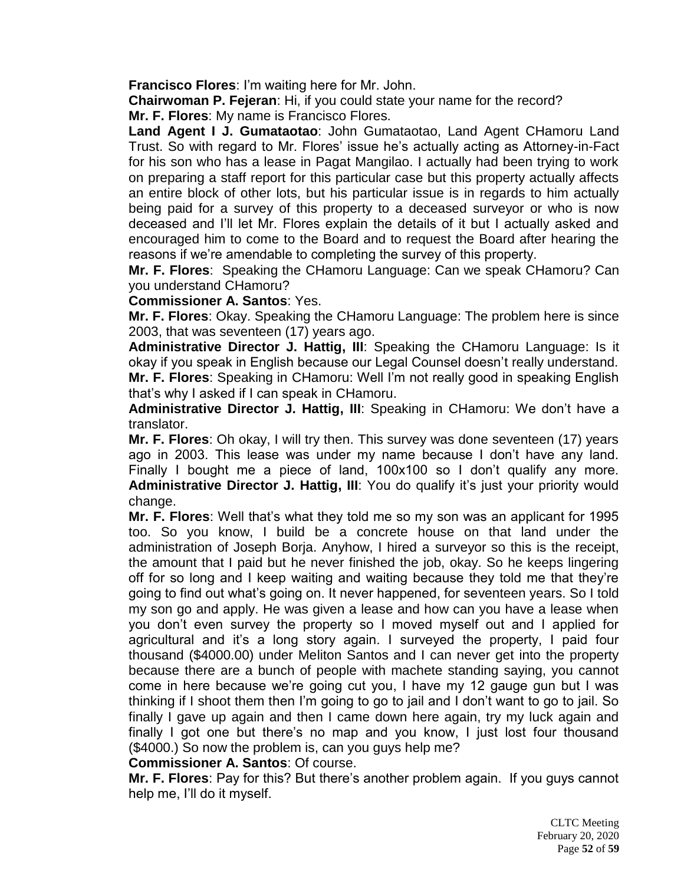**Francisco Flores**: I'm waiting here for Mr. John.

**Chairwoman P. Fejeran**: Hi, if you could state your name for the record? **Mr. F. Flores**: My name is Francisco Flores.

**Land Agent I J. Gumataotao**: John Gumataotao, Land Agent CHamoru Land Trust. So with regard to Mr. Flores' issue he's actually acting as Attorney-in-Fact for his son who has a lease in Pagat Mangilao. I actually had been trying to work on preparing a staff report for this particular case but this property actually affects an entire block of other lots, but his particular issue is in regards to him actually being paid for a survey of this property to a deceased surveyor or who is now deceased and I'll let Mr. Flores explain the details of it but I actually asked and encouraged him to come to the Board and to request the Board after hearing the reasons if we're amendable to completing the survey of this property.

**Mr. F. Flores**: Speaking the CHamoru Language: Can we speak CHamoru? Can you understand CHamoru?

**Commissioner A. Santos**: Yes.

**Mr. F. Flores**: Okay. Speaking the CHamoru Language: The problem here is since 2003, that was seventeen (17) years ago.

**Administrative Director J. Hattig, III**: Speaking the CHamoru Language: Is it okay if you speak in English because our Legal Counsel doesn't really understand. **Mr. F. Flores**: Speaking in CHamoru: Well I'm not really good in speaking English that's why I asked if I can speak in CHamoru.

**Administrative Director J. Hattig, III**: Speaking in CHamoru: We don't have a translator.

**Mr. F. Flores**: Oh okay, I will try then. This survey was done seventeen (17) years ago in 2003. This lease was under my name because I don't have any land. Finally I bought me a piece of land, 100x100 so I don't qualify any more. Administrative Director J. Hattig, III: You do qualify it's just your priority would change.

**Mr. F. Flores**: Well that's what they told me so my son was an applicant for 1995 too. So you know, I build be a concrete house on that land under the administration of Joseph Borja. Anyhow, I hired a surveyor so this is the receipt, the amount that I paid but he never finished the job, okay. So he keeps lingering off for so long and I keep waiting and waiting because they told me that they're going to find out what's going on. It never happened, for seventeen years. So I told my son go and apply. He was given a lease and how can you have a lease when you don't even survey the property so I moved myself out and I applied for agricultural and it's a long story again. I surveyed the property, I paid four thousand (\$4000.00) under Meliton Santos and I can never get into the property because there are a bunch of people with machete standing saying, you cannot come in here because we're going cut you, I have my 12 gauge gun but I was thinking if I shoot them then I'm going to go to jail and I don't want to go to jail. So finally I gave up again and then I came down here again, try my luck again and finally I got one but there's no map and you know, I just lost four thousand (\$4000.) So now the problem is, can you guys help me?

**Commissioner A. Santos**: Of course.

**Mr. F. Flores**: Pay for this? But there's another problem again. If you guys cannot help me, I'll do it myself.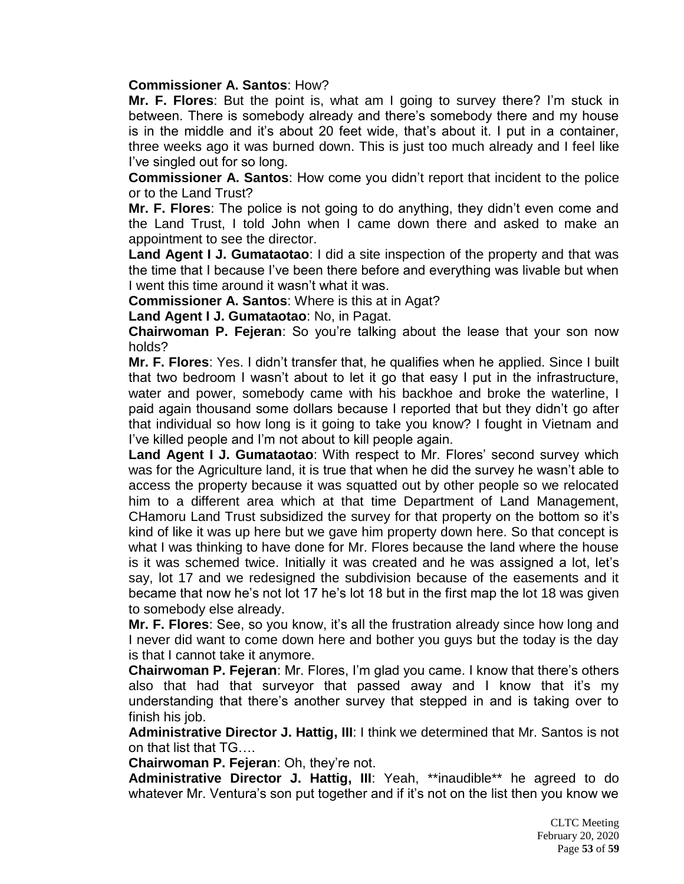### **Commissioner A. Santos**: How?

**Mr. F. Flores**: But the point is, what am I going to survey there? I'm stuck in between. There is somebody already and there's somebody there and my house is in the middle and it's about 20 feet wide, that's about it. I put in a container, three weeks ago it was burned down. This is just too much already and I feel like I've singled out for so long.

**Commissioner A. Santos**: How come you didn't report that incident to the police or to the Land Trust?

**Mr. F. Flores**: The police is not going to do anything, they didn't even come and the Land Trust, I told John when I came down there and asked to make an appointment to see the director.

**Land Agent I J. Gumataotao**: I did a site inspection of the property and that was the time that I because I've been there before and everything was livable but when I went this time around it wasn't what it was.

**Commissioner A. Santos**: Where is this at in Agat?

**Land Agent I J. Gumataotao**: No, in Pagat.

**Chairwoman P. Fejeran**: So you're talking about the lease that your son now holds?

**Mr. F. Flores**: Yes. I didn't transfer that, he qualifies when he applied. Since I built that two bedroom I wasn't about to let it go that easy I put in the infrastructure, water and power, somebody came with his backhoe and broke the waterline, I paid again thousand some dollars because I reported that but they didn't go after that individual so how long is it going to take you know? I fought in Vietnam and I've killed people and I'm not about to kill people again.

**Land Agent I J. Gumataotao**: With respect to Mr. Flores' second survey which was for the Agriculture land, it is true that when he did the survey he wasn't able to access the property because it was squatted out by other people so we relocated him to a different area which at that time Department of Land Management, CHamoru Land Trust subsidized the survey for that property on the bottom so it's kind of like it was up here but we gave him property down here. So that concept is what I was thinking to have done for Mr. Flores because the land where the house is it was schemed twice. Initially it was created and he was assigned a lot, let's say, lot 17 and we redesigned the subdivision because of the easements and it became that now he's not lot 17 he's lot 18 but in the first map the lot 18 was given to somebody else already.

**Mr. F. Flores**: See, so you know, it's all the frustration already since how long and I never did want to come down here and bother you guys but the today is the day is that I cannot take it anymore.

**Chairwoman P. Fejeran**: Mr. Flores, I'm glad you came. I know that there's others also that had that surveyor that passed away and I know that it's my understanding that there's another survey that stepped in and is taking over to finish his job.

**Administrative Director J. Hattig, III**: I think we determined that Mr. Santos is not on that list that TG….

**Chairwoman P. Fejeran**: Oh, they're not.

**Administrative Director J. Hattig, III**: Yeah, \*\*inaudible\*\* he agreed to do whatever Mr. Ventura's son put together and if it's not on the list then you know we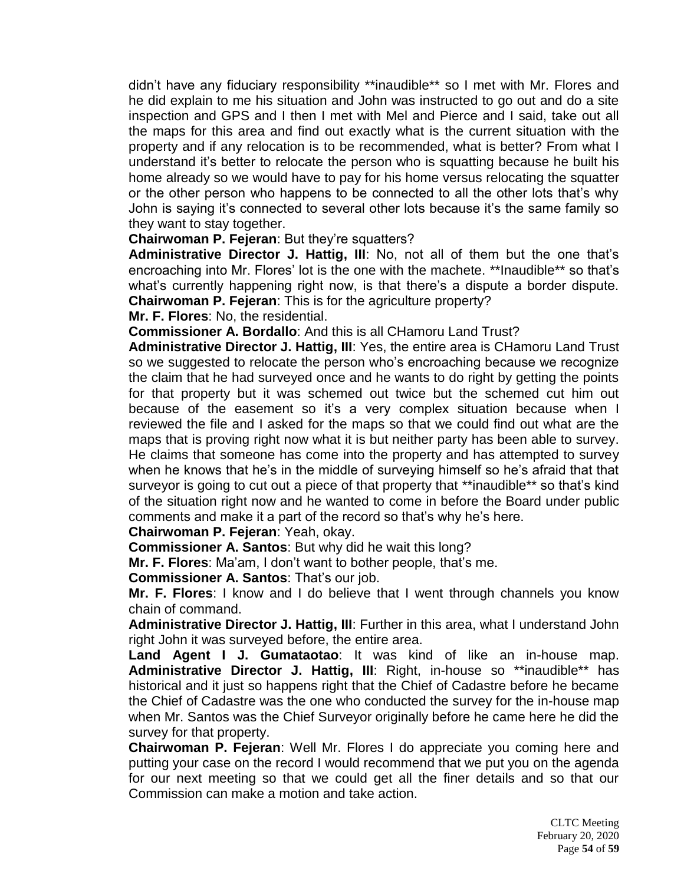didn't have any fiduciary responsibility \*\*inaudible\*\* so I met with Mr. Flores and he did explain to me his situation and John was instructed to go out and do a site inspection and GPS and I then I met with Mel and Pierce and I said, take out all the maps for this area and find out exactly what is the current situation with the property and if any relocation is to be recommended, what is better? From what I understand it's better to relocate the person who is squatting because he built his home already so we would have to pay for his home versus relocating the squatter or the other person who happens to be connected to all the other lots that's why John is saying it's connected to several other lots because it's the same family so they want to stay together.

**Chairwoman P. Fejeran**: But they're squatters?

**Administrative Director J. Hattig, III**: No, not all of them but the one that's encroaching into Mr. Flores' lot is the one with the machete. \*\*Inaudible\*\* so that's what's currently happening right now, is that there's a dispute a border dispute. **Chairwoman P. Fejeran**: This is for the agriculture property?

**Mr. F. Flores**: No, the residential.

**Commissioner A. Bordallo**: And this is all CHamoru Land Trust?

**Administrative Director J. Hattig, III**: Yes, the entire area is CHamoru Land Trust so we suggested to relocate the person who's encroaching because we recognize the claim that he had surveyed once and he wants to do right by getting the points for that property but it was schemed out twice but the schemed cut him out because of the easement so it's a very complex situation because when I reviewed the file and I asked for the maps so that we could find out what are the maps that is proving right now what it is but neither party has been able to survey. He claims that someone has come into the property and has attempted to survey when he knows that he's in the middle of surveying himself so he's afraid that that surveyor is going to cut out a piece of that property that \*\*inaudible\*\* so that's kind of the situation right now and he wanted to come in before the Board under public comments and make it a part of the record so that's why he's here.

**Chairwoman P. Fejeran**: Yeah, okay.

**Commissioner A. Santos**: But why did he wait this long?

**Mr. F. Flores**: Ma'am, I don't want to bother people, that's me.

**Commissioner A. Santos**: That's our job.

**Mr. F. Flores**: I know and I do believe that I went through channels you know chain of command.

**Administrative Director J. Hattig, III**: Further in this area, what I understand John right John it was surveyed before, the entire area.

**Land Agent I J. Gumataotao**: It was kind of like an in-house map. **Administrative Director J. Hattig, III**: Right, in-house so \*\*inaudible\*\* has historical and it just so happens right that the Chief of Cadastre before he became the Chief of Cadastre was the one who conducted the survey for the in-house map when Mr. Santos was the Chief Surveyor originally before he came here he did the survey for that property.

**Chairwoman P. Fejeran**: Well Mr. Flores I do appreciate you coming here and putting your case on the record I would recommend that we put you on the agenda for our next meeting so that we could get all the finer details and so that our Commission can make a motion and take action.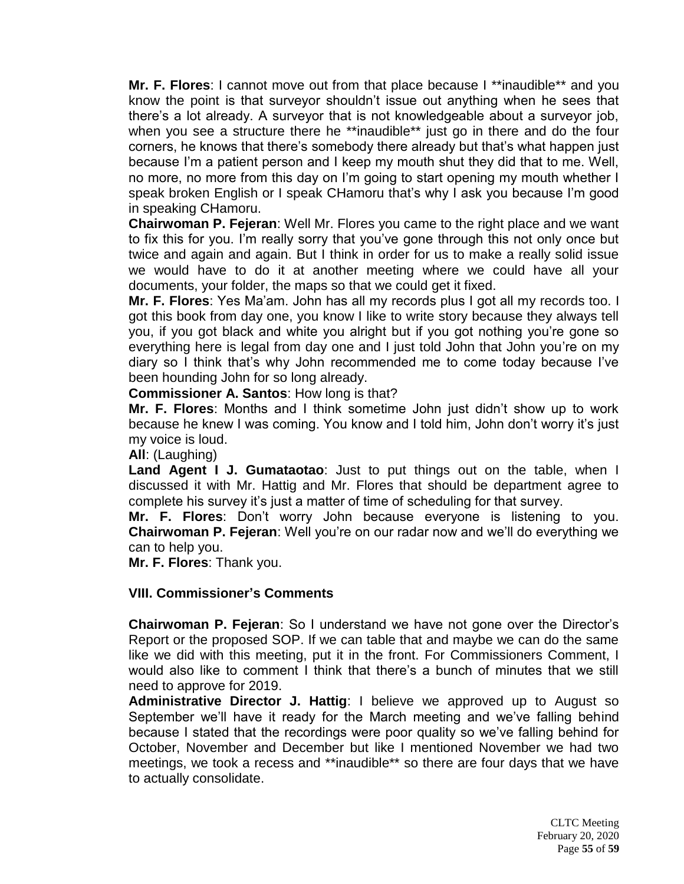**Mr. F. Flores**: I cannot move out from that place because I \*\*inaudible\*\* and you know the point is that surveyor shouldn't issue out anything when he sees that there's a lot already. A surveyor that is not knowledgeable about a surveyor job, when you see a structure there he \*\*inaudible\*\* just go in there and do the four corners, he knows that there's somebody there already but that's what happen just because I'm a patient person and I keep my mouth shut they did that to me. Well, no more, no more from this day on I'm going to start opening my mouth whether I speak broken English or I speak CHamoru that's why I ask you because I'm good in speaking CHamoru.

**Chairwoman P. Fejeran**: Well Mr. Flores you came to the right place and we want to fix this for you. I'm really sorry that you've gone through this not only once but twice and again and again. But I think in order for us to make a really solid issue we would have to do it at another meeting where we could have all your documents, your folder, the maps so that we could get it fixed.

**Mr. F. Flores**: Yes Ma'am. John has all my records plus I got all my records too. I got this book from day one, you know I like to write story because they always tell you, if you got black and white you alright but if you got nothing you're gone so everything here is legal from day one and I just told John that John you're on my diary so I think that's why John recommended me to come today because I've been hounding John for so long already.

**Commissioner A. Santos**: How long is that?

**Mr. F. Flores**: Months and I think sometime John just didn't show up to work because he knew I was coming. You know and I told him, John don't worry it's just my voice is loud.

**All**: (Laughing)

**Land Agent I J. Gumataotao**: Just to put things out on the table, when I discussed it with Mr. Hattig and Mr. Flores that should be department agree to complete his survey it's just a matter of time of scheduling for that survey.

**Mr. F. Flores**: Don't worry John because everyone is listening to you. **Chairwoman P. Fejeran**: Well you're on our radar now and we'll do everything we can to help you.

**Mr. F. Flores**: Thank you.

## **VIII. Commissioner's Comments**

**Chairwoman P. Fejeran**: So I understand we have not gone over the Director's Report or the proposed SOP. If we can table that and maybe we can do the same like we did with this meeting, put it in the front. For Commissioners Comment, I would also like to comment I think that there's a bunch of minutes that we still need to approve for 2019.

**Administrative Director J. Hattig**: I believe we approved up to August so September we'll have it ready for the March meeting and we've falling behind because I stated that the recordings were poor quality so we've falling behind for October, November and December but like I mentioned November we had two meetings, we took a recess and \*\*inaudible\*\* so there are four days that we have to actually consolidate.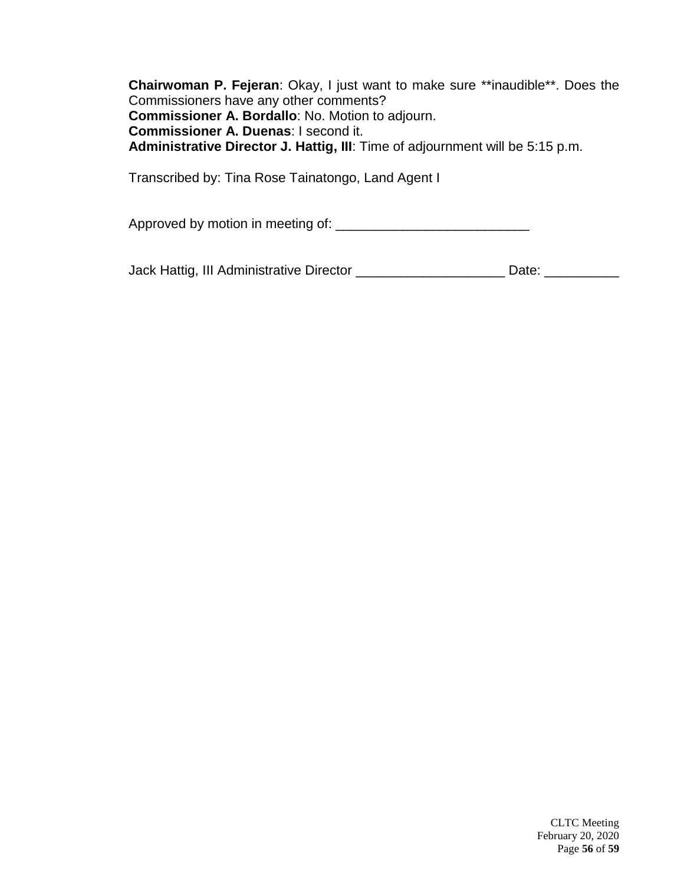**Chairwoman P. Fejeran**: Okay, I just want to make sure \*\*inaudible\*\*. Does the Commissioners have any other comments? **Commissioner A. Bordallo**: No. Motion to adjourn. **Commissioner A. Duenas**: I second it. **Administrative Director J. Hattig, III**: Time of adjournment will be 5:15 p.m.

Transcribed by: Tina Rose Tainatongo, Land Agent I

Approved by motion in meeting of: \_\_\_\_\_\_\_\_\_\_\_\_\_\_\_\_\_\_\_\_\_\_\_\_\_\_

Jack Hattig, III Administrative Director \_\_\_\_\_\_\_\_\_\_\_\_\_\_\_\_\_\_\_\_\_\_\_\_\_\_Date: \_\_\_\_\_\_\_\_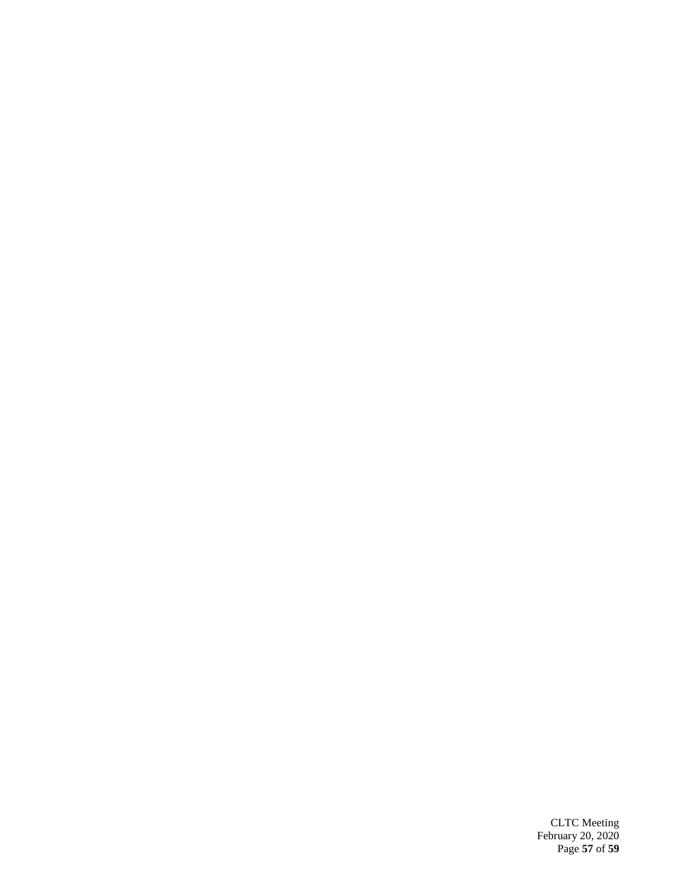CLTC Meeting February 20, 2020 Page **57** of **59**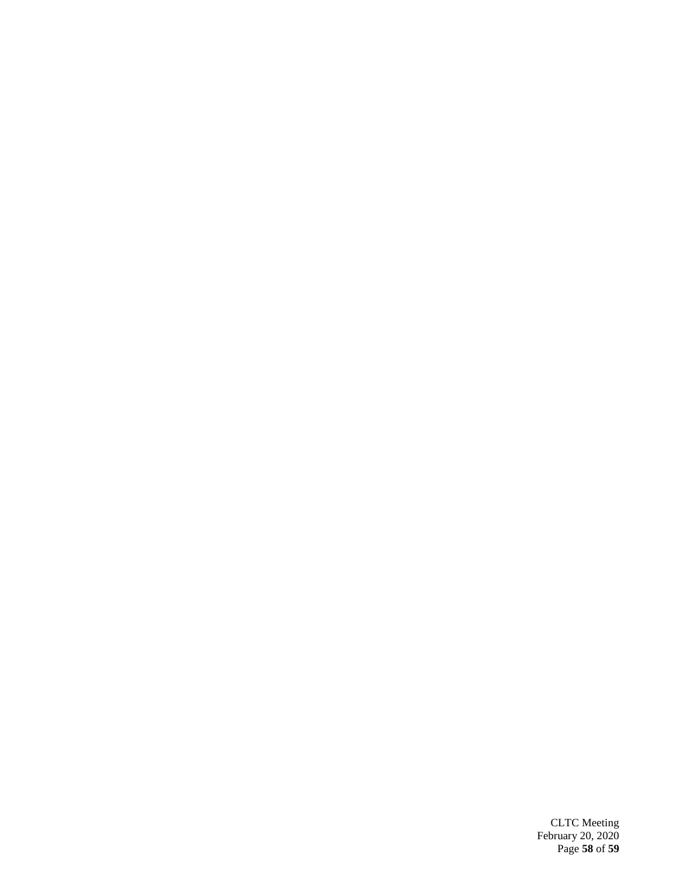CLTC Meeting February 20, 2020 Page **58** of **59**